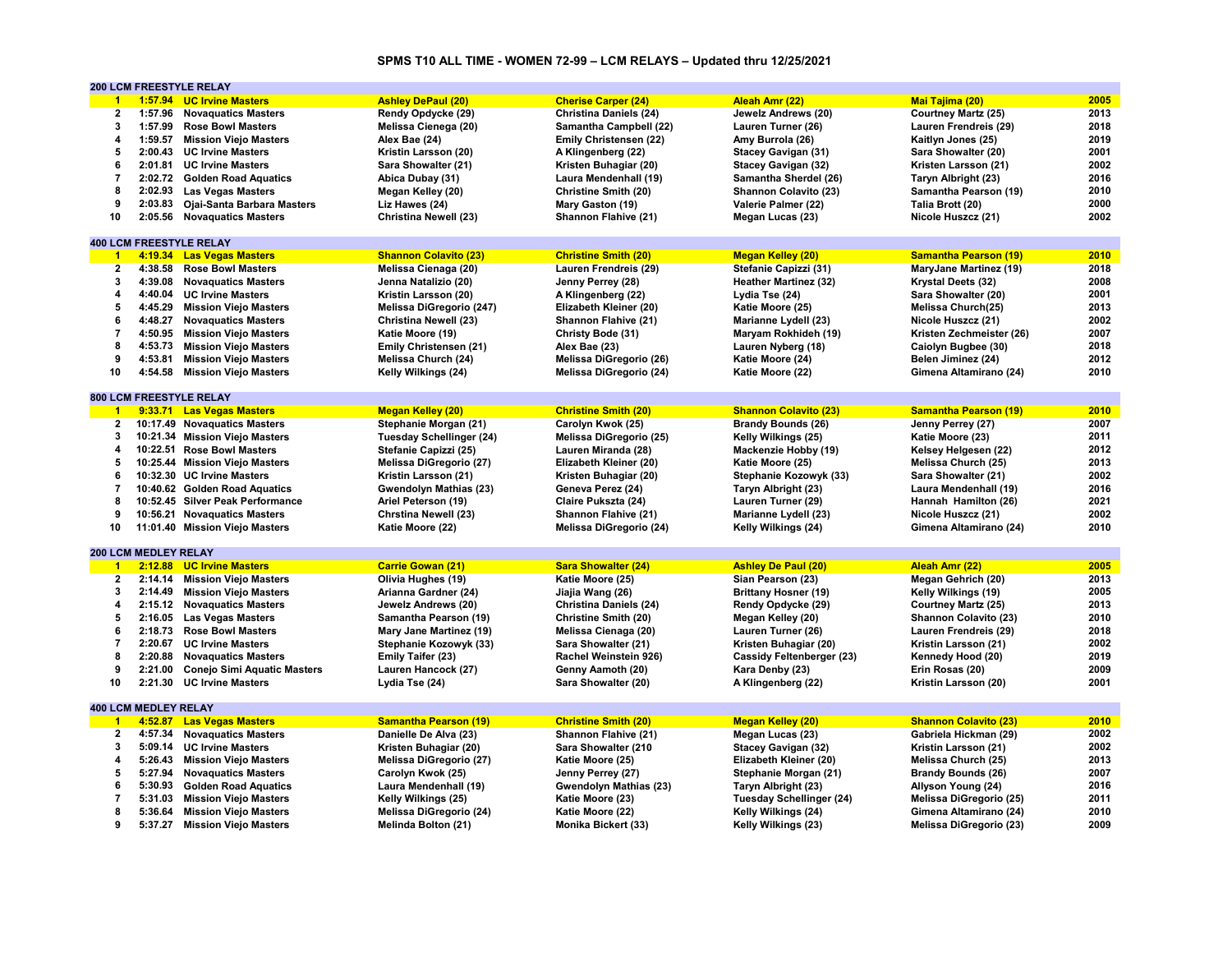# **SPMS T10 ALL TIME - WOMEN 72-99 – LCM RELAYS – Updated thru 12/25/2021**

|                      |                                        | <b>200 LCM FREESTYLE RELAY</b>                         |                                                       |                                                     |                                              |                               |      |
|----------------------|----------------------------------------|--------------------------------------------------------|-------------------------------------------------------|-----------------------------------------------------|----------------------------------------------|-------------------------------|------|
| $\blacktriangleleft$ |                                        | 1:57.94 UC Irvine Masters                              | <b>Ashley DePaul (20)</b>                             | <b>Cherise Carper (24)</b>                          | Aleah Amr (22)                               | <b>Mai Tajima (20)</b>        | 2005 |
| 2                    | 1:57.96                                | <b>Novaquatics Masters</b>                             | Rendy Opdycke (29)                                    | <b>Christina Daniels (24)</b>                       | Jewelz Andrews (20)                          | <b>Courtney Martz (25)</b>    | 2013 |
| 3                    | 1:57.99                                | <b>Rose Bowl Masters</b>                               | Melissa Cienega (20)                                  | Samantha Campbell (22)                              | Lauren Turner (26)                           | Lauren Frendreis (29)         | 2018 |
| 4                    | 1:59.57                                | <b>Mission Viejo Masters</b>                           | Alex Bae (24)                                         | Emily Christensen (22)                              | Amy Burrola (26)                             | Kaitlyn Jones (25)            | 2019 |
| 5                    | 2:00.43                                | <b>UC Irvine Masters</b>                               | Kristin Larsson (20)                                  | A Klingenberg (22)                                  | <b>Stacey Gavigan (31)</b>                   | Sara Showalter (20)           | 2001 |
| 6                    | 2:01.81                                | <b>UC Irvine Masters</b>                               | Sara Showalter (21)                                   | Kristen Buhagiar (20)                               | <b>Stacey Gavigan (32)</b>                   | Kristen Larsson (21)          | 2002 |
| $\overline{7}$       |                                        | 2:02.72 Golden Road Aquatics                           | Abica Dubay (31)                                      | Laura Mendenhall (19)                               | Samantha Sherdel (26)                        | Taryn Albright (23)           | 2016 |
| 8                    | 2:02.93                                | <b>Las Vegas Masters</b>                               | Megan Kelley (20)                                     | Christine Smith (20)                                | <b>Shannon Colavito (23)</b>                 | Samantha Pearson (19)         | 2010 |
| 9                    | 2:03.83                                | Ojai-Santa Barbara Masters                             | Liz Hawes (24)                                        | Mary Gaston (19)                                    | Valerie Palmer (22)                          | Talia Brott (20)              | 2000 |
| 10                   | 2:05.56                                | <b>Novaquatics Masters</b>                             | <b>Christina Newell (23)</b>                          | Shannon Flahive (21)                                | Megan Lucas (23)                             | Nicole Huszcz (21)            | 2002 |
|                      |                                        |                                                        |                                                       |                                                     |                                              |                               |      |
|                      |                                        | <b>400 LCM FREESTYLE RELAY</b>                         |                                                       |                                                     |                                              |                               |      |
| $\blacktriangleleft$ |                                        | 4:19.34 Las Vegas Masters                              | <b>Shannon Colavito (23)</b>                          | <b>Christine Smith (20)</b>                         | <b>Megan Kelley (20)</b>                     | <b>Samantha Pearson (19)</b>  | 2010 |
| $\overline{2}$       | 4:38.58                                | <b>Rose Bowl Masters</b>                               | Melissa Cienaga (20)                                  | Lauren Frendreis (29)                               | Stefanie Capizzi (31)                        | <b>MaryJane Martinez (19)</b> | 2018 |
| 3                    | 4:39.08                                | <b>Novaquatics Masters</b>                             | Jenna Natalizio (20)                                  | Jenny Perrey (28)                                   | <b>Heather Martinez (32)</b>                 | Krystal Deets (32)            | 2008 |
| 4                    | 4:40.04                                | <b>UC Irvine Masters</b>                               | Kristin Larsson (20)                                  | A Klingenberg (22)                                  | Lydia Tse (24)                               | Sara Showalter (20)           | 2001 |
| 5                    | 4:45.29                                | <b>Mission Viejo Masters</b>                           | Melissa DiGregorio (247)                              | Elizabeth Kleiner (20)                              | Katie Moore (25)                             | Melissa Church(25)            | 2013 |
| 6                    |                                        | 4:48.27 Novaquatics Masters                            | <b>Christina Newell (23)</b>                          | Shannon Flahive (21)                                | Marianne Lydell (23)                         | Nicole Huszcz (21)            | 2002 |
| $\overline{7}$       | 4:50.95                                | <b>Mission Viejo Masters</b>                           | Katie Moore (19)                                      | Christy Bode (31)                                   | Maryam Rokhideh (19)                         | Kristen Zechmeister (26)      | 2007 |
| 8                    | 4:53.73                                | <b>Mission Viejo Masters</b>                           | Emily Christensen (21)                                | Alex Bae (23)                                       | Lauren Nyberg (18)                           | Caiolyn Bugbee (30)           | 2018 |
| 9                    | 4:53.81                                | <b>Mission Viejo Masters</b>                           | Melissa Church (24)                                   | Melissa DiGregorio (26)                             |                                              | Belen Jiminez (24)            | 2012 |
| 10                   | 4:54.58                                | <b>Mission Viejo Masters</b>                           | Kelly Wilkings (24)                                   | Melissa DiGregorio (24)                             | Katie Moore (24)                             |                               | 2010 |
|                      |                                        |                                                        |                                                       |                                                     | Katie Moore (22)                             | Gimena Altamirano (24)        |      |
|                      |                                        | 800 LCM FREESTYLE RELAY                                |                                                       |                                                     |                                              |                               |      |
| $\blacktriangleleft$ |                                        | 9:33.71 Las Vegas Masters                              | <b>Megan Kelley (20)</b>                              | <b>Christine Smith (20)</b>                         | <b>Shannon Colavito (23)</b>                 | <b>Samantha Pearson (19)</b>  | 2010 |
| $\mathbf{2}$         |                                        | 10:17.49 Novaquatics Masters                           | Stephanie Morgan (21)                                 | Carolyn Kwok (25)                                   | <b>Brandy Bounds (26)</b>                    | Jenny Perrey (27)             | 2007 |
| 3                    |                                        | 10:21.34 Mission Viejo Masters                         | <b>Tuesday Schellinger (24)</b>                       | Melissa DiGregorio (25)                             | Kelly Wilkings (25)                          | Katie Moore (23)              | 2011 |
| 4                    |                                        | 10:22.51 Rose Bowl Masters                             | Stefanie Capizzi (25)                                 | Lauren Miranda (28)                                 | Mackenzie Hobby (19)                         | Kelsey Helgesen (22)          | 2012 |
| 5                    |                                        | 10:25.44 Mission Viejo Masters                         | Melissa DiGregorio (27)                               | Elizabeth Kleiner (20)                              |                                              | Melissa Church (25)           | 2013 |
| 6                    |                                        |                                                        |                                                       |                                                     | Katie Moore (25)                             |                               | 2002 |
|                      |                                        | 10:32.30 UC Irvine Masters                             | Kristin Larsson (21)                                  | Kristen Buhagiar (20)                               | Stephanie Kozowyk (33)                       | Sara Showalter (21)           |      |
| $\overline{7}$       |                                        | 10:40.62 Golden Road Aquatics                          | Gwendolyn Mathias (23)                                | Geneva Perez (24)                                   | Taryn Albright (23)                          | Laura Mendenhall (19)         | 2016 |
| 8                    |                                        | 10:52.45 Silver Peak Performance                       | Ariel Peterson (19)                                   | Claire Pukszta (24)                                 | Lauren Turner (29)                           | Hannah Hamilton (26)          | 2021 |
| 9                    |                                        | 10:56.21 Novaguatics Masters                           | <b>Chrstina Newell (23)</b>                           | Shannon Flahive (21)                                | Marianne Lydell (23)                         | Nicole Huszcz (21)            | 2002 |
| 10                   |                                        | 11:01.40 Mission Viejo Masters                         | Katie Moore (22)                                      | Melissa DiGregorio (24)                             | Kelly Wilkings (24)                          | Gimena Altamirano (24)        | 2010 |
|                      | 200 LCM MEDLEY RELAY                   |                                                        |                                                       |                                                     |                                              |                               |      |
| $\blacktriangleleft$ | 2:12.88                                | <b>UC Irvine Masters</b>                               | <b>Carrie Gowan (21)</b>                              | <b>Sara Showalter (24)</b>                          | <b>Ashley De Paul (20)</b>                   | Aleah Amr (22)                | 2005 |
| $\mathbf{2}$         |                                        | 2:14.14 Mission Viejo Masters                          | Olivia Hughes (19)                                    | Katie Moore (25)                                    | Sian Pearson (23)                            | Megan Gehrich (20)            | 2013 |
| 3                    | 2:14.49                                | <b>Mission Viejo Masters</b>                           | Arianna Gardner (24)                                  | Jiajia Wang (26)                                    | <b>Brittany Hosner (19)</b>                  | Kelly Wilkings (19)           | 2005 |
| 4                    |                                        | 2:15.12 Novaquatics Masters                            |                                                       | <b>Christina Daniels (24)</b>                       | Rendy Opdycke (29)                           | <b>Courtney Martz (25)</b>    | 2013 |
| 5                    | 2:16.05                                | <b>Las Vegas Masters</b>                               | Jewelz Andrews (20)<br>Samantha Pearson (19)          | Christine Smith (20)                                |                                              | Shannon Colavito (23)         | 2010 |
|                      |                                        |                                                        |                                                       |                                                     | Megan Kelley (20)                            |                               |      |
| 6                    | 2:18.73                                | <b>Rose Bowl Masters</b>                               | Mary Jane Martinez (19)                               | Melissa Cienaga (20)                                | Lauren Turner (26)                           | Lauren Frendreis (29)         | 2018 |
| $\overline{7}$       | 2:20.67                                | <b>UC Irvine Masters</b>                               | Stephanie Kozowyk (33)                                | Sara Showalter (21)                                 | Kristen Buhagiar (20)                        | Kristin Larsson (21)          | 2002 |
| 8                    | 2:20.88                                | <b>Novaguatics Masters</b>                             | Emily Taifer (23)                                     | Rachel Weinstein 926)                               | Cassidy Feltenberger (23)                    | Kennedy Hood (20)             | 2019 |
| 9                    | 2:21.00                                | <b>Conejo Simi Aquatic Masters</b>                     | Lauren Hancock (27)                                   | Genny Aamoth (20)                                   | Kara Denby (23)                              | Erin Rosas (20)               | 2009 |
| 10                   | 2:21.30                                | <b>UC Irvine Masters</b>                               | Lydia Tse (24)                                        | Sara Showalter (20)                                 | A Klingenberg (22)                           | Kristin Larsson (20)          | 2001 |
|                      |                                        |                                                        |                                                       |                                                     |                                              |                               |      |
| $\blacksquare$       | <b>400 LCM MEDLEY RELAY</b><br>4:52.87 |                                                        |                                                       |                                                     |                                              | <b>Shannon Colavito (23)</b>  | 2010 |
| 2                    | 4:57.34                                | <b>Las Vegas Masters</b><br><b>Novaguatics Masters</b> | <b>Samantha Pearson (19)</b><br>Danielle De Alva (23) | <b>Christine Smith (20)</b><br>Shannon Flahive (21) | <b>Megan Kelley (20)</b><br>Megan Lucas (23) | Gabriela Hickman (29)         | 2002 |
| 3                    | 5:09.14                                |                                                        |                                                       |                                                     |                                              |                               | 2002 |
|                      |                                        | <b>UC Irvine Masters</b>                               | Kristen Buhagiar (20)                                 | Sara Showalter (210                                 | <b>Stacey Gavigan (32)</b>                   | Kristin Larsson (21)          |      |
| 4                    | 5:26.43                                | <b>Mission Viejo Masters</b>                           | Melissa DiGregorio (27)                               | Katie Moore (25)                                    | Elizabeth Kleiner (20)                       | Melissa Church (25)           | 2013 |
| 5                    | 5:27.94                                | <b>Novaquatics Masters</b>                             | Carolyn Kwok (25)                                     | Jenny Perrey (27)                                   | Stephanie Morgan (21)                        | <b>Brandy Bounds (26)</b>     | 2007 |
| 6                    | 5:30.93                                | <b>Golden Road Aquatics</b>                            | Laura Mendenhall (19)                                 | Gwendolyn Mathias (23)                              | Taryn Albright (23)                          | Allyson Young (24)            | 2016 |
| $\overline{7}$       | 5:31.03                                | <b>Mission Viejo Masters</b>                           | Kelly Wilkings (25)                                   | Katie Moore (23)                                    | Tuesday Schellinger (24)                     | Melissa DiGregorio (25)       | 2011 |
| 8                    |                                        | 5:36.64 Mission Viejo Masters                          | Melissa DiGregorio (24)                               | Katie Moore (22)                                    | Kelly Wilkings (24)                          | Gimena Altamirano (24)        | 2010 |
| 9                    | 5:37.27                                | <b>Mission Viejo Masters</b>                           | Melinda Bolton (21)                                   | Monika Bickert (33)                                 | Kelly Wilkings (23)                          | Melissa DiGregorio (23)       | 2009 |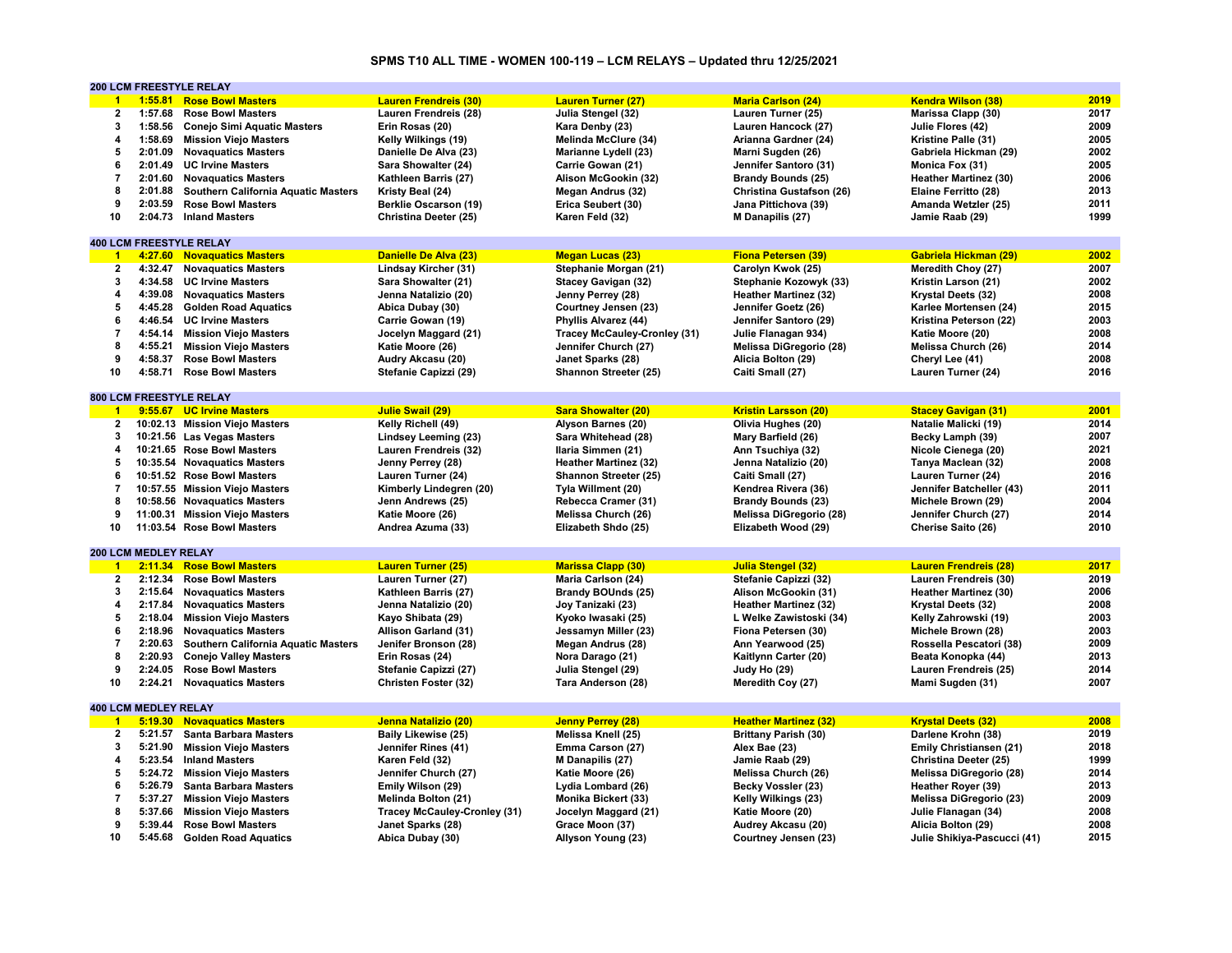# **SPMS T10 ALL TIME - WOMEN 100-119 – LCM RELAYS – Updated thru 12/25/2021**

|                         |                             | <b>200 LCM FREESTYLE RELAY</b>             |                                     |                                     |                              |                              |      |
|-------------------------|-----------------------------|--------------------------------------------|-------------------------------------|-------------------------------------|------------------------------|------------------------------|------|
| $\blacktriangleleft$    |                             | 1:55.81 Rose Bowl Masters                  | <b>Lauren Frendreis (30)</b>        | <b>Lauren Turner (27)</b>           | <b>Maria Carlson (24)</b>    | <b>Kendra Wilson (38)</b>    | 2019 |
| $\overline{\mathbf{2}}$ | 1:57.68                     | <b>Rose Bowl Masters</b>                   | Lauren Frendreis (28)               | Julia Stengel (32)                  | Lauren Turner (25)           | Marissa Clapp (30)           | 2017 |
| 3                       | 1:58.56                     | <b>Conejo Simi Aquatic Masters</b>         | Erin Rosas (20)                     | Kara Denby (23)                     | Lauren Hancock (27)          | Julie Flores (42)            | 2009 |
| 4                       | 1:58.69                     | <b>Mission Viejo Masters</b>               | Kelly Wilkings (19)                 | Melinda McClure (34)                | Arianna Gardner (24)         | Kristine Palle (31)          | 2005 |
| 5                       | 2:01.09                     | <b>Novaquatics Masters</b>                 | Danielle De Alva (23)               | Marianne Lydell (23)                | Marni Sugden (26)            | Gabriela Hickman (29)        | 2002 |
| 6                       | 2:01.49                     | <b>UC Irvine Masters</b>                   | Sara Showalter (24)                 | Carrie Gowan (21)                   | Jennifer Santoro (31)        | Monica Fox (31)              | 2005 |
| 7                       |                             |                                            |                                     |                                     |                              |                              | 2006 |
|                         | 2:01.60                     | <b>Novaguatics Masters</b>                 | Kathleen Barris (27)                | Alison McGookin (32)                | <b>Brandy Bounds (25)</b>    | <b>Heather Martinez (30)</b> |      |
| 8                       | 2:01.88                     | <b>Southern California Aquatic Masters</b> | Kristy Beal (24)                    | Megan Andrus (32)                   | Christina Gustafson (26)     | Elaine Ferritto (28)         | 2013 |
| 9                       | 2:03.59                     | <b>Rose Bowl Masters</b>                   | <b>Berklie Oscarson (19)</b>        | Erica Seubert (30)                  | Jana Pittichova (39)         | Amanda Wetzler (25)          | 2011 |
| 10                      | 2:04.73                     | <b>Inland Masters</b>                      | Christina Deeter (25)               | Karen Feld (32)                     | M Danapilis (27)             | Jamie Raab (29)              | 1999 |
|                         |                             |                                            |                                     |                                     |                              |                              |      |
|                         |                             | <b>400 LCM FREESTYLE RELAY</b>             |                                     |                                     |                              |                              |      |
| $\overline{1}$          |                             | 4:27.60 Novaquatics Masters                | Danielle De Alva (23)               | <b>Megan Lucas (23)</b>             | <b>Fiona Petersen (39)</b>   | Gabriela Hickman (29)        | 2002 |
| $\overline{2}$          | 4:32.47                     | <b>Novaguatics Masters</b>                 | Lindsay Kircher (31)                | Stephanie Morgan (21)               | Carolyn Kwok (25)            | Meredith Choy (27)           | 2007 |
| 3                       | 4:34.58                     | <b>UC Irvine Masters</b>                   | Sara Showalter (21)                 | <b>Stacey Gavigan (32)</b>          | Stephanie Kozowyk (33)       | Kristin Larson (21)          | 2002 |
| 4                       |                             | 4:39.08 Novaquatics Masters                | Jenna Natalizio (20)                | Jenny Perrey (28)                   | <b>Heather Martinez (32)</b> | Krystal Deets (32)           | 2008 |
| 5                       | 4:45.28                     | <b>Golden Road Aquatics</b>                | Abica Dubay (30)                    | Courtney Jensen (23)                | Jennifer Goetz (26)          | Karlee Mortensen (24)        | 2015 |
| 6                       | 4:46.54                     | <b>UC Irvine Masters</b>                   | Carrie Gowan (19)                   | Phyllis Alvarez (44)                | Jennifer Santoro (29)        | Kristina Peterson (22)       | 2003 |
| $\overline{7}$          |                             | 4:54.14 Mission Viejo Masters              | Jocelyn Maggard (21)                | <b>Tracey McCauley-Cronley (31)</b> | Julie Flanagan 934)          | Katie Moore (20)             | 2008 |
| 8                       | 4:55.21                     | <b>Mission Viejo Masters</b>               | Katie Moore (26)                    | Jennifer Church (27)                | Melissa DiGregorio (28)      | Melissa Church (26)          | 2014 |
|                         |                             |                                            |                                     |                                     |                              |                              |      |
| 9                       | 4:58.37                     | <b>Rose Bowl Masters</b>                   | Audry Akcasu (20)                   | Janet Sparks (28)                   | Alicia Bolton (29)           | Cheryl Lee (41)              | 2008 |
| 10                      | 4:58.71                     | <b>Rose Bowl Masters</b>                   | Stefanie Capizzi (29)               | Shannon Streeter (25)               | Caiti Small (27)             | Lauren Turner (24)           | 2016 |
|                         |                             |                                            |                                     |                                     |                              |                              |      |
|                         |                             | <b>800 LCM FREESTYLE RELAY</b>             |                                     |                                     |                              |                              |      |
| $\overline{1}$          |                             | 9:55.67 UC Irvine Masters                  | Julie Swail (29)                    | <b>Sara Showalter (20)</b>          | <b>Kristin Larsson (20)</b>  | <b>Stacey Gavigan (31)</b>   | 2001 |
| $\overline{2}$          |                             | 10:02.13 Mission Viejo Masters             | Kelly Richell (49)                  | Alyson Barnes (20)                  | Olivia Hughes (20)           | Natalie Malicki (19)         | 2014 |
| 3                       |                             | 10:21.56 Las Vegas Masters                 | Lindsey Leeming (23)                | Sara Whitehead (28)                 | Mary Barfield (26)           | Becky Lamph (39)             | 2007 |
| 4                       |                             | 10:21.65 Rose Bowl Masters                 | Lauren Frendreis (32)               | Ilaria Simmen (21)                  | Ann Tsuchiya (32)            | Nicole Cienega (20)          | 2021 |
| 5                       |                             | 10:35.54 Novaguatics Masters               | Jenny Perrey (28)                   | <b>Heather Martinez (32)</b>        | Jenna Natalizio (20)         | Tanya Maclean (32)           | 2008 |
| 6                       |                             | 10:51.52 Rose Bowl Masters                 | Lauren Turner (24)                  | Shannon Streeter (25)               | Caiti Small (27)             | Lauren Turner (24)           | 2016 |
| $\overline{7}$          |                             | 10:57.55 Mission Viejo Masters             | Kimberly Lindegren (20)             | Tyla Willment (20)                  | Kendrea Rivera (36)          | Jennifer Batcheller (43)     | 2011 |
| 8                       |                             | 10:58.56 Novaguatics Masters               | Jenn Andrews (25)                   | Rebecca Cramer (31)                 | <b>Brandy Bounds (23)</b>    | Michele Brown (29)           | 2004 |
| 9                       |                             | 11:00.31 Mission Viejo Masters             | Katie Moore (26)                    | Melissa Church (26)                 | Melissa DiGregorio (28)      | Jennifer Church (27)         | 2014 |
| 10                      |                             | 11:03.54 Rose Bowl Masters                 |                                     |                                     |                              |                              | 2010 |
|                         |                             |                                            | Andrea Azuma (33)                   | Elizabeth Shdo (25)                 | Elizabeth Wood (29)          | Cherise Saito (26)           |      |
|                         |                             |                                            |                                     |                                     |                              |                              |      |
|                         | 200 LCM MEDLEY RELAY        |                                            |                                     |                                     |                              |                              |      |
| $\blacksquare$          |                             | 2:11.34 Rose Bowl Masters                  | <b>Lauren Turner (25)</b>           | <b>Marissa Clapp (30)</b>           | <b>Julia Stengel (32)</b>    | <b>Lauren Frendreis (28)</b> | 2017 |
| $\overline{2}$          | 2:12.34                     | <b>Rose Bowl Masters</b>                   | Lauren Turner (27)                  | Maria Carlson (24)                  | Stefanie Capizzi (32)        | Lauren Frendreis (30)        | 2019 |
| 3                       | 2:15.64                     | <b>Novaguatics Masters</b>                 | Kathleen Barris (27)                | <b>Brandy BOUnds (25)</b>           | Alison McGookin (31)         | <b>Heather Martinez (30)</b> | 2006 |
| 4                       | 2:17.84                     | <b>Novaguatics Masters</b>                 | Jenna Natalizio (20)                | Joy Tanizaki (23)                   | <b>Heather Martinez (32)</b> | Krystal Deets (32)           | 2008 |
| 5                       | 2:18.04                     | <b>Mission Viejo Masters</b>               | Kayo Shibata (29)                   | Kyoko Iwasaki (25)                  | L Welke Zawistoski (34)      | Kelly Zahrowski (19)         | 2003 |
| 6                       |                             | 2:18.96 Novaguatics Masters                | Allison Garland (31)                | Jessamyn Miller (23)                | Fiona Petersen (30)          | Michele Brown (28)           | 2003 |
| $\overline{7}$          | 2:20.63                     | Southern California Aquatic Masters        | Jenifer Bronson (28)                | Megan Andrus (28)                   | Ann Yearwood (25)            | Rossella Pescatori (38)      | 2009 |
| 8                       | 2:20.93                     | <b>Conejo Valley Masters</b>               | Erin Rosas (24)                     | Nora Darago (21)                    | Kaitlynn Carter (20)         | Beata Konopka (44)           | 2013 |
| 9                       | 2:24.05                     | <b>Rose Bowl Masters</b>                   | Stefanie Capizzi (27)               | Julia Stengel (29)                  | Judy Ho (29)                 | Lauren Frendreis (25)        | 2014 |
| 10                      | 2:24.21                     | <b>Novaguatics Masters</b>                 | Christen Foster (32)                | Tara Anderson (28)                  | Meredith Coy (27)            | Mami Sugden (31)             | 2007 |
|                         |                             |                                            |                                     |                                     |                              |                              |      |
|                         | <b>400 LCM MEDLEY RELAY</b> |                                            |                                     |                                     |                              |                              |      |
|                         |                             |                                            |                                     |                                     |                              |                              |      |
| $\blacksquare$          |                             | 5:19.30 Novaguatics Masters                | Jenna Natalizio (20)                | <b>Jenny Perrey (28)</b>            | <b>Heather Martinez (32)</b> | <b>Krystal Deets (32)</b>    | 2008 |
| $\mathbf{2}$            | 5:21.57                     | <b>Santa Barbara Masters</b>               | <b>Baily Likewise (25)</b>          | Melissa Knell (25)                  | <b>Brittany Parish (30)</b>  | Darlene Krohn (38)           | 2019 |
| 3                       | 5:21.90                     | <b>Mission Viejo Masters</b>               | Jennifer Rines (41)                 | Emma Carson (27)                    | Alex Bae (23)                | Emily Christiansen (21)      | 2018 |
| 4                       | 5:23.54                     | <b>Inland Masters</b>                      | Karen Feld (32)                     | M Danapilis (27)                    | Jamie Raab (29)              | Christina Deeter (25)        | 1999 |
| 5                       |                             | 5:24.72 Mission Viejo Masters              | Jennifer Church (27)                | Katie Moore (26)                    | Melissa Church (26)          | Melissa DiGregorio (28)      | 2014 |
| 6                       | 5:26.79                     | <b>Santa Barbara Masters</b>               | Emily Wilson (29)                   | Lydia Lombard (26)                  | Becky Vossler (23)           | Heather Royer (39)           | 2013 |
| $\overline{7}$          | 5:37.27                     | <b>Mission Viejo Masters</b>               | Melinda Bolton (21)                 | Monika Bickert (33)                 | Kelly Wilkings (23)          | Melissa DiGregorio (23)      | 2009 |
| 8                       | 5:37.66                     | <b>Mission Viejo Masters</b>               | <b>Tracey McCauley-Cronley (31)</b> | Jocelyn Maggard (21)                | Katie Moore (20)             | Julie Flanagan (34)          | 2008 |
| 9                       | 5:39.44                     | <b>Rose Bowl Masters</b>                   | Janet Sparks (28)                   | Grace Moon (37)                     | Audrey Akcasu (20)           | Alicia Bolton (29)           | 2008 |
| 10                      |                             | 5:45.68 Golden Road Aquatics               | Abica Dubay (30)                    | Allyson Young (23)                  | Courtney Jensen (23)         | Julie Shikiya-Pascucci (41)  | 2015 |
|                         |                             |                                            |                                     |                                     |                              |                              |      |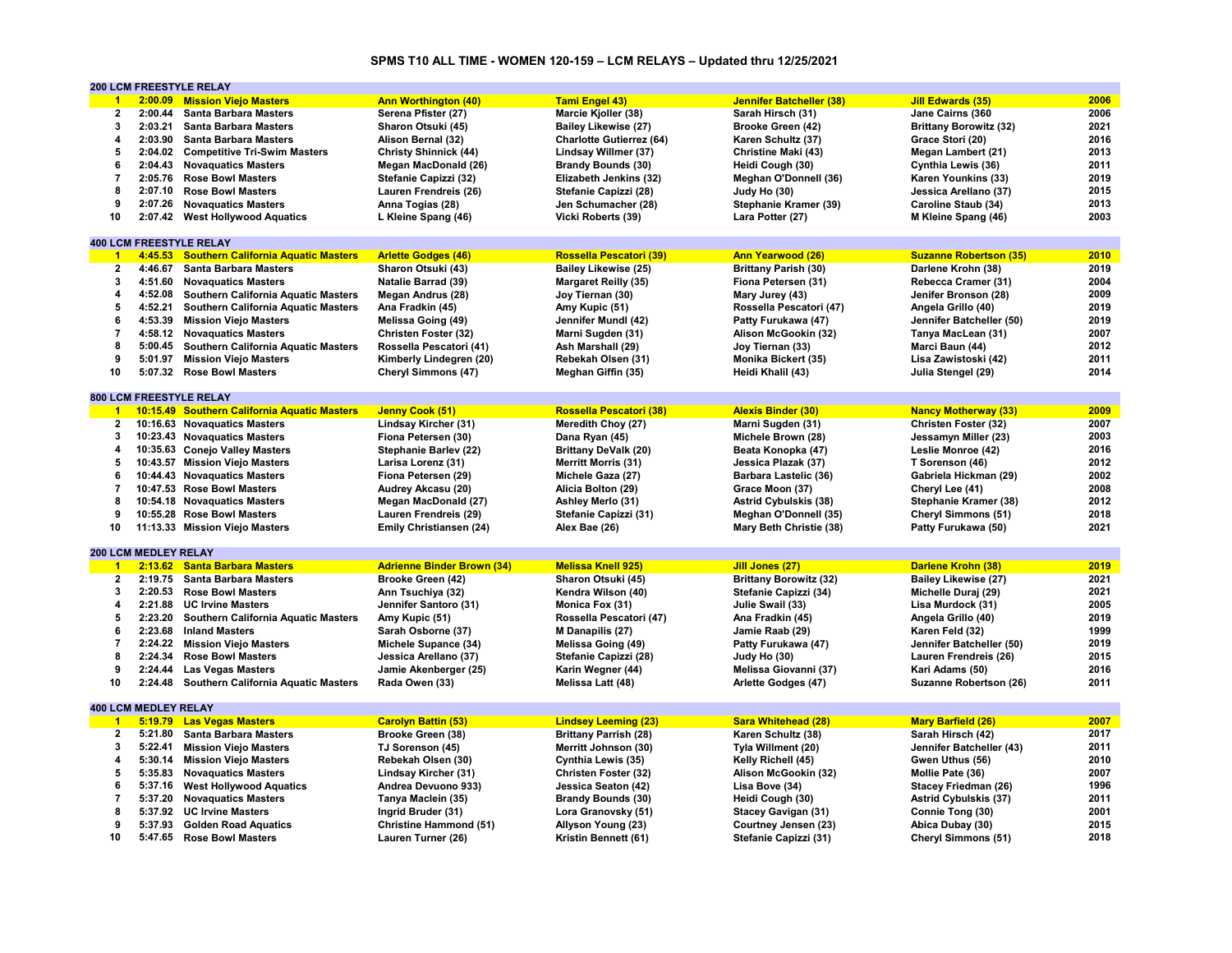# **SPMS T10 ALL TIME - WOMEN 120-159 – LCM RELAYS – Updated thru 12/25/2021**

|                      |                             | <b>200 LCM FREESTYLE RELAY</b>               |                                   |                                 |                                 |                               |      |
|----------------------|-----------------------------|----------------------------------------------|-----------------------------------|---------------------------------|---------------------------------|-------------------------------|------|
| $\blacktriangleleft$ | 2:00.09                     | <b>Mission Viejo Masters</b>                 | <b>Ann Worthington (40)</b>       | <b>Tami Engel 43)</b>           | <b>Jennifer Batcheller (38)</b> | <b>Jill Edwards (35)</b>      | 2006 |
| 2                    | 2:00.44                     | <b>Santa Barbara Masters</b>                 | Serena Pfister (27)               | Marcie Kjoller (38)             | Sarah Hirsch (31)               | Jane Cairns (360              | 2006 |
| 3                    | 2:03.21                     | <b>Santa Barbara Masters</b>                 | Sharon Otsuki (45)                | <b>Bailey Likewise (27)</b>     | Brooke Green (42)               | <b>Brittany Borowitz (32)</b> | 2021 |
| 4                    | 2:03.90                     | <b>Santa Barbara Masters</b>                 | Alison Bernal (32)                | <b>Charlotte Gutierrez (64)</b> | Karen Schultz (37)              | Grace Stori (20)              | 2016 |
| 5                    |                             | 2:04.02 Competitive Tri-Swim Masters         | <b>Christy Shinnick (44)</b>      | Lindsay Willmer (37)            | Christine Maki (43)             | <b>Megan Lambert (21)</b>     | 2013 |
| 6                    | 2:04.43                     | <b>Novaguatics Masters</b>                   | Megan MacDonald (26)              | <b>Brandy Bounds (30)</b>       | Heidi Cough (30)                | Cynthia Lewis (36)            | 2011 |
| $\overline{7}$       |                             |                                              |                                   |                                 |                                 |                               | 2019 |
|                      | 2:05.76                     | <b>Rose Bowl Masters</b>                     | Stefanie Capizzi (32)             | Elizabeth Jenkins (32)          | Meghan O'Donnell (36)           | Karen Younkins (33)           |      |
| 8                    | 2:07.10                     | <b>Rose Bowl Masters</b>                     | Lauren Frendreis (26)             | Stefanie Capizzi (28)           | Judy Ho (30)                    | Jessica Arellano (37)         | 2015 |
| 9                    | 2:07.26                     | <b>Novaquatics Masters</b>                   | Anna Togias (28)                  | Jen Schumacher (28)             | Stephanie Kramer (39)           | Caroline Staub (34)           | 2013 |
| 10                   | 2:07.42                     | <b>West Hollywood Aquatics</b>               | L Kleine Spang (46)               | Vicki Roberts (39)              | Lara Potter (27)                | M Kleine Spang (46)           | 2003 |
|                      |                             |                                              |                                   |                                 |                                 |                               |      |
|                      |                             | <b>400 LCM FREESTYLE RELAY</b>               |                                   |                                 |                                 |                               |      |
| $\overline{1}$       | 4:45.53                     | <b>Southern California Aquatic Masters</b>   | <b>Arlette Godges (46)</b>        | <b>Rossella Pescatori (39)</b>  | <b>Ann Yearwood (26)</b>        | <b>Suzanne Robertson (35)</b> | 2010 |
| 2                    | 4:46.67                     | <b>Santa Barbara Masters</b>                 | Sharon Otsuki (43)                | Bailey Likewise (25)            | <b>Brittany Parish (30)</b>     | Darlene Krohn (38)            | 2019 |
| 3                    | 4:51.60                     | <b>Novaguatics Masters</b>                   | <b>Natalie Barrad (39)</b>        | <b>Margaret Reilly (35)</b>     | Fiona Petersen (31)             | Rebecca Cramer (31)           | 2004 |
| 4                    | 4:52.08                     | <b>Southern California Aquatic Masters</b>   | Megan Andrus (28)                 | Joy Tiernan (30)                | Mary Jurey (43)                 | Jenifer Bronson (28)          | 2009 |
| 5                    | 4:52.21                     | Southern California Aquatic Masters          | Ana Fradkin (45)                  | Amy Kupic (51)                  | Rossella Pescatori (47)         | Angela Grillo (40)            | 2019 |
| 6                    | 4:53.39                     | <b>Mission Viejo Masters</b>                 | Melissa Going (49)                | Jennifer Mundl (42)             | Patty Furukawa (47)             | Jennifer Batcheller (50)      | 2019 |
| $\overline{7}$       |                             | 4:58.12 Novaquatics Masters                  | Christen Foster (32)              | Marni Sugden (31)               | Alison McGookin (32)            | Tanya MacLean (31)            | 2007 |
| 8                    |                             |                                              |                                   |                                 |                                 |                               | 2012 |
|                      | 5:00.45                     | <b>Southern California Aquatic Masters</b>   | Rossella Pescatori (41)           | Ash Marshall (29)               | Joy Tiernan (33)                | Marci Baun (44)               |      |
| 9                    | 5:01.97                     | <b>Mission Viejo Masters</b>                 | Kimberly Lindegren (20)           | Rebekah Olsen (31)              | Monika Bickert (35)             | Lisa Zawistoski (42)          | 2011 |
| 10                   | 5:07.32                     | <b>Rose Bowl Masters</b>                     | Cheryl Simmons (47)               | Meghan Giffin (35)              | Heidi Khalil (43)               | Julia Stengel (29)            | 2014 |
|                      |                             |                                              |                                   |                                 |                                 |                               |      |
|                      |                             | <b>800 LCM FREESTYLE RELAY</b>               |                                   |                                 |                                 |                               |      |
| $\blacksquare$       |                             | 10:15.49 Southern California Aquatic Masters | Jenny Cook (51)                   | Rossella Pescatori (38)         | <b>Alexis Binder (30)</b>       | <b>Nancy Motherway (33)</b>   | 2009 |
| $\overline{2}$       |                             | 10:16.63 Novaguatics Masters                 | Lindsay Kircher (31)              | Meredith Choy (27)              | Marni Sugden (31)               | Christen Foster (32)          | 2007 |
| 3                    |                             | 10:23.43 Novaguatics Masters                 | Fiona Petersen (30)               | Dana Ryan (45)                  | Michele Brown (28)              | Jessamyn Miller (23)          | 2003 |
| 4                    |                             | 10:35.63 Conejo Valley Masters               | Stephanie Barlev (22)             | <b>Brittany DeValk (20)</b>     | Beata Konopka (47)              | Leslie Monroe (42)            | 2016 |
| 5                    |                             | 10:43.57 Mission Viejo Masters               | Larisa Lorenz (31)                | <b>Merritt Morris (31)</b>      | Jessica Plazak (37)             | T Sorenson (46)               | 2012 |
| 6                    |                             | 10:44.43 Novaquatics Masters                 | Fiona Petersen (29)               | Michele Gaza (27)               | Barbara Lastelic (36)           | Gabriela Hickman (29)         | 2002 |
| $\overline{7}$       |                             | 10:47.53 Rose Bowl Masters                   | Audrey Akcasu (20)                | Alicia Bolton (29)              | Grace Moon (37)                 | Cheryl Lee (41)               | 2008 |
| 8                    |                             | 10:54.18 Novaguatics Masters                 |                                   | Ashley Merlo (31)               | <b>Astrid Cybulskis (38)</b>    | Stephanie Kramer (38)         | 2012 |
|                      |                             |                                              | Megan MacDonald (27)              |                                 |                                 |                               |      |
| 9                    |                             | 10:55.28 Rose Bowl Masters                   | Lauren Frendreis (29)             | Stefanie Capizzi (31)           | Meghan O'Donnell (35)           | <b>Cheryl Simmons (51)</b>    | 2018 |
| 10                   |                             | 11:13.33 Mission Viejo Masters               | Emily Christiansen (24)           | Alex Bae (26)                   | Mary Beth Christie (38)         | Patty Furukawa (50)           | 2021 |
|                      |                             |                                              |                                   |                                 |                                 |                               |      |
|                      | <b>200 LCM MEDLEY RELAY</b> |                                              |                                   |                                 |                                 |                               |      |
| $\blacksquare$       |                             | 2:13.62 Santa Barbara Masters                | <b>Adrienne Binder Brown (34)</b> | <b>Melissa Knell 925)</b>       | Jill Jones (27)                 | <b>Darlene Krohn (38)</b>     | 2019 |
| $\overline{2}$       | 2:19.75                     | <b>Santa Barbara Masters</b>                 | Brooke Green (42)                 | Sharon Otsuki (45)              | <b>Brittany Borowitz (32)</b>   | <b>Bailey Likewise (27)</b>   | 2021 |
| $\mathbf{3}$         | 2:20.53                     | <b>Rose Bowl Masters</b>                     | Ann Tsuchiya (32)                 | Kendra Wilson (40)              | Stefanie Capizzi (34)           | Michelle Duraj (29)           | 2021 |
| 4                    | 2:21.88                     | <b>UC Irvine Masters</b>                     | Jennifer Santoro (31)             | Monica Fox (31)                 | Julie Swail (33)                | Lisa Murdock (31)             | 2005 |
| 5                    | 2:23.20                     | Southern California Aquatic Masters          | Amy Kupic (51)                    | Rossella Pescatori (47)         | Ana Fradkin (45)                | Angela Grillo (40)            | 2019 |
| 6                    | 2:23.68                     | <b>Inland Masters</b>                        | Sarah Osborne (37)                | M Danapilis (27)                | Jamie Raab (29)                 | Karen Feld (32)               | 1999 |
| $\overline{7}$       | 2:24.22                     | <b>Mission Viejo Masters</b>                 | Michele Supance (34)              | Melissa Going (49)              | Patty Furukawa (47)             | Jennifer Batcheller (50)      | 2019 |
| 8                    | 2:24.34                     | <b>Rose Bowl Masters</b>                     | Jessica Arellano (37)             | Stefanie Capizzi (28)           | Judy Ho (30)                    | Lauren Frendreis (26)         | 2015 |
| 9                    | 2:24.44                     | <b>Las Vegas Masters</b>                     | Jamie Akenberger (25)             | Karin Wegner (44)               | Melissa Giovanni (37)           | Kari Adams (50)               | 2016 |
| 10                   | 2:24.48                     |                                              | Rada Owen (33)                    |                                 |                                 |                               | 2011 |
|                      |                             | Southern California Aquatic Masters          |                                   | Melissa Latt (48)               | Arlette Godges (47)             | <b>Suzanne Robertson (26)</b> |      |
|                      |                             |                                              |                                   |                                 |                                 |                               |      |
|                      | <b>400 LCM MEDLEY RELAY</b> |                                              |                                   |                                 |                                 |                               |      |
| $\overline{1}$       |                             | 5:19.79 Las Vegas Masters                    | <b>Carolyn Battin (53)</b>        | <b>Lindsey Leeming (23)</b>     | <b>Sara Whitehead (28)</b>      | <b>Mary Barfield (26)</b>     | 2007 |
| $\overline{2}$       | 5:21.80                     | <b>Santa Barbara Masters</b>                 | Brooke Green (38)                 | <b>Brittany Parrish (28)</b>    | Karen Schultz (38)              | Sarah Hirsch (42)             | 2017 |
| 3                    | 5:22.41                     | <b>Mission Viejo Masters</b>                 | TJ Sorenson (45)                  | Merritt Johnson (30)            | Tyla Willment (20)              | Jennifer Batcheller (43)      | 2011 |
| 4                    |                             | 5:30.14 Mission Viejo Masters                | Rebekah Olsen (30)                | Cynthia Lewis (35)              | Kelly Richell (45)              | Gwen Uthus (56)               | 2010 |
| 5                    | 5:35.83                     | <b>Novaquatics Masters</b>                   | Lindsay Kircher (31)              | Christen Foster (32)            | Alison McGookin (32)            | Mollie Pate (36)              | 2007 |
| 6                    | 5:37.16                     | <b>West Hollywood Aquatics</b>               | Andrea Devuono 933)               | Jessica Seaton (42)             | Lisa Bove (34)                  | <b>Stacey Friedman (26)</b>   | 1996 |
| $\overline{7}$       | 5:37.20                     | <b>Novaguatics Masters</b>                   | Tanya Maclein (35)                | <b>Brandy Bounds (30)</b>       | Heidi Cough (30)                | <b>Astrid Cybulskis (37)</b>  | 2011 |
| 8                    |                             | 5:37.92 UC Irvine Masters                    | Ingrid Bruder (31)                | Lora Granovsky (51)             | <b>Stacey Gavigan (31)</b>      | Connie Tong (30)              | 2001 |
| 9                    |                             | 5:37.93 Golden Road Aquatics                 | <b>Christine Hammond (51)</b>     | Allyson Young (23)              | Courtney Jensen (23)            | Abica Dubay (30)              | 2015 |
| 10                   |                             | 5:47.65 Rose Bowl Masters                    |                                   | Kristin Bennett (61)            | Stefanie Capizzi (31)           | <b>Cheryl Simmons (51)</b>    | 2018 |
|                      |                             |                                              | Lauren Turner (26)                |                                 |                                 |                               |      |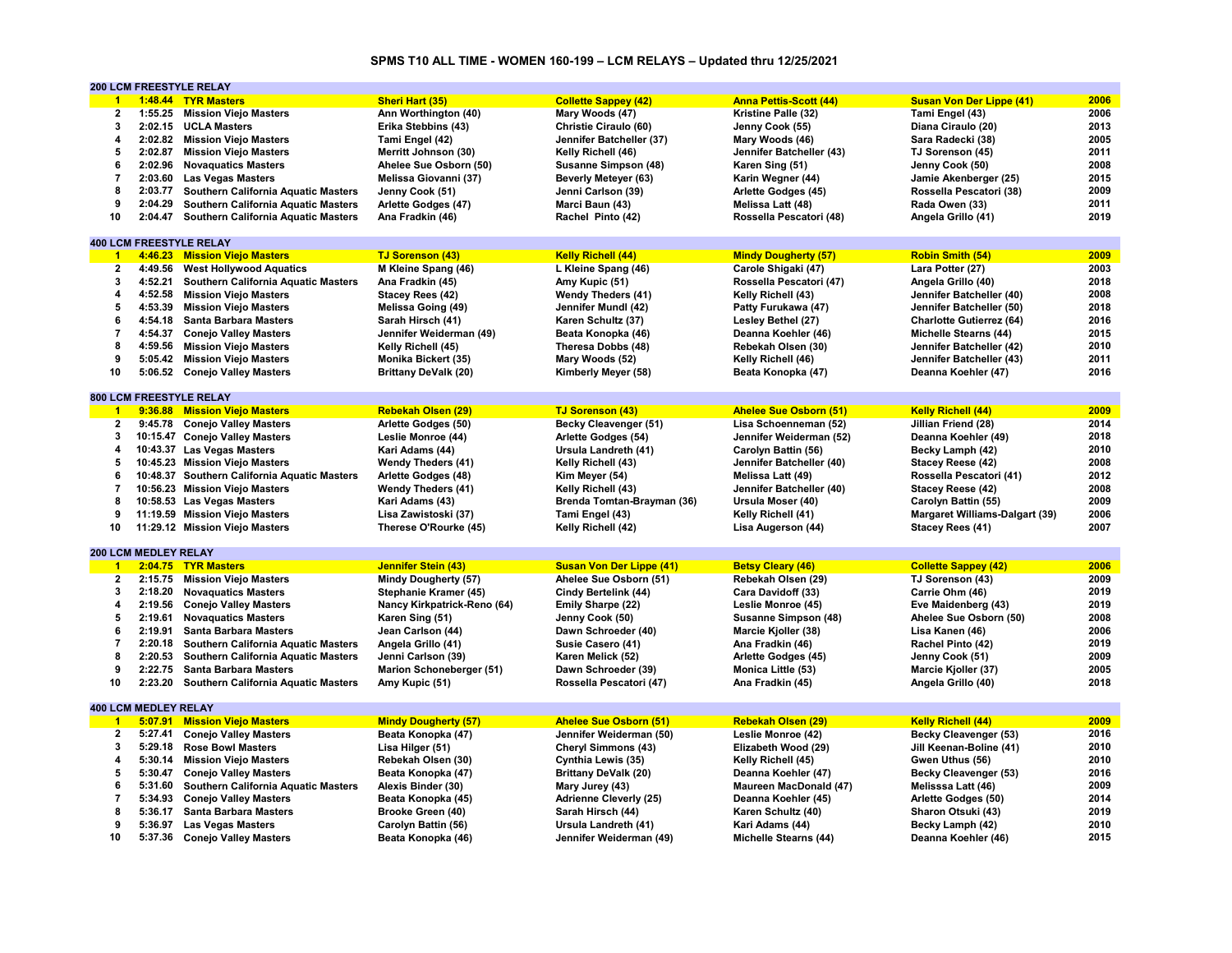# **SPMS T10 ALL TIME - WOMEN 160-199 – LCM RELAYS – Updated thru 12/25/2021**

|                         |                             | <b>200 LCM FREESTYLE RELAY</b>               |                             |                                 |                               |                                       |      |
|-------------------------|-----------------------------|----------------------------------------------|-----------------------------|---------------------------------|-------------------------------|---------------------------------------|------|
| $\blacktriangleleft$    |                             | 1:48.44 TYR Masters                          | Sheri Hart (35)             | <b>Collette Sappey (42)</b>     | <b>Anna Pettis-Scott (44)</b> | <b>Susan Von Der Lippe (41)</b>       | 2006 |
| $\mathbf 2$             | 1:55.25                     | <b>Mission Viejo Masters</b>                 | Ann Worthington (40)        | Mary Woods (47)                 | Kristine Palle (32)           | Tami Engel (43)                       | 2006 |
| 3                       |                             | 2:02.15 UCLA Masters                         | Erika Stebbins (43)         | Christie Ciraulo (60)           | Jenny Cook (55)               | Diana Ciraulo (20)                    | 2013 |
| $\boldsymbol{4}$        |                             | 2:02.82 Mission Viejo Masters                | Tami Engel (42)             | Jennifer Batcheller (37)        | Mary Woods (46)               | Sara Radecki (38)                     | 2005 |
| 5                       | 2:02.87                     | <b>Mission Viejo Masters</b>                 | Merritt Johnson (30)        | Kelly Richell (46)              | Jennifer Batcheller (43)      | TJ Sorenson (45)                      | 2011 |
| 6                       | 2:02.96                     | <b>Novaguatics Masters</b>                   | Ahelee Sue Osborn (50)      | Susanne Simpson (48)            | Karen Sing (51)               | Jenny Cook (50)                       | 2008 |
| $\overline{7}$          | 2:03.60                     | <b>Las Vegas Masters</b>                     | Melissa Giovanni (37)       | <b>Beverly Meteyer (63)</b>     | Karin Wegner (44)             |                                       | 2015 |
|                         |                             |                                              |                             |                                 |                               | Jamie Akenberger (25)                 | 2009 |
| 8                       | 2:03.77                     | <b>Southern California Aquatic Masters</b>   | Jenny Cook (51)             | Jenni Carlson (39)              | Arlette Godges (45)           | Rossella Pescatori (38)               |      |
| 9                       | 2:04.29                     | <b>Southern California Aquatic Masters</b>   | Arlette Godges (47)         | Marci Baun (43)                 | Melissa Latt (48)             | Rada Owen (33)                        | 2011 |
| 10                      | 2:04.47                     | <b>Southern California Aquatic Masters</b>   | Ana Fradkin (46)            | Rachel Pinto (42)               | Rossella Pescatori (48)       | Angela Grillo (41)                    | 2019 |
|                         |                             |                                              |                             |                                 |                               |                                       |      |
|                         |                             | <b>400 LCM FREESTYLE RELAY</b>               |                             |                                 |                               |                                       |      |
| $\blacktriangleleft$    | 4:46.23                     | <b>Mission Viejo Masters</b>                 | <b>TJ Sorenson (43)</b>     | <b>Kelly Richell (44)</b>       | <b>Mindy Dougherty (57)</b>   | <b>Robin Smith (54)</b>               | 2009 |
| $\mathbf{2}$            | 4:49.56                     | <b>West Hollywood Aquatics</b>               | M Kleine Spang (46)         | L Kleine Spang (46)             | Carole Shigaki (47)           | Lara Potter (27)                      | 2003 |
| 3                       | 4:52.21                     | <b>Southern California Aquatic Masters</b>   | Ana Fradkin (45)            | Amy Kupic (51)                  | Rossella Pescatori (47)       | Angela Grillo (40)                    | 2018 |
| $\overline{\mathbf{4}}$ | 4:52.58                     | <b>Mission Viejo Masters</b>                 | Stacey Rees (42)            | <b>Wendy Theders (41)</b>       | Kelly Richell (43)            | Jennifer Batcheller (40)              | 2008 |
| 5                       | 4:53.39                     | <b>Mission Viejo Masters</b>                 | <b>Melissa Going (49)</b>   | Jennifer Mundl (42)             | Patty Furukawa (47)           | Jennifer Batcheller (50)              | 2018 |
| 6                       | 4:54.18                     | <b>Santa Barbara Masters</b>                 | Sarah Hirsch (41)           | Karen Schultz (37)              | Lesley Bethel (27)            | <b>Charlotte Gutierrez (64)</b>       | 2016 |
| $\overline{7}$          | 4:54.37                     | <b>Conejo Valley Masters</b>                 | Jennifer Weiderman (49)     | Beata Konopka (46)              | Deanna Koehler (46)           | <b>Michelle Stearns (44)</b>          | 2015 |
| 8                       | 4:59.56                     | <b>Mission Viejo Masters</b>                 | Kelly Richell (45)          | Theresa Dobbs (48)              | Rebekah Olsen (30)            | Jennifer Batcheller (42)              | 2010 |
| 9                       |                             | 5:05.42 Mission Viejo Masters                | Monika Bickert (35)         | Mary Woods (52)                 | Kelly Richell (46)            | Jennifer Batcheller (43)              | 2011 |
| 10                      | 5:06.52                     | <b>Conejo Valley Masters</b>                 | <b>Brittany DeValk (20)</b> | Kimberly Meyer (58)             | Beata Konopka (47)            | Deanna Koehler (47)                   | 2016 |
|                         |                             |                                              |                             |                                 |                               |                                       |      |
|                         |                             | <b>800 LCM FREESTYLE RELAY</b>               |                             |                                 |                               |                                       |      |
| $-1$                    |                             |                                              |                             |                                 |                               |                                       | 2009 |
|                         |                             | 9:36.88 Mission Viejo Masters                | <b>Rebekah Olsen (29)</b>   | <b>TJ Sorenson (43)</b>         | <b>Ahelee Sue Osborn (51)</b> | <b>Kelly Richell (44)</b>             |      |
| $\mathbf{2}$            |                             | 9:45.78 Conejo Valley Masters                | Arlette Godges (50)         | Becky Cleavenger (51)           | Lisa Schoenneman (52)         | Jillian Friend (28)                   | 2014 |
| 3                       |                             | 10:15.47 Conejo Valley Masters               | Leslie Monroe (44)          | Arlette Godges (54)             | Jennifer Weiderman (52)       | Deanna Koehler (49)                   | 2018 |
| 4                       |                             | 10:43.37 Las Vegas Masters                   | Kari Adams (44)             | Ursula Landreth (41)            | Carolyn Battin (56)           | Becky Lamph (42)                      | 2010 |
| 5                       |                             | 10:45.23 Mission Viejo Masters               | <b>Wendy Theders (41)</b>   | Kelly Richell (43)              | Jennifer Batcheller (40)      | Stacey Reese (42)                     | 2008 |
| 6                       |                             | 10:48.37 Southern California Aquatic Masters | Arlette Godges (48)         | Kim Meyer (54)                  | Melissa Latt (49)             | Rossella Pescatori (41)               | 2012 |
| $\overline{7}$          |                             | 10:56.23 Mission Viejo Masters               | <b>Wendy Theders (41)</b>   | Kelly Richell (43)              | Jennifer Batcheller (40)      | Stacey Reese (42)                     | 2008 |
| 8                       |                             | 10:58.53 Las Vegas Masters                   | Kari Adams (43)             | Brenda Tomtan-Brayman (36)      | Ursula Moser (40)             | Carolyn Battin (55)                   | 2009 |
| 9                       |                             | 11:19.59 Mission Viejo Masters               | Lisa Zawistoski (37)        | Tami Engel (43)                 | Kelly Richell (41)            | <b>Margaret Williams-Dalgart (39)</b> | 2006 |
| 10                      |                             | 11:29.12 Mission Viejo Masters               | Therese O'Rourke (45)       | Kelly Richell (42)              | Lisa Augerson (44)            | Stacey Rees (41)                      | 2007 |
|                         |                             |                                              |                             |                                 |                               |                                       |      |
|                         | <b>200 LCM MEDLEY RELAY</b> |                                              |                             |                                 |                               |                                       |      |
| $\blacktriangleleft$    |                             | 2:04.75 TYR Masters                          | <b>Jennifer Stein (43)</b>  | <b>Susan Von Der Lippe (41)</b> | <b>Betsy Cleary (46)</b>      | <b>Collette Sappey (42)</b>           | 2006 |
| $\overline{2}$          | 2:15.75                     | <b>Mission Viejo Masters</b>                 | Mindy Dougherty (57)        | Ahelee Sue Osborn (51)          | Rebekah Olsen (29)            | TJ Sorenson (43)                      | 2009 |
| 3                       | 2:18.20                     |                                              |                             |                                 |                               |                                       | 2019 |
|                         |                             | <b>Novaguatics Masters</b>                   | Stephanie Kramer (45)       | Cindy Bertelink (44)            | Cara Davidoff (33)            | Carrie Ohm (46)                       |      |
| 4                       | 2:19.56                     | <b>Conejo Valley Masters</b>                 | Nancy Kirkpatrick-Reno (64) | Emily Sharpe (22)               | Leslie Monroe (45)            | Eve Maidenberg (43)                   | 2019 |
| 5                       | 2:19.61                     | <b>Novaguatics Masters</b>                   | Karen Sing (51)             | Jenny Cook (50)                 | Susanne Simpson (48)          | Ahelee Sue Osborn (50)                | 2008 |
| 6                       | 2:19.91                     | <b>Santa Barbara Masters</b>                 | Jean Carlson (44)           | Dawn Schroeder (40)             | Marcie Kjoller (38)           | Lisa Kanen (46)                       | 2006 |
| $\overline{7}$          | 2:20.18                     | Southern California Aquatic Masters          | Angela Grillo (41)          | Susie Casero (41)               | Ana Fradkin (46)              | Rachel Pinto (42)                     | 2019 |
| 8                       | 2:20.53                     | Southern California Aquatic Masters          | Jenni Carlson (39)          | Karen Melick (52)               | Arlette Godges (45)           | Jenny Cook (51)                       | 2009 |
| 9                       | 2:22.75                     | <b>Santa Barbara Masters</b>                 | Marion Schoneberger (51)    | Dawn Schroeder (39)             | Monica Little (53)            | Marcie Kjoller (37)                   | 2005 |
| 10                      | 2:23.20                     | Southern California Aquatic Masters          | Amy Kupic (51)              | Rossella Pescatori (47)         | Ana Fradkin (45)              | Angela Grillo (40)                    | 2018 |
|                         |                             |                                              |                             |                                 |                               |                                       |      |
|                         | <b>400 LCM MEDLEY RELAY</b> |                                              |                             |                                 |                               |                                       |      |
| $\overline{1}$          | 5:07.91                     | <b>Mission Viejo Masters</b>                 | <b>Mindy Dougherty (57)</b> | <b>Ahelee Sue Osborn (51)</b>   | <b>Rebekah Olsen (29)</b>     | <b>Kelly Richell (44)</b>             | 2009 |
| $\mathbf{2}$            | 5:27.41                     | <b>Conejo Valley Masters</b>                 | Beata Konopka (47)          | Jennifer Weiderman (50)         | Leslie Monroe (42)            | Becky Cleavenger (53)                 | 2016 |
| 3                       | 5:29.18                     | <b>Rose Bowl Masters</b>                     | Lisa Hilger (51)            | <b>Cheryl Simmons (43)</b>      | Elizabeth Wood (29)           | Jill Keenan-Boline (41)               | 2010 |
| $\overline{\mathbf{4}}$ | 5:30.14                     | <b>Mission Viejo Masters</b>                 | Rebekah Olsen (30)          | Cynthia Lewis (35)              | Kelly Richell (45)            | Gwen Uthus (56)                       | 2010 |
| 5                       | 5:30.47                     | <b>Conejo Valley Masters</b>                 |                             | <b>Brittany DeValk (20)</b>     | Deanna Koehler (47)           | Becky Cleavenger (53)                 | 2016 |
|                         |                             |                                              | Beata Konopka (47)          |                                 |                               |                                       |      |
| 6                       | 5:31.60                     | Southern California Aquatic Masters          | Alexis Binder (30)          | Mary Jurey (43)                 | <b>Maureen MacDonald (47)</b> | Melisssa Latt (46)                    | 2009 |
| $\overline{7}$          | 5:34.93                     | <b>Conejo Valley Masters</b>                 | Beata Konopka (45)          | <b>Adrienne Cleverly (25)</b>   | Deanna Koehler (45)           | Arlette Godges (50)                   | 2014 |
| 8                       | 5:36.17                     | <b>Santa Barbara Masters</b>                 | Brooke Green (40)           | Sarah Hirsch (44)               | Karen Schultz (40)            | Sharon Otsuki (43)                    | 2019 |
| 9                       | 5:36.97                     | <b>Las Vegas Masters</b>                     | Carolyn Battin (56)         | Ursula Landreth (41)            | Kari Adams (44)               | Becky Lamph (42)                      | 2010 |
| 10                      |                             | 5:37.36 Conejo Valley Masters                | Beata Konopka (46)          | Jennifer Weiderman (49)         | Michelle Stearns (44)         | Deanna Koehler (46)                   | 2015 |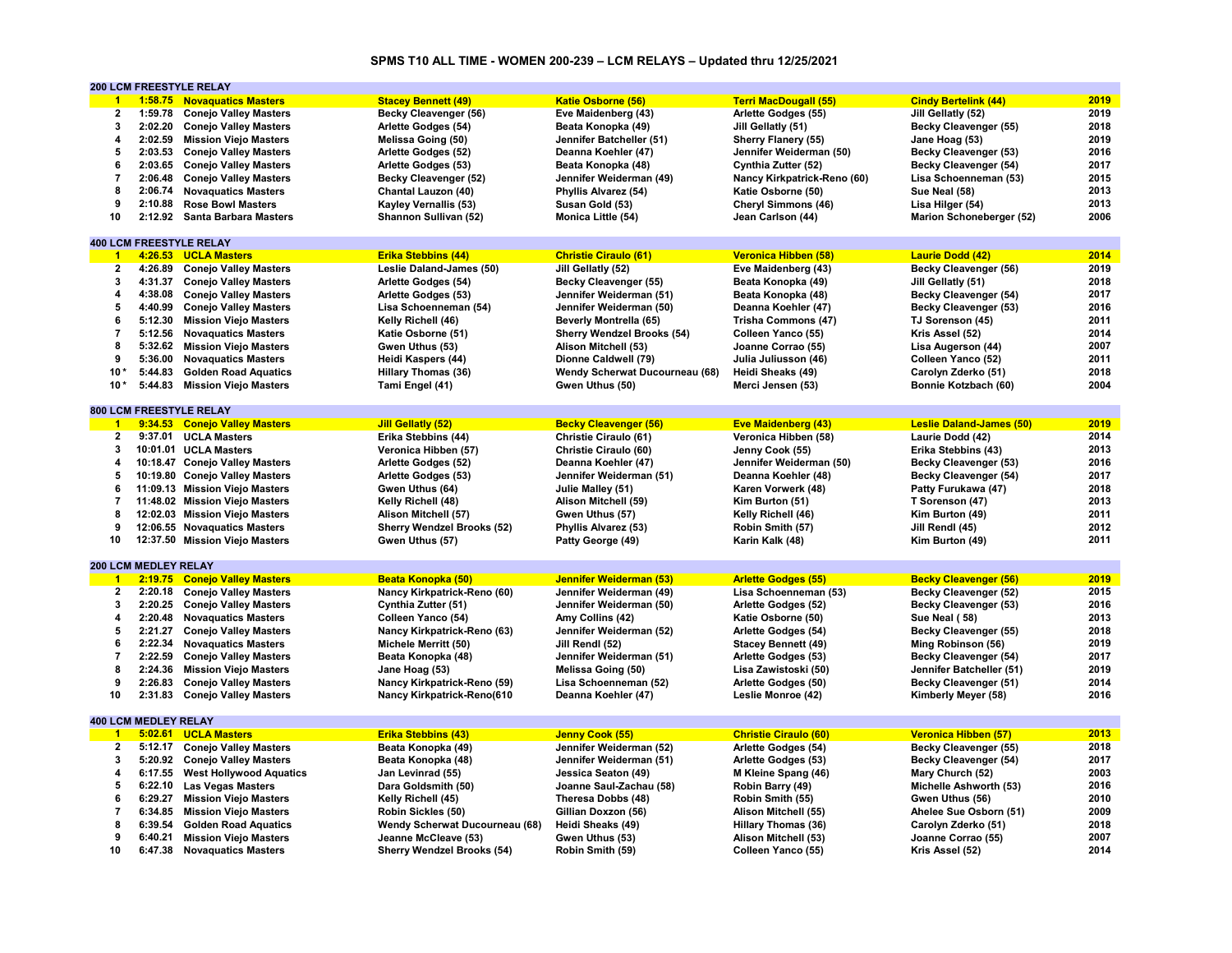# **SPMS T10 ALL TIME - WOMEN 200-239 – LCM RELAYS – Updated thru 12/25/2021**

|                          |                             | <b>200 LCM FREESTYLE RELAY</b> |                                   |                                   |                              |                                 |      |
|--------------------------|-----------------------------|--------------------------------|-----------------------------------|-----------------------------------|------------------------------|---------------------------------|------|
| $\blacksquare$           |                             | 1:58.75 Novaguatics Masters    | <b>Stacey Bennett (49)</b>        | <b>Katie Osborne (56)</b>         | <b>Terri MacDougall (55)</b> | <b>Cindy Bertelink (44)</b>     | 2019 |
| $\overline{\mathbf{2}}$  | 1:59.78                     | <b>Conejo Valley Masters</b>   | Becky Cleavenger (56)             | Eve Maidenberg (43)               | Arlette Godges (55)          | Jill Gellatly (52)              | 2019 |
| 3                        |                             | 2:02.20 Conejo Valley Masters  | Arlette Godges (54)               | Beata Konopka (49)                | Jill Gellatly (51)           | Becky Cleavenger (55)           | 2018 |
| 4                        | 2:02.59                     | <b>Mission Viejo Masters</b>   | Melissa Going (50)                | Jennifer Batcheller (51)          | <b>Sherry Flanery (55)</b>   | Jane Hoag (53)                  | 2019 |
| 5                        |                             | 2:03.53 Conejo Valley Masters  | Arlette Godges (52)               | Deanna Koehler (47)               | Jennifer Weiderman (50)      | <b>Becky Cleavenger (53)</b>    | 2016 |
| 6                        | 2:03.65                     | <b>Conejo Valley Masters</b>   | Arlette Godges (53)               | Beata Konopka (48)                | Cynthia Zutter (52)          | <b>Becky Cleavenger (54)</b>    | 2017 |
| $\overline{7}$           | 2:06.48                     | <b>Conejo Valley Masters</b>   | Becky Cleavenger (52)             | Jennifer Weiderman (49)           | Nancy Kirkpatrick-Reno (60)  | Lisa Schoenneman (53)           | 2015 |
| 8                        |                             | 2:06.74 Novaguatics Masters    | Chantal Lauzon (40)               | Phyllis Alvarez (54)              | Katie Osborne (50)           | Sue Neal (58)                   | 2013 |
| 9                        | 2:10.88                     | <b>Rose Bowl Masters</b>       | <b>Kayley Vernallis (53)</b>      | Susan Gold (53)                   | Cheryl Simmons (46)          | Lisa Hilger (54)                | 2013 |
| 10                       |                             | 2:12.92 Santa Barbara Masters  | Shannon Sullivan (52)             | Monica Little (54)                | Jean Carlson (44)            | Marion Schoneberger (52)        | 2006 |
|                          |                             |                                |                                   |                                   |                              |                                 |      |
|                          |                             | <b>400 LCM FREESTYLE RELAY</b> |                                   |                                   |                              |                                 |      |
|                          |                             | 1 4:26.53 UCLA Masters         |                                   | <b>Christie Ciraulo (61)</b>      |                              | <b>Laurie Dodd (42)</b>         | 2014 |
| $\overline{2}$           |                             |                                | <b>Erika Stebbins (44)</b>        |                                   | <b>Veronica Hibben (58)</b>  |                                 | 2019 |
|                          |                             | 4:26.89 Conejo Valley Masters  | Leslie Daland-James (50)          | Jill Gellatly (52)                | Eve Maidenberg (43)          | <b>Becky Cleavenger (56)</b>    |      |
| 3                        |                             | 4:31.37 Conejo Valley Masters  | Arlette Godges (54)               | Becky Cleavenger (55)             | Beata Konopka (49)           | Jill Gellatly (51)              | 2018 |
| 4                        |                             | 4:38.08 Conejo Valley Masters  | Arlette Godges (53)               | Jennifer Weiderman (51)           | Beata Konopka (48)           | <b>Becky Cleavenger (54)</b>    | 2017 |
| 5                        |                             | 4:40.99 Conejo Valley Masters  | Lisa Schoenneman (54)             | Jennifer Weiderman (50)           | Deanna Koehler (47)          | Becky Cleavenger (53)           | 2016 |
| 6                        | 5:12.30                     | <b>Mission Viejo Masters</b>   | Kelly Richell (46)                | <b>Beverly Montrella (65)</b>     | Trisha Commons (47)          | TJ Sorenson (45)                | 2011 |
| $\overline{7}$           | 5:12.56                     | <b>Novaquatics Masters</b>     | Katie Osborne (51)                | <b>Sherry Wendzel Brooks (54)</b> | Colleen Yanco (55)           | Kris Assel (52)                 | 2014 |
| 8                        | 5:32.62                     | <b>Mission Viejo Masters</b>   | Gwen Uthus (53)                   | Alison Mitchell (53)              | Joanne Corrao (55)           | Lisa Augerson (44)              | 2007 |
| 9                        |                             | 5:36.00 Novaguatics Masters    | Heidi Kaspers (44)                | Dionne Caldwell (79)              | Julia Juliusson (46)         | Colleen Yanco (52)              | 2011 |
| $10*$                    | 5:44.83                     | <b>Golden Road Aquatics</b>    | <b>Hillary Thomas (36)</b>        | Wendy Scherwat Ducourneau (68)    | Heidi Sheaks (49)            | Carolyn Zderko (51)             | 2018 |
| $10*$                    | 5:44.83                     | <b>Mission Viejo Masters</b>   | Tami Engel (41)                   | Gwen Uthus (50)                   | Merci Jensen (53)            | Bonnie Kotzbach (60)            | 2004 |
|                          |                             |                                |                                   |                                   |                              |                                 |      |
|                          |                             | <b>800 LCM FREESTYLE RELAY</b> |                                   |                                   |                              |                                 |      |
| $\overline{1}$           |                             | 9:34.53 Conejo Valley Masters  | <b>Jill Gellatly (52)</b>         | <b>Becky Cleavenger (56)</b>      | <b>Eve Maidenberg (43)</b>   | <b>Leslie Daland-James (50)</b> | 2019 |
| $\mathbf{2}$             |                             | 9:37.01 UCLA Masters           | Erika Stebbins (44)               | Christie Ciraulo (61)             | Veronica Hibben (58)         | Laurie Dodd (42)                | 2014 |
| 3                        |                             | 10:01.01 UCLA Masters          | Veronica Hibben (57)              | Christie Ciraulo (60)             | Jenny Cook (55)              | Erika Stebbins (43)             | 2013 |
| 4                        |                             | 10:18.47 Conejo Valley Masters | Arlette Godges (52)               | Deanna Koehler (47)               | Jennifer Weiderman (50)      | <b>Becky Cleavenger (53)</b>    | 2016 |
| 5                        |                             | 10:19.80 Conejo Valley Masters | Arlette Godges (53)               | Jennifer Weiderman (51)           | Deanna Koehler (48)          | Becky Cleavenger (54)           | 2017 |
| 6                        |                             | 11:09.13 Mission Viejo Masters | Gwen Uthus (64)                   | Julie Malley (51)                 | Karen Vorwerk (48)           | Patty Furukawa (47)             | 2018 |
| $\overline{\mathbf{7}}$  |                             | 11:48.02 Mission Viejo Masters | Kelly Richell (48)                | Alison Mitchell (59)              | Kim Burton (51)              | T Sorenson (47)                 | 2013 |
| 8                        |                             | 12:02.03 Mission Viejo Masters | Alison Mitchell (57)              | Gwen Uthus (57)                   | Kelly Richell (46)           | Kim Burton (49)                 | 2011 |
| 9                        |                             | 12:06.55 Novaguatics Masters   | <b>Sherry Wendzel Brooks (52)</b> | Phyllis Alvarez (53)              | Robin Smith (57)             | Jill Rendl (45)                 | 2012 |
| 10                       |                             |                                |                                   |                                   |                              |                                 | 2011 |
|                          |                             | 12:37.50 Mission Viejo Masters | Gwen Uthus (57)                   | Patty George (49)                 | Karin Kalk (48)              | Kim Burton (49)                 |      |
|                          | 200 LCM MEDLEY RELAY        |                                |                                   |                                   |                              |                                 |      |
|                          |                             |                                |                                   |                                   |                              |                                 | 2019 |
| $\overline{1}$           |                             | 2:19.75 Conejo Valley Masters  | Beata Konopka (50)                | Jennifer Weiderman (53)           | <b>Arlette Godges (55)</b>   | <b>Becky Cleavenger (56)</b>    |      |
| $\overline{2}$           | 2:20.18                     | <b>Conejo Valley Masters</b>   | Nancy Kirkpatrick-Reno (60)       | Jennifer Weiderman (49)           | Lisa Schoenneman (53)        | Becky Cleavenger (52)           | 2015 |
| 3                        |                             | 2:20.25 Conejo Valley Masters  | Cynthia Zutter (51)               | Jennifer Weiderman (50)           | Arlette Godges (52)          | <b>Becky Cleavenger (53)</b>    | 2016 |
| 4                        |                             | 2:20.48 Novaquatics Masters    | Colleen Yanco (54)                | Amy Collins (42)                  | Katie Osborne (50)           | Sue Neal (58)                   | 2013 |
| 5                        |                             | 2:21.27 Conejo Valley Masters  | Nancy Kirkpatrick-Reno (63)       | Jennifer Weiderman (52)           | Arlette Godges (54)          | Becky Cleavenger (55)           | 2018 |
| 6                        | 2:22.34                     | <b>Novaquatics Masters</b>     | Michele Merritt (50)              | Jill Rendl (52)                   | <b>Stacey Bennett (49)</b>   | Ming Robinson (56)              | 2019 |
| $\overline{\phantom{a}}$ | 2:22.59                     | <b>Conejo Valley Masters</b>   | Beata Konopka (48)                | Jennifer Weiderman (51)           | Arlette Godges (53)          | <b>Becky Cleavenger (54)</b>    | 2017 |
| 8                        | 2:24.36                     | <b>Mission Viejo Masters</b>   | Jane Hoag (53)                    | Melissa Going (50)                | Lisa Zawistoski (50)         | Jennifer Batcheller (51)        | 2019 |
| 9                        | 2:26.83                     | <b>Conejo Valley Masters</b>   | Nancy Kirkpatrick-Reno (59)       | Lisa Schoenneman (52)             | Arlette Godges (50)          | Becky Cleavenger (51)           | 2014 |
| 10                       | 2:31.83                     | <b>Conejo Valley Masters</b>   | Nancy Kirkpatrick-Reno(610        | Deanna Koehler (47)               | Leslie Monroe (42)           | Kimberly Meyer (58)             | 2016 |
|                          |                             |                                |                                   |                                   |                              |                                 |      |
|                          | <b>400 LCM MEDLEY RELAY</b> |                                |                                   |                                   |                              |                                 |      |
| $\overline{1}$           |                             | 5:02.61 UCLA Masters           | <b>Erika Stebbins (43)</b>        | Jenny Cook (55)                   | <b>Christie Ciraulo (60)</b> | Veronica Hibben (57)            | 2013 |
| $\overline{2}$           | 5:12.17                     | <b>Conejo Valley Masters</b>   | Beata Konopka (49)                | Jennifer Weiderman (52)           | Arlette Godges (54)          | Becky Cleavenger (55)           | 2018 |
| 3                        |                             | 5:20.92 Conejo Valley Masters  | Beata Konopka (48)                | Jennifer Weiderman (51)           | Arlette Godges (53)          | <b>Becky Cleavenger (54)</b>    | 2017 |
| 4                        | 6:17.55                     | <b>West Hollywood Aquatics</b> | Jan Levinrad (55)                 | Jessica Seaton (49)               | M Kleine Spang (46)          | Mary Church (52)                | 2003 |
| 5                        |                             | 6:22.10 Las Vegas Masters      | Dara Goldsmith (50)               | Joanne Saul-Zachau (58)           | Robin Barry (49)             | Michelle Ashworth (53)          | 2016 |
| 6                        | 6:29.27                     | <b>Mission Viejo Masters</b>   | Kelly Richell (45)                | Theresa Dobbs (48)                | Robin Smith (55)             | Gwen Uthus (56)                 | 2010 |
| $\overline{\phantom{a}}$ | 6:34.85                     | <b>Mission Viejo Masters</b>   | Robin Sickles (50)                | Gillian Doxzon (56)               | Alison Mitchell (55)         | Ahelee Sue Osborn (51)          | 2009 |
| 8                        | 6:39.54                     | <b>Golden Road Aquatics</b>    | Wendy Scherwat Ducourneau (68)    | Heidi Sheaks (49)                 | <b>Hillary Thomas (36)</b>   | Carolyn Zderko (51)             | 2018 |
| 9                        | 6:40.21                     | <b>Mission Viejo Masters</b>   | Jeanne McCleave (53)              | Gwen Uthus (53)                   | Alison Mitchell (53)         | Joanne Corrao (55)              | 2007 |
| 10                       |                             | 6:47.38 Novaguatics Masters    | <b>Sherry Wendzel Brooks (54)</b> | Robin Smith (59)                  | Colleen Yanco (55)           | Kris Assel (52)                 | 2014 |
|                          |                             |                                |                                   |                                   |                              |                                 |      |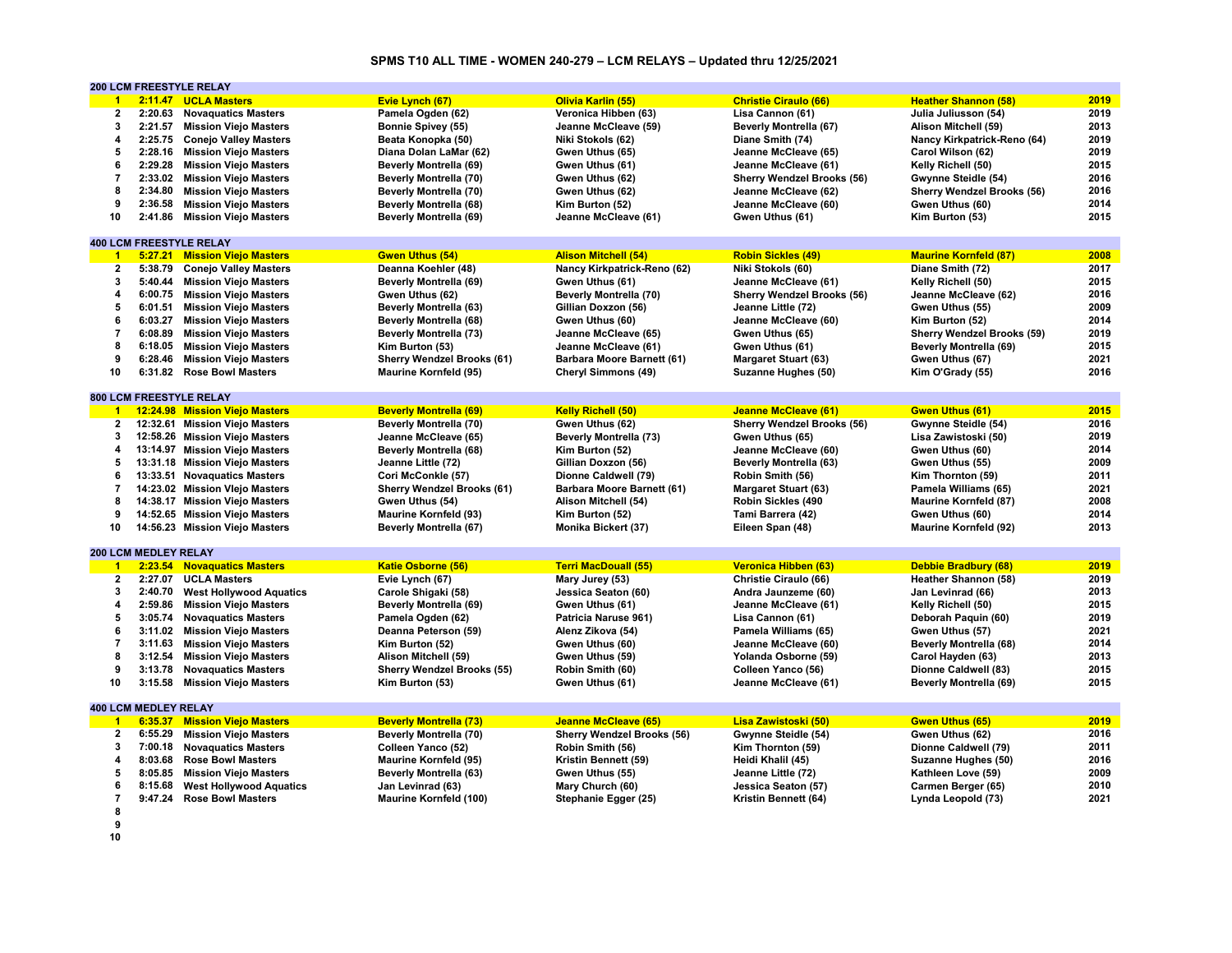# **SPMS T10 ALL TIME - WOMEN 240-279 – LCM RELAYS – Updated thru 12/25/2021**

|                         |                             | <b>200 LCM FREESTYLE RELAY</b>                             |                                   |                                   |                                   |                                             |              |
|-------------------------|-----------------------------|------------------------------------------------------------|-----------------------------------|-----------------------------------|-----------------------------------|---------------------------------------------|--------------|
| $\blacktriangleleft$    |                             | 2:11.47 UCLA Masters                                       | Evie Lynch (67)                   | Olivia Karlin (55)                | <b>Christie Ciraulo (66)</b>      | <b>Heather Shannon (58)</b>                 | 2019         |
| $\overline{\mathbf{2}}$ | 2:20.63                     | <b>Novaguatics Masters</b>                                 | Pamela Ogden (62)                 | Veronica Hibben (63)              | Lisa Cannon (61)                  | Julia Juliusson (54)                        | 2019         |
| 3                       | 2:21.57                     | <b>Mission Viejo Masters</b>                               | <b>Bonnie Spivey (55)</b>         | Jeanne McCleave (59)              | <b>Beverly Montrella (67)</b>     | Alison Mitchell (59)                        | 2013         |
| 4                       |                             | 2:25.75 Conejo Valley Masters                              | Beata Konopka (50)                | Niki Stokols (62)                 | Diane Smith (74)                  | Nancy Kirkpatrick-Reno (64)                 | 2019         |
| 5                       |                             | 2:28.16 Mission Viejo Masters                              | Diana Dolan LaMar (62)            | Gwen Uthus (65)                   | Jeanne McCleave (65)              | Carol Wilson (62)                           | 2019         |
| 6                       | 2:29.28                     | <b>Mission Viejo Masters</b>                               | <b>Beverly Montrella (69)</b>     | Gwen Uthus (61)                   | Jeanne McCleave (61)              | Kelly Richell (50)                          | 2015         |
| $\overline{7}$          |                             | 2:33.02 Mission Viejo Masters                              | Beverly Montrella (70)            | Gwen Uthus (62)                   | <b>Sherry Wendzel Brooks (56)</b> | Gwynne Steidle (54)                         | 2016         |
| 8                       | 2:34.80                     | <b>Mission Viejo Masters</b>                               | <b>Beverly Montrella (70)</b>     | Gwen Uthus (62)                   | Jeanne McCleave (62)              | <b>Sherry Wendzel Brooks (56)</b>           | 2016         |
| 9                       | 2:36.58                     | <b>Mission Viejo Masters</b>                               | <b>Beverly Montrella (68)</b>     | Kim Burton (52)                   | Jeanne McCleave (60)              | Gwen Uthus (60)                             | 2014         |
| 10                      |                             | 2:41.86 Mission Viejo Masters                              | <b>Beverly Montrella (69)</b>     | Jeanne McCleave (61)              | Gwen Uthus (61)                   | Kim Burton (53)                             | 2015         |
|                         |                             |                                                            |                                   |                                   |                                   |                                             |              |
|                         |                             | <b>400 LCM FREESTYLE RELAY</b>                             |                                   |                                   |                                   |                                             |              |
| $\blacksquare$          |                             | 5:27.21 Mission Viejo Masters                              | <b>Gwen Uthus (54)</b>            | <b>Alison Mitchell (54)</b>       | <b>Robin Sickles (49)</b>         | <b>Maurine Kornfeld (87)</b>                | 2008         |
| $\overline{2}$          | 5:38.79                     | <b>Conejo Valley Masters</b>                               | Deanna Koehler (48)               | Nancy Kirkpatrick-Reno (62)       | Niki Stokols (60)                 | Diane Smith (72)                            | 2017         |
| 3                       | 5:40.44                     | <b>Mission Viejo Masters</b>                               | Beverly Montrella (69)            | Gwen Uthus (61)                   | Jeanne McCleave (61)              | Kelly Richell (50)                          | 2015         |
| 4                       |                             | 6:00.75 Mission Viejo Masters                              | Gwen Uthus (62)                   | Beverly Montrella (70)            | <b>Sherry Wendzel Brooks (56)</b> | Jeanne McCleave (62)                        | 2016         |
| 5                       | 6:01.51                     | <b>Mission Viejo Masters</b>                               | <b>Beverly Montrella (63)</b>     | Gillian Doxzon (56)               | Jeanne Little (72)                | Gwen Uthus (55)                             | 2009         |
| 6                       |                             | 6:03.27 Mission Viejo Masters                              | <b>Beverly Montrella (68)</b>     | Gwen Uthus (60)                   | Jeanne McCleave (60)              | Kim Burton (52)                             | 2014         |
| $\overline{7}$          | 6:08.89                     | <b>Mission Viejo Masters</b>                               | Beverly Montrella (73)            | Jeanne McCleave (65)              | Gwen Uthus (65)                   | <b>Sherry Wendzel Brooks (59)</b>           | 2019         |
| 8                       |                             |                                                            |                                   |                                   |                                   |                                             | 2015         |
|                         | 6:18.05                     | <b>Mission Viejo Masters</b>                               | Kim Burton (53)                   | Jeanne McCleave (61)              | Gwen Uthus (61)                   | <b>Beverly Montrella (69)</b>               |              |
| 9<br>10                 |                             | 6:28.46 Mission Viejo Masters<br>6:31.82 Rose Bowl Masters | <b>Sherry Wendzel Brooks (61)</b> | Barbara Moore Barnett (61)        | <b>Margaret Stuart (63)</b>       | Gwen Uthus (67)                             | 2021<br>2016 |
|                         |                             |                                                            | <b>Maurine Kornfeld (95)</b>      | Cheryl Simmons (49)               | Suzanne Hughes (50)               | Kim O'Grady (55)                            |              |
|                         |                             | 800 LCM FREESTYLE RELAY                                    |                                   |                                   |                                   |                                             |              |
| $\blacksquare$          |                             | 12:24.98 Mission Viejo Masters                             | <b>Beverly Montrella (69)</b>     | <b>Kelly Richell (50)</b>         | <b>Jeanne McCleave (61)</b>       | <b>Gwen Uthus (61)</b>                      | 2015         |
| $\overline{2}$          |                             | 12:32.61 Mission Viejo Masters                             | Beverly Montrella (70)            | Gwen Uthus (62)                   | <b>Sherry Wendzel Brooks (56)</b> |                                             | 2016         |
|                         |                             | 12:58.26 Mission Viejo Masters                             | Jeanne McCleave (65)              |                                   |                                   | Gwynne Steidle (54)<br>Lisa Zawistoski (50) | 2019         |
| 3                       |                             |                                                            |                                   | <b>Beverly Montrella (73)</b>     | Gwen Uthus (65)                   |                                             |              |
| 4                       |                             | 13:14.97 Mission Viejo Masters                             | <b>Beverly Montrella (68)</b>     | Kim Burton (52)                   | Jeanne McCleave (60)              | Gwen Uthus (60)                             | 2014         |
| 5                       |                             | 13:31.18 Mission Viejo Masters                             | Jeanne Little (72)                | Gillian Doxzon (56)               | <b>Beverly Montrella (63)</b>     | Gwen Uthus (55)                             | 2009         |
| 6                       |                             | 13:33.51 Novaguatics Masters                               | Cori McConkle (57)                | Dionne Caldwell (79)              | Robin Smith (56)                  | Kim Thornton (59)                           | 2011         |
| 7                       |                             | 14:23.02 Mission Vlejo Masters                             | <b>Sherry Wendzel Brooks (61)</b> | Barbara Moore Barnett (61)        | <b>Margaret Stuart (63)</b>       | Pamela Williams (65)                        | 2021         |
| 8                       |                             | 14:38.17 Mission Viejo Masters                             | Gwen Uthus (54)                   | Alison Mitchell (54)              | Robin Sickles (490                | <b>Maurine Kornfeld (87)</b>                | 2008         |
| 9                       |                             | 14:52.65 Mission Viejo Masters                             | <b>Maurine Kornfeld (93)</b>      | Kim Burton (52)                   | Tami Barrera (42)                 | Gwen Uthus (60)                             | 2014         |
| 10                      |                             | 14:56.23 Mission Viejo Masters                             | <b>Beverly Montrella (67)</b>     | Monika Bickert (37)               | Eileen Span (48)                  | <b>Maurine Kornfeld (92)</b>                | 2013         |
|                         |                             |                                                            |                                   |                                   |                                   |                                             |              |
|                         | 200 LCM MEDLEY RELAY        |                                                            |                                   |                                   |                                   |                                             |              |
| $\blacktriangleleft$    |                             | 2:23.54 Novaguatics Masters                                | <b>Katie Osborne (56)</b>         | <b>Terri MacDouall (55)</b>       | <b>Veronica Hibben (63)</b>       | <b>Debbie Bradbury (68)</b>                 | 2019         |
| $\overline{2}$          | 2:27.07                     | <b>UCLA Masters</b>                                        | Evie Lynch (67)                   | Mary Jurey (53)                   | Christie Ciraulo (66)             | Heather Shannon (58)                        | 2019         |
| 3                       | 2:40.70                     | <b>West Hollywood Aquatics</b>                             | Carole Shigaki (58)               | Jessica Seaton (60)               | Andra Jaunzeme (60)               | Jan Levinrad (66)                           | 2013         |
| 4                       | 2:59.86                     | <b>Mission Viejo Masters</b>                               | <b>Beverly Montrella (69)</b>     | Gwen Uthus (61)                   | Jeanne McCleave (61)              | Kelly Richell (50)                          | 2015         |
| 5                       |                             | 3:05.74 Novaquatics Masters                                | Pamela Ogden (62)                 | Patricia Naruse 961)              | Lisa Cannon (61)                  | Deborah Paquin (60)                         | 2019         |
| 6                       | 3:11.02                     | <b>Mission Viejo Masters</b>                               | Deanna Peterson (59)              | Alenz Zikova (54)                 | Pamela Williams (65)              | Gwen Uthus (57)                             | 2021         |
| 7                       | 3:11.63                     | <b>Mission Viejo Masters</b>                               | Kim Burton (52)                   | Gwen Uthus (60)                   | Jeanne McCleave (60)              | <b>Beverly Montrella (68)</b>               | 2014         |
| 8                       | 3:12.54                     | <b>Mission Viejo Masters</b>                               | Alison Mitchell (59)              | Gwen Uthus (59)                   | Yolanda Osborne (59)              | Carol Hayden (63)                           | 2013         |
| 9                       | 3:13.78                     | <b>Novaquatics Masters</b>                                 | <b>Sherry Wendzel Brooks (55)</b> | Robin Smith (60)                  | Colleen Yanco (56)                | Dionne Caldwell (83)                        | 2015         |
| 10                      | 3:15.58                     | <b>Mission Viejo Masters</b>                               | Kim Burton (53)                   | Gwen Uthus (61)                   | Jeanne McCleave (61)              | <b>Beverly Montrella (69)</b>               | 2015         |
|                         |                             |                                                            |                                   |                                   |                                   |                                             |              |
|                         | <b>400 LCM MEDLEY RELAY</b> |                                                            |                                   |                                   |                                   |                                             |              |
| $\blacktriangleleft$    | 6:35.37                     | <b>Mission Viejo Masters</b>                               | <b>Beverly Montrella (73)</b>     | <b>Jeanne McCleave (65)</b>       | Lisa Zawistoski (50)              | <b>Gwen Uthus (65)</b>                      | 2019         |
| 2                       | 6:55.29                     | <b>Mission Viejo Masters</b>                               | <b>Beverly Montrella (70)</b>     | <b>Sherry Wendzel Brooks (56)</b> | Gwynne Steidle (54)               | Gwen Uthus (62)                             | 2016         |
| 3                       |                             | 7:00.18 Novaguatics Masters                                | Colleen Yanco (52)                | Robin Smith (56)                  | Kim Thornton (59)                 | Dionne Caldwell (79)                        | 2011         |
| 4                       | 8:03.68                     | <b>Rose Bowl Masters</b>                                   | <b>Maurine Kornfeld (95)</b>      | Kristin Bennett (59)              | Heidi Khalil (45)                 | Suzanne Hughes (50)                         | 2016         |
| 5                       | 8:05.85                     | <b>Mission Viejo Masters</b>                               | <b>Beverly Montrella (63)</b>     | Gwen Uthus (55)                   | Jeanne Little (72)                | Kathleen Love (59)                          | 2009         |
| 6                       | 8:15.68                     | <b>West Hollywood Aquatics</b>                             | Jan Levinrad (63)                 | Mary Church (60)                  | Jessica Seaton (57)               | Carmen Berger (65)                          | 2010         |
| $\overline{7}$          | 9:47.24                     | <b>Rose Bowl Masters</b>                                   | <b>Maurine Kornfeld (100)</b>     | Stephanie Egger (25)              | Kristin Bennett (64)              | Lynda Leopold (73)                          | 2021         |
| 8                       |                             |                                                            |                                   |                                   |                                   |                                             |              |
| 9                       |                             |                                                            |                                   |                                   |                                   |                                             |              |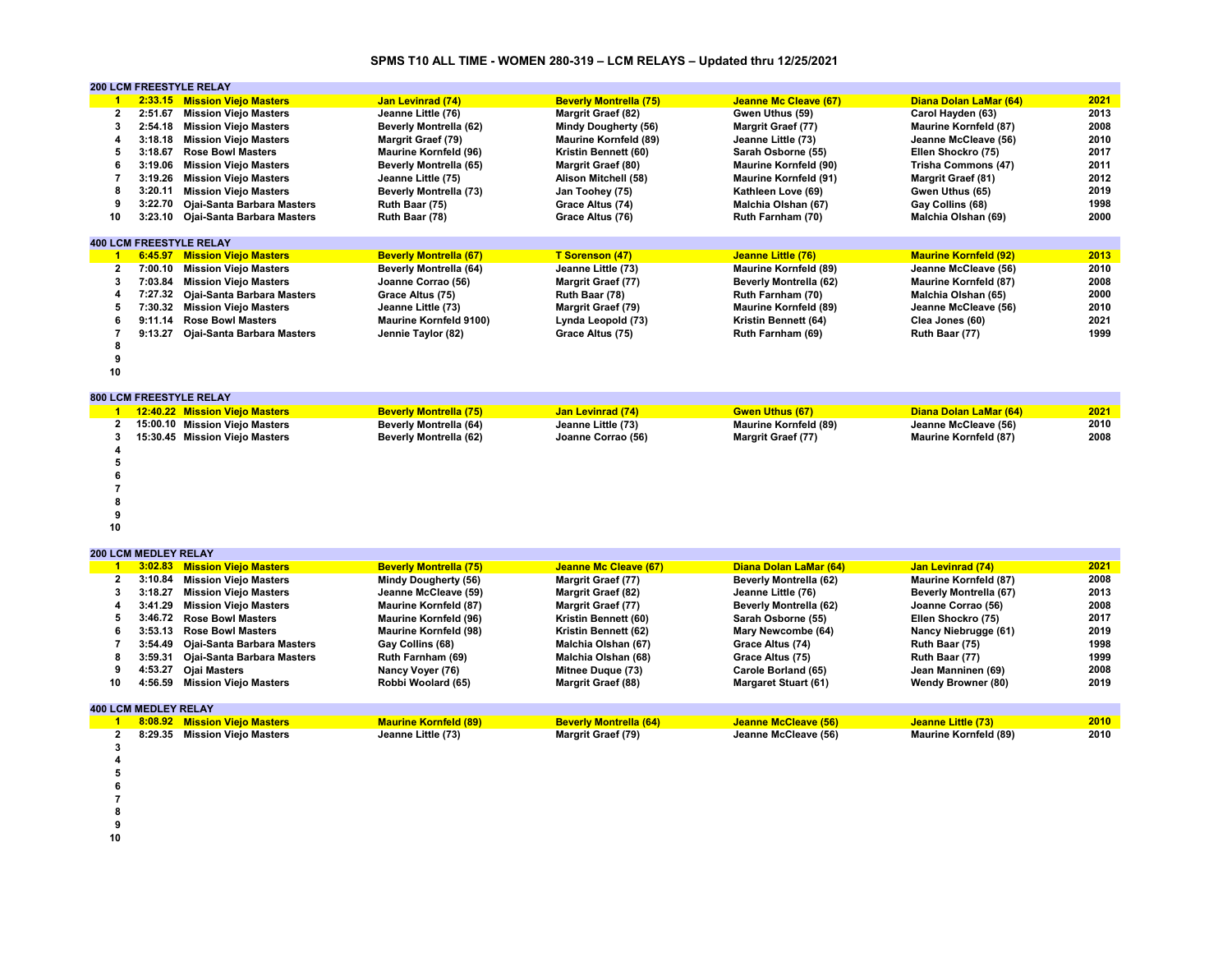# **SPMS T10 ALL TIME - WOMEN 280-319 – LCM RELAYS – Updated thru 12/25/2021**

|              |                             | <b>200 LCM FREESTYLE RELAY</b>    |                               |                               |                               |                              |      |
|--------------|-----------------------------|-----------------------------------|-------------------------------|-------------------------------|-------------------------------|------------------------------|------|
|              |                             | 2:33.15 Mission Viejo Masters     | <b>Jan Levinrad (74)</b>      | <b>Beverly Montrella (75)</b> | Jeanne Mc Cleave (67)         | Diana Dolan LaMar (64)       | 2021 |
| 2            | 2:51.67                     | <b>Mission Viejo Masters</b>      | Jeanne Little (76)            | Margrit Graef (82)            | Gwen Uthus (59)               | Carol Hayden (63)            | 2013 |
| 3            | 2:54.18                     | <b>Mission Viejo Masters</b>      | Beverly Montrella (62)        | <b>Mindy Dougherty (56)</b>   | <b>Margrit Graef (77)</b>     | <b>Maurine Kornfeld (87)</b> | 2008 |
|              | 3:18.18                     | <b>Mission Viejo Masters</b>      | Margrit Graef (79)            | <b>Maurine Kornfeld (89)</b>  | Jeanne Little (73)            | Jeanne McCleave (56)         | 2010 |
|              | 3:18.67                     | <b>Rose Bowl Masters</b>          | <b>Maurine Kornfeld (96)</b>  | Kristin Bennett (60)          | Sarah Osborne (55)            | Ellen Shockro (75)           | 2017 |
|              | 3:19.06                     | <b>Mission Viejo Masters</b>      | Beverly Montrella (65)        | Margrit Graef (80)            | <b>Maurine Kornfeld (90)</b>  | Trisha Commons (47)          | 2011 |
|              | 3:19.26                     | <b>Mission Viejo Masters</b>      | Jeanne Little (75)            | Alison Mitchell (58)          | <b>Maurine Kornfeld (91)</b>  | <b>Margrit Graef (81)</b>    | 2012 |
| 8            | 3:20.11                     | <b>Mission Viejo Masters</b>      | Beverly Montrella (73)        | Jan Toohey (75)               | Kathleen Love (69)            | Gwen Uthus (65)              | 2019 |
| 9            | 3:22.70                     | <b>Ojai-Santa Barbara Masters</b> | Ruth Baar (75)                | Grace Altus (74)              | Malchia Olshan (67)           | Gay Collins (68)             | 1998 |
| 10           | 3:23.10                     | <b>Ojai-Santa Barbara Masters</b> | Ruth Baar (78)                | Grace Altus (76)              | Ruth Farnham (70)             | Malchia Olshan (69)          | 2000 |
|              |                             | <b>400 LCM FREESTYLE RELAY</b>    |                               |                               |                               |                              |      |
| 1            |                             | 6:45.97 Mission Viejo Masters     | <b>Beverly Montrella (67)</b> | T Sorenson (47)               | Jeanne Little (76)            | <b>Maurine Kornfeld (92)</b> | 2013 |
| $\mathbf{2}$ | 7:00.10                     | <b>Mission Viejo Masters</b>      | Beverly Montrella (64)        | Jeanne Little (73)            | <b>Maurine Kornfeld (89)</b>  | Jeanne McCleave (56)         | 2010 |
| з            | 7:03.84                     | <b>Mission Viejo Masters</b>      | Joanne Corrao (56)            | Margrit Graef (77)            | <b>Beverly Montrella (62)</b> | <b>Maurine Kornfeld (87)</b> | 2008 |
|              | 7:27.32                     | Ojai-Santa Barbara Masters        | Grace Altus (75)              | Ruth Baar (78)                | Ruth Farnham (70)             | Malchia Olshan (65)          | 2000 |
|              | 7:30.32                     | <b>Mission Viejo Masters</b>      | Jeanne Little (73)            | Margrit Graef (79)            | <b>Maurine Kornfeld (89)</b>  | Jeanne McCleave (56)         | 2010 |
|              | 9:11.14                     | <b>Rose Bowl Masters</b>          | <b>Maurine Kornfeld 9100)</b> | Lynda Leopold (73)            | Kristin Bennett (64)          | Clea Jones (60)              | 2021 |
|              | 9:13.27                     | Ojai-Santa Barbara Masters        | Jennie Taylor (82)            | Grace Altus (75)              | Ruth Farnham (69)             | Ruth Baar (77)               | 1999 |
|              |                             |                                   |                               |                               |                               |                              |      |
|              |                             |                                   |                               |                               |                               |                              |      |
| 10           |                             |                                   |                               |                               |                               |                              |      |
|              |                             | <b>800 LCM FREESTYLE RELAY</b>    |                               |                               |                               |                              |      |
| 1.           |                             | 12:40.22 Mission Viejo Masters    | <b>Beverly Montrella (75)</b> | <b>Jan Levinrad (74)</b>      | <b>Gwen Uthus (67)</b>        | Diana Dolan LaMar (64)       | 2021 |
| $\mathbf{2}$ |                             | 15:00.10 Mission Viejo Masters    | <b>Beverly Montrella (64)</b> | Jeanne Little (73)            | <b>Maurine Kornfeld (89)</b>  | Jeanne McCleave (56)         | 2010 |
| з            |                             | 15:30.45 Mission Viejo Masters    | <b>Beverly Montrella (62)</b> | Joanne Corrao (56)            | Margrit Graef (77)            | <b>Maurine Kornfeld (87)</b> | 2008 |
|              |                             |                                   |                               |                               |                               |                              |      |
|              |                             |                                   |                               |                               |                               |                              |      |
|              |                             |                                   |                               |                               |                               |                              |      |
|              |                             |                                   |                               |                               |                               |                              |      |
|              |                             |                                   |                               |                               |                               |                              |      |
|              |                             |                                   |                               |                               |                               |                              |      |
| 10           |                             |                                   |                               |                               |                               |                              |      |
|              | <b>200 LCM MEDLEY RELAY</b> |                                   |                               |                               |                               |                              |      |
|              |                             | 3:02.83 Mission Viejo Masters     | <b>Beverly Montrella (75)</b> | Jeanne Mc Cleave (67)         | Diana Dolan LaMar (64)        | Jan Levinrad (74)            | 2021 |
| $\mathbf{2}$ | 3:10.84                     | <b>Mission Viejo Masters</b>      | <b>Mindy Dougherty (56)</b>   | Margrit Graef (77)            | <b>Beverly Montrella (62)</b> | <b>Maurine Kornfeld (87)</b> | 2008 |
| з            | 3:18.27                     | <b>Mission Viejo Masters</b>      | Jeanne McCleave (59)          | Margrit Graef (82)            | Jeanne Little (76)            | Beverly Montrella (67)       | 2013 |
|              |                             | 3.41.29 Miccion Vioio Mactors     | Mauring Kornfold (87)         | Margrit Graof (77)            | <b>Roverly Montrolla (62)</b> | Inanne Corrao (56)           | 2008 |

|  | 3:41.29 Mission Vieio Masters      | <b>Maurine Kornfeld (87)</b> | Margrit Graef (77)        | Beverly Montrella (62)      | Joanne Corrao (56)        | 2008 |
|--|------------------------------------|------------------------------|---------------------------|-----------------------------|---------------------------|------|
|  | 3:46.72 Rose Bowl Masters          | <b>Maurine Kornfeld (96)</b> | Kristin Bennett (60)      | Sarah Osborne (55)          | Ellen Shockro (75)        | 2017 |
|  | 3:53.13 Rose Bowl Masters          | <b>Maurine Kornfeld (98)</b> | Kristin Bennett (62)      | Mary Newcombe (64)          | Nancy Niebrugge (61)      | 2019 |
|  | 3:54.49 Ojai-Santa Barbara Masters | Gay Collins (68)             | Malchia Olshan (67)       | Grace Altus (74)            | Ruth Baar (75)            | 1998 |
|  | 3:59.31 Ojai-Santa Barbara Masters | <b>Ruth Farnham (69)</b>     | Malchia Olshan (68)       | Grace Altus (75)            | Ruth Baar (77)            | 1999 |
|  | 4:53.27 Oiai Masters               | Nancy Voyer (76)             | Mitnee Duque (73)         | Carole Borland (65)         | Jean Manninen (69)        | 2008 |
|  | 4:56.59 Mission Vieio Masters      | Robbi Woolard (65)           | <b>Margrit Graef (88)</b> | <b>Margaret Stuart (61)</b> | <b>Wendy Browner (80)</b> | 2019 |

### **400 LCM MEDLEY RELAY**

|         | 8:08.92 Mission Viejo Masters | <b>Maurine Kornfeld (89)</b> | <b>Beverly Montrella (64)</b> | Jeanne McCleave (56) | Jeanne Little (73)           | 2010 |
|---------|-------------------------------|------------------------------|-------------------------------|----------------------|------------------------------|------|
| 8:29.35 | <b>Mission Viejo Masters</b>  | Jeanne Little (73)           | <b>Margrit Graef (79)</b>     | Jeanne McCleave (56) | <b>Maurine Kornfeld (89)</b> | 2010 |
|         |                               |                              |                               |                      |                              |      |
|         |                               |                              |                               |                      |                              |      |
|         |                               |                              |                               |                      |                              |      |
|         |                               |                              |                               |                      |                              |      |

- 
- **7**

- **9**
- **10**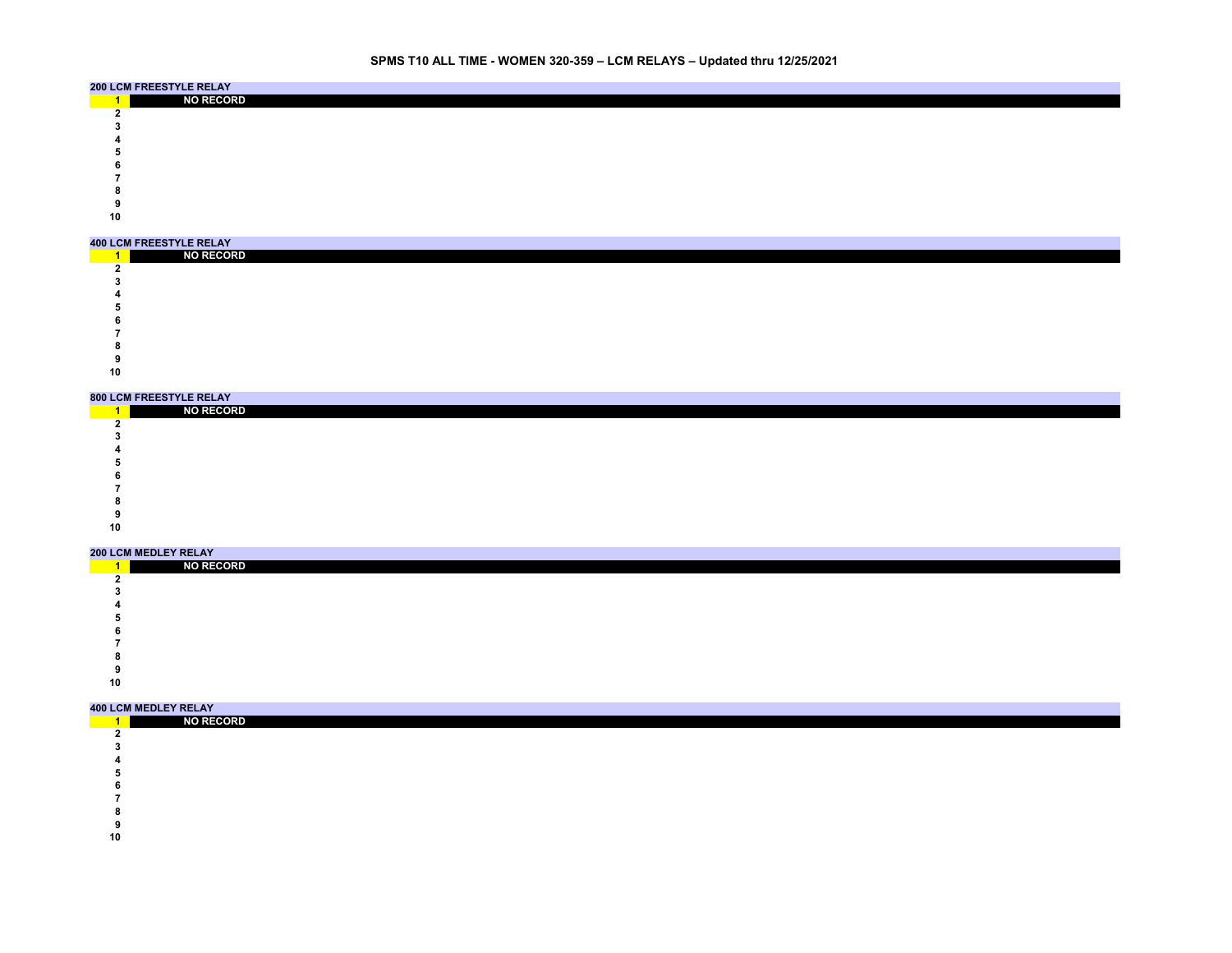# **SPMS T10 ALL TIME - WOMEN 320-359 – LCM RELAYS – Updated thru 12/25/2021**

|    | <b>200 LCM FREESTYLE RELAY</b> |
|----|--------------------------------|
|    | <b>NO RECORD</b>               |
|    |                                |
|    |                                |
|    |                                |
|    |                                |
|    |                                |
|    |                                |
|    |                                |
|    |                                |
| 10 |                                |

#### **400 LCM FREESTYLE RELAY**

| UU LUM FREEJIILE RELAI |  |  |  |  |  |
|------------------------|--|--|--|--|--|
| <b>NO RECORD</b>       |  |  |  |  |  |
|                        |  |  |  |  |  |
|                        |  |  |  |  |  |
|                        |  |  |  |  |  |
|                        |  |  |  |  |  |
|                        |  |  |  |  |  |
|                        |  |  |  |  |  |
|                        |  |  |  |  |  |
|                        |  |  |  |  |  |

|    | 800 LCM FREESTYLE RELAY |
|----|-------------------------|
|    | <b>NO RECORD</b>        |
|    |                         |
|    |                         |
|    |                         |
|    |                         |
|    |                         |
|    |                         |
|    |                         |
|    |                         |
| 10 |                         |

#### **200 LCM MEDLEY RELAY**

|    | ZUU LUW WEDLET RELAT |
|----|----------------------|
|    | <b>NO RECORD</b>     |
|    |                      |
|    |                      |
|    |                      |
|    |                      |
|    |                      |
|    |                      |
|    |                      |
|    |                      |
| 10 |                      |

### **400 LCM MEDLEY RELAY**

| <b>NO RECORD</b> |  |  |  |  |  |
|------------------|--|--|--|--|--|
|                  |  |  |  |  |  |
|                  |  |  |  |  |  |
|                  |  |  |  |  |  |
|                  |  |  |  |  |  |
|                  |  |  |  |  |  |
|                  |  |  |  |  |  |
|                  |  |  |  |  |  |
|                  |  |  |  |  |  |

- 
-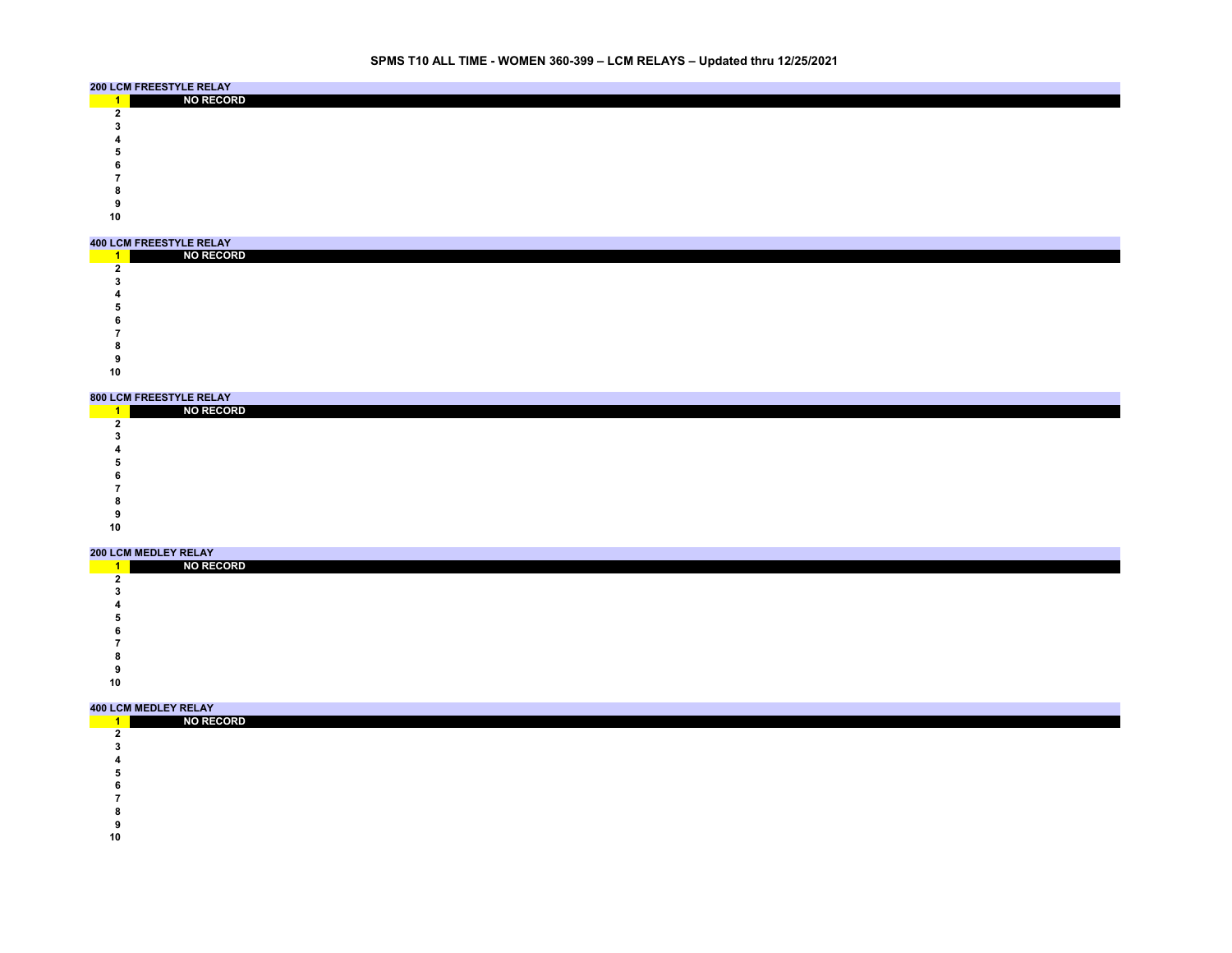# **SPMS T10 ALL TIME - WOMEN 360-399 – LCM RELAYS – Updated thru 12/25/2021**

|    | <b>200 LCM FREESTYLE RELAY</b> |
|----|--------------------------------|
|    | <b>NO RECORD</b>               |
|    |                                |
|    |                                |
|    |                                |
|    |                                |
|    |                                |
|    |                                |
|    |                                |
|    |                                |
| 10 |                                |

#### **400 LCM FREESTYLE RELAY**

| UU LUM FREEJIILE RELAI |  |  |  |  |  |
|------------------------|--|--|--|--|--|
| <b>NO RECORD</b>       |  |  |  |  |  |
|                        |  |  |  |  |  |
|                        |  |  |  |  |  |
|                        |  |  |  |  |  |
|                        |  |  |  |  |  |
|                        |  |  |  |  |  |
|                        |  |  |  |  |  |
|                        |  |  |  |  |  |
|                        |  |  |  |  |  |

|    | 800 LCM FREESTYLE RELAY |
|----|-------------------------|
|    | <b>NO RECORD</b>        |
|    |                         |
|    |                         |
|    |                         |
|    |                         |
|    |                         |
|    |                         |
|    |                         |
|    |                         |
| 10 |                         |

#### **200 LCM MEDLEY RELAY**

|    | ZUU LUW WEDLET RELAT |
|----|----------------------|
|    | <b>NO RECORD</b>     |
|    |                      |
|    |                      |
|    |                      |
|    |                      |
|    |                      |
|    |                      |
|    |                      |
|    |                      |
| 10 |                      |

### **400 LCM MEDLEY RELAY**

| <b>NO RECORD</b> |  |  |  |  |  |
|------------------|--|--|--|--|--|
|                  |  |  |  |  |  |
|                  |  |  |  |  |  |
|                  |  |  |  |  |  |
|                  |  |  |  |  |  |
|                  |  |  |  |  |  |
|                  |  |  |  |  |  |
|                  |  |  |  |  |  |
|                  |  |  |  |  |  |

- 
-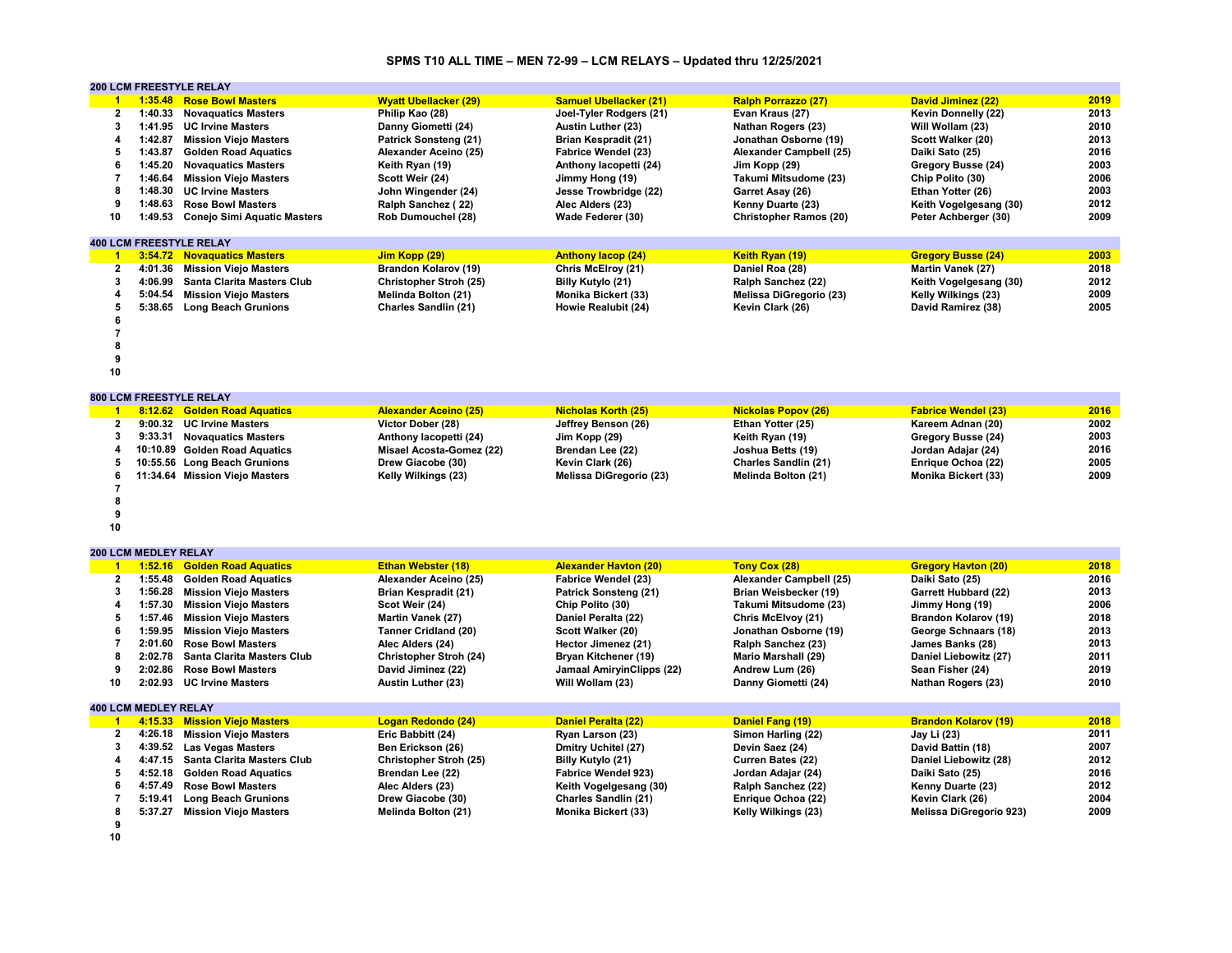# **SPMS T10 ALL TIME – MEN 72-99 – LCM RELAYS – Updated thru 12/25/2021**

|                      |                             | <b>200 LCM FREESTYLE RELAY</b>      |                              |                                  |                                |                             |      |
|----------------------|-----------------------------|-------------------------------------|------------------------------|----------------------------------|--------------------------------|-----------------------------|------|
| $\mathbf{1}$         |                             | 1:35.48 Rose Bowl Masters           | <b>Wyatt Ubellacker (29)</b> | <b>Samuel Ubellacker (21)</b>    | <b>Ralph Porrazzo (27)</b>     | David Jiminez (22)          | 2019 |
| 2                    | 1:40.33                     | <b>Novaguatics Masters</b>          | Philip Kao (28)              | Joel-Tyler Rodgers (21)          | Evan Kraus (27)                | Kevin Donnelly (22)         | 2013 |
| 3                    | 1:41.95                     | <b>UC Irvine Masters</b>            | Danny Giometti (24)          | <b>Austin Luther (23)</b>        | Nathan Rogers (23)             | Will Wollam (23)            | 2010 |
| 4                    |                             | 1:42.87 Mission Viejo Masters       | Patrick Sonsteng (21)        | <b>Brian Kespradit (21)</b>      | Jonathan Osborne (19)          | Scott Walker (20)           | 2013 |
| 5                    | 1:43.87                     | <b>Golden Road Aquatics</b>         | Alexander Aceino (25)        | <b>Fabrice Wendel (23)</b>       | Alexander Campbell (25)        | Daiki Sato (25)             | 2016 |
| 6                    | 1:45.20                     | <b>Novaquatics Masters</b>          | Keith Ryan (19)              | Anthony lacopetti (24)           | Jim Kopp (29)                  | Gregory Busse (24)          | 2003 |
| 7                    | 1:46.64                     | <b>Mission Viejo Masters</b>        | Scott Weir (24)              | Jimmy Hong (19)                  | Takumi Mitsudome (23)          | Chip Polito (30)            | 2006 |
| 8                    | 1:48.30                     | <b>UC Irvine Masters</b>            | John Wingender (24)          | Jesse Trowbridge (22)            | Garret Asay (26)               | Ethan Yotter (26)           | 2003 |
| 9                    | 1:48.63                     | <b>Rose Bowl Masters</b>            | Ralph Sanchez (22)           | Alec Alders (23)                 | Kenny Duarte (23)              | Keith Vogelgesang (30)      | 2012 |
| 10                   |                             | 1:49.53 Conejo Simi Aquatic Masters | Rob Dumouchel (28)           | Wade Federer (30)                | <b>Christopher Ramos (20)</b>  | Peter Achberger (30)        | 2009 |
|                      |                             | <b>400 LCM FREESTYLE RELAY</b>      |                              |                                  |                                |                             |      |
| $\mathbf{1}$         |                             | 3:54.72 Novaguatics Masters         | Jim Kopp (29)                | <b>Anthony lacop (24)</b>        | Keith Ryan (19)                | <b>Gregory Busse (24)</b>   | 2003 |
| $\overline{2}$       | 4:01.36                     | <b>Mission Viejo Masters</b>        | Brandon Kolarov (19)         | Chris McElroy (21)               | Daniel Roa (28)                | Martin Vanek (27)           | 2018 |
| 3                    | 4:06.99                     | <b>Santa Clarita Masters Club</b>   | Christopher Stroh (25)       | Billy Kutylo (21)                | Ralph Sanchez (22)             | Keith Vogelgesang (30)      | 2012 |
| $\overline{a}$       |                             | 5:04.54 Mission Viejo Masters       | Melinda Bolton (21)          | Monika Bickert (33)              | <b>Melissa DiGregorio (23)</b> | Kelly Wilkings (23)         | 2009 |
| 5                    |                             | 5:38.65 Long Beach Grunions         | <b>Charles Sandlin (21)</b>  | Howie Realubit (24)              | Kevin Clark (26)               | David Ramirez (38)          | 2005 |
| 6                    |                             |                                     |                              |                                  |                                |                             |      |
| 7                    |                             |                                     |                              |                                  |                                |                             |      |
| 8                    |                             |                                     |                              |                                  |                                |                             |      |
| 9                    |                             |                                     |                              |                                  |                                |                             |      |
| 10                   |                             |                                     |                              |                                  |                                |                             |      |
|                      |                             |                                     |                              |                                  |                                |                             |      |
|                      |                             | 800 LCM FREESTYLE RELAY             |                              |                                  |                                |                             |      |
| $\blacktriangleleft$ |                             | 8:12.62 Golden Road Aquatics        | <b>Alexander Aceino (25)</b> | <b>Nicholas Korth (25)</b>       | <b>Nickolas Popov (26)</b>     | <b>Fabrice Wendel (23)</b>  | 2016 |
| $\overline{2}$       |                             | 9:00.32 UC Irvine Masters           | Victor Dober (28)            | Jeffrey Benson (26)              | Ethan Yotter (25)              | Kareem Adnan (20)           | 2002 |
| 3                    | 9:33.31                     | <b>Novaguatics Masters</b>          | Anthony lacopetti (24)       | Jim Kopp (29)                    | Keith Ryan (19)                | Gregory Busse (24)          | 2003 |
| 4                    |                             | 10:10.89 Golden Road Aquatics       | Misael Acosta-Gomez (22)     | Brendan Lee (22)                 | Joshua Betts (19)              | Jordan Adajar (24)          | 2016 |
| 5                    |                             | 10:55.56 Long Beach Grunions        | Drew Giacobe (30)            | Kevin Clark (26)                 | Charles Sandlin (21)           | Enrique Ochoa (22)          | 2005 |
| 6                    |                             | 11:34.64 Mission Viejo Masters      | Kelly Wilkings (23)          | Melissa DiGregorio (23)          | Melinda Bolton (21)            | Monika Bickert (33)         | 2009 |
| 7                    |                             |                                     |                              |                                  |                                |                             |      |
| 8                    |                             |                                     |                              |                                  |                                |                             |      |
| 9                    |                             |                                     |                              |                                  |                                |                             |      |
| 10                   |                             |                                     |                              |                                  |                                |                             |      |
|                      |                             |                                     |                              |                                  |                                |                             |      |
|                      | <b>200 LCM MEDLEY RELAY</b> |                                     |                              |                                  |                                |                             |      |
| $\blacktriangleleft$ |                             | 1:52.16 Golden Road Aquatics        | Ethan Webster (18)           | <b>Alexander Havton (20)</b>     | Tony Cox (28)                  | <b>Gregory Havton (20)</b>  | 2018 |
| $\overline{2}$       | 1:55.48                     | <b>Golden Road Aquatics</b>         | Alexander Aceino (25)        | <b>Fabrice Wendel (23)</b>       | Alexander Campbell (25)        | Daiki Sato (25)             | 2016 |
| 3                    | 1:56.28                     | <b>Mission Viejo Masters</b>        | Brian Kespradit (21)         | Patrick Sonsteng (21)            | Brian Weisbecker (19)          | <b>Garrett Hubbard (22)</b> | 2013 |
| 4                    | 1:57.30                     | <b>Mission Viejo Masters</b>        | Scot Weir (24)               | Chip Polito (30)                 | Takumi Mitsudome (23)          | Jimmy Hong (19)             | 2006 |
| 5                    | 1:57.46                     | <b>Mission Viejo Masters</b>        | Martin Vanek (27)            | Daniel Peralta (22)              | Chris McElvoy (21)             | Brandon Kolarov (19)        | 2018 |
| 6                    | 1:59.95                     | <b>Mission Viejo Masters</b>        | <b>Tanner Cridland (20)</b>  | Scott Walker (20)                | Jonathan Osborne (19)          | George Schnaars (18)        | 2013 |
| $\overline{7}$       | 2:01.60                     | <b>Rose Bowl Masters</b>            | Alec Alders (24)             | Hector Jimenez (21)              | Ralph Sanchez (23)             | James Banks (28)            | 2013 |
| 8                    | 2:02.78                     | <b>Santa Clarita Masters Club</b>   | Christopher Stroh (24)       | Bryan Kitchener (19)             | <b>Mario Marshall (29)</b>     | Daniel Liebowitz (27)       | 2011 |
| 9                    | 2:02.86                     | <b>Rose Bowl Masters</b>            | David Jiminez (22)           | <b>Jamaal AmiryinClipps (22)</b> | Andrew Lum (26)                | Sean Fisher (24)            | 2019 |
| 10                   | 2:02.93                     | <b>UC Irvine Masters</b>            | Austin Luther (23)           | Will Wollam (23)                 | Danny Giometti (24)            | <b>Nathan Rogers (23)</b>   | 2010 |
|                      | <b>400 LCM MEDLEY RELAY</b> |                                     |                              |                                  |                                |                             |      |
| $\overline{1}$       |                             | 4:15.33 Mission Viejo Masters       | Logan Redondo (24)           | Daniel Peralta (22)              | Daniel Fang (19)               | <b>Brandon Kolarov (19)</b> | 2018 |
| 2                    | 4:26.18                     | <b>Mission Viejo Masters</b>        | Eric Babbitt (24)            | Ryan Larson (23)                 | Simon Harling (22)             | Jay Li (23)                 | 2011 |
| 3                    | 4:39.52                     | <b>Las Vegas Masters</b>            | Ben Erickson (26)            | Dmitry Uchitel (27)              | Devin Saez (24)                | David Battin (18)           | 2007 |
| 4                    | 4:47.15                     | Santa Clarita Masters Club          | Christopher Stroh (25)       | Billy Kutylo (21)                | Curren Bates (22)              | Daniel Liebowitz (28)       | 2012 |
| 5                    | 4:52.18                     | <b>Golden Road Aquatics</b>         | Brendan Lee (22)             | Fabrice Wendel 923)              | Jordan Adajar (24)             | Daiki Sato (25)             | 2016 |
| 6                    | 4:57.49                     | <b>Rose Bowl Masters</b>            | Alec Alders (23)             | Keith Vogelgesang (30)           | Ralph Sanchez (22)             | Kenny Duarte (23)           | 2012 |
| $\overline{7}$       | 5:19.41                     | <b>Long Beach Grunions</b>          | Drew Giacobe (30)            | <b>Charles Sandlin (21)</b>      | Enrique Ochoa (22)             | Kevin Clark (26)            | 2004 |
| 8                    |                             | 5:37.27 Mission Viejo Masters       | Melinda Bolton (21)          | Monika Bickert (33)              | Kelly Wilkings (23)            | Melissa DiGregorio 923)     | 2009 |
| 9                    |                             |                                     |                              |                                  |                                |                             |      |
|                      |                             |                                     |                              |                                  |                                |                             |      |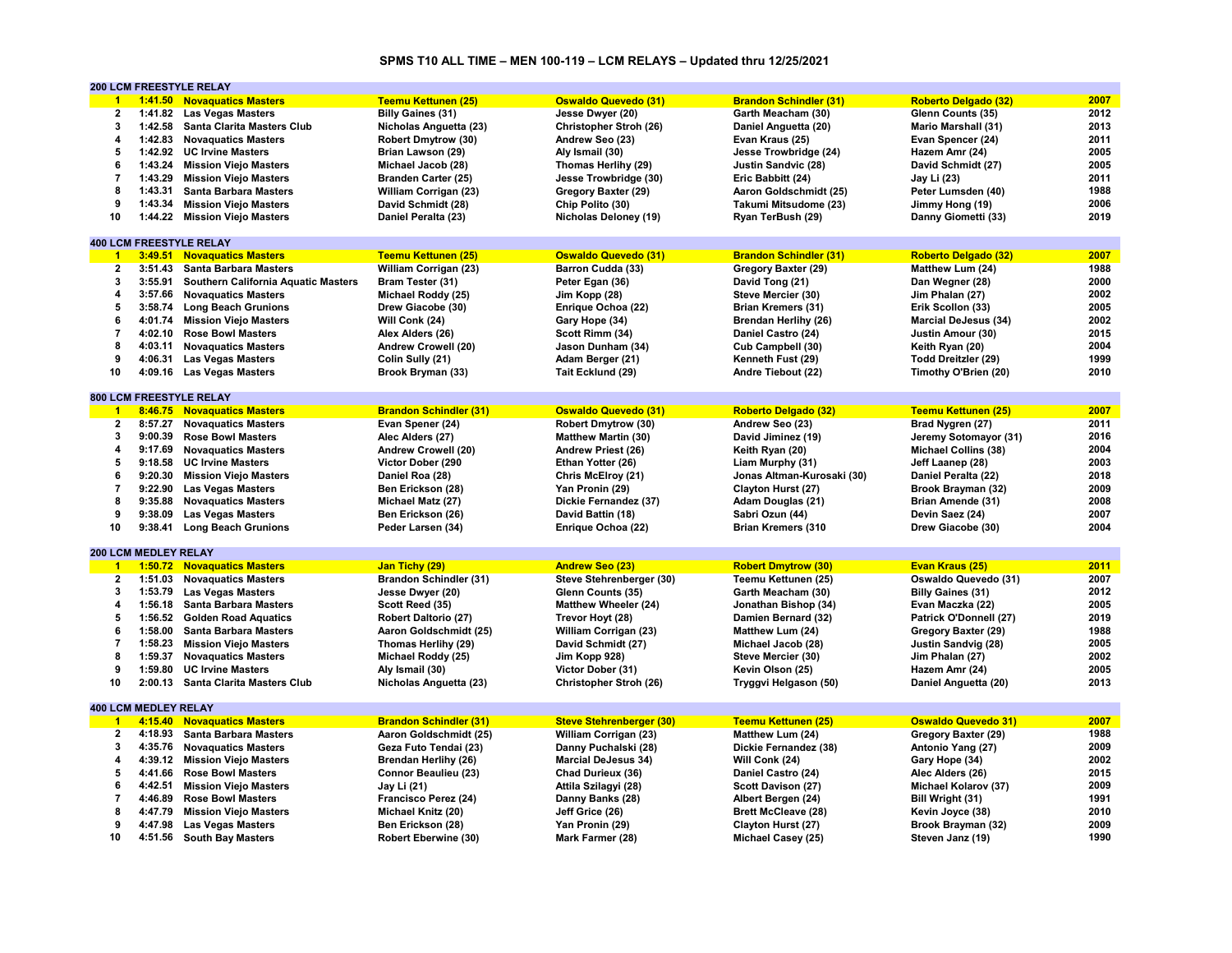# **SPMS T10 ALL TIME – MEN 100-119 – LCM RELAYS – Updated thru 12/25/2021**

|                      |                             | 200 LCM FREESTYLE RELAY                    |                               |                                 |                               |                             |      |
|----------------------|-----------------------------|--------------------------------------------|-------------------------------|---------------------------------|-------------------------------|-----------------------------|------|
| $\blacktriangleleft$ |                             | 1:41.50 Novaquatics Masters                | <b>Teemu Kettunen (25)</b>    | <b>Oswaldo Quevedo (31)</b>     | <b>Brandon Schindler (31)</b> | <b>Roberto Delgado (32)</b> | 2007 |
| 2                    |                             | 1:41.82 Las Vegas Masters                  | <b>Billy Gaines (31)</b>      | Jesse Dwyer (20)                | Garth Meacham (30)            | Glenn Counts (35)           | 2012 |
| 3                    | 1:42.58                     | <b>Santa Clarita Masters Club</b>          | Nicholas Anguetta (23)        | Christopher Stroh (26)          | Daniel Anguetta (20)          | <b>Mario Marshall (31)</b>  | 2013 |
| 4                    |                             | 1:42.83 Novaguatics Masters                | Robert Dmytrow (30)           | Andrew Seo (23)                 | Evan Kraus (25)               | Evan Spencer (24)           | 2011 |
| 5                    |                             | 1:42.92 UC Irvine Masters                  | Brian Lawson (29)             | Aly Ismail (30)                 | Jesse Trowbridge (24)         | Hazem Amr (24)              | 2005 |
| 6                    | 1:43.24                     | <b>Mission Viejo Masters</b>               | Michael Jacob (28)            | Thomas Herlihy (29)             | <b>Justin Sandvic (28)</b>    | David Schmidt (27)          | 2005 |
| $\overline{7}$       | 1:43.29                     | <b>Mission Viejo Masters</b>               | <b>Branden Carter (25)</b>    | Jesse Trowbridge (30)           |                               | Jay Li (23)                 | 2011 |
| 8                    |                             |                                            |                               |                                 | Eric Babbitt (24)             |                             |      |
|                      | 1:43.31                     | <b>Santa Barbara Masters</b>               | William Corrigan (23)         | Gregory Baxter (29)             | Aaron Goldschmidt (25)        | Peter Lumsden (40)          | 1988 |
| 9                    | 1:43.34                     | <b>Mission Viejo Masters</b>               | David Schmidt (28)            | Chip Polito (30)                | Takumi Mitsudome (23)         | Jimmy Hong (19)             | 2006 |
| 10                   |                             | 1:44.22 Mission Viejo Masters              | Daniel Peralta (23)           | <b>Nicholas Deloney (19)</b>    | Ryan TerBush (29)             | Danny Giometti (33)         | 2019 |
|                      |                             |                                            |                               |                                 |                               |                             |      |
|                      |                             | <b>400 LCM FREESTYLE RELAY</b>             |                               |                                 |                               |                             |      |
| $\overline{1}$       | 3:49.51                     | <b>Novaguatics Masters</b>                 | <b>Teemu Kettunen (25)</b>    | <b>Oswaldo Quevedo (31)</b>     | <b>Brandon Schindler (31)</b> | <b>Roberto Delgado (32)</b> | 2007 |
| 2                    | 3:51.43                     | <b>Santa Barbara Masters</b>               | William Corrigan (23)         | Barron Cudda (33)               | Gregory Baxter (29)           | Matthew Lum (24)            | 1988 |
| 3                    | 3:55.91                     | <b>Southern California Aquatic Masters</b> | Bram Tester (31)              | Peter Egan (36)                 | David Tong (21)               | Dan Wegner (28)             | 2000 |
| 4                    |                             | 3:57.66 Novaquatics Masters                | Michael Roddy (25)            | Jim Kopp (28)                   | Steve Mercier (30)            | Jim Phalan (27)             | 2002 |
| 5                    | 3:58.74                     | <b>Long Beach Grunions</b>                 | Drew Giacobe (30)             | Enrique Ochoa (22)              | <b>Brian Kremers (31)</b>     | Erik Scollon (33)           | 2005 |
| 6                    | 4:01.74                     | <b>Mission Viejo Masters</b>               | Will Conk (24)                | Gary Hope (34)                  | Brendan Herlihy (26)          | <b>Marcial DeJesus (34)</b> | 2002 |
| $\overline{7}$       | 4:02.10                     | <b>Rose Bowl Masters</b>                   | Alex Alders (26)              | Scott Rimm (34)                 | Daniel Castro (24)            | Justin Amour (30)           | 2015 |
| 8                    | 4:03.11                     | <b>Novaguatics Masters</b>                 | Andrew Crowell (20)           | Jason Dunham (34)               | Cub Campbell (30)             | Keith Ryan (20)             | 2004 |
| 9                    | 4:06.31                     | <b>Las Vegas Masters</b>                   | Colin Sully (21)              | Adam Berger (21)                |                               | <b>Todd Dreitzler (29)</b>  | 1999 |
| 10                   |                             |                                            |                               |                                 | Kenneth Fust (29)             |                             | 2010 |
|                      | 4:09.16                     | <b>Las Vegas Masters</b>                   | Brook Bryman (33)             | Tait Ecklund (29)               | Andre Tiebout (22)            | Timothy O'Brien (20)        |      |
|                      |                             |                                            |                               |                                 |                               |                             |      |
|                      |                             | <b>800 LCM FREESTYLE RELAY</b>             |                               |                                 |                               |                             |      |
| $\overline{1}$       |                             | 8:46.75 Novaquatics Masters                | <b>Brandon Schindler (31)</b> | <b>Oswaldo Quevedo (31)</b>     | <b>Roberto Delgado (32)</b>   | <b>Teemu Kettunen (25)</b>  | 2007 |
| $\mathbf{2}$         | 8:57.27                     | <b>Novaguatics Masters</b>                 | Evan Spener (24)              | <b>Robert Dmytrow (30)</b>      | Andrew Seo (23)               | Brad Nygren (27)            | 2011 |
| 3                    | 9:00.39                     | <b>Rose Bowl Masters</b>                   | Alec Alders (27)              | <b>Matthew Martin (30)</b>      | David Jiminez (19)            | Jeremy Sotomayor (31)       | 2016 |
| 4                    | 9:17.69                     | <b>Novaquatics Masters</b>                 | Andrew Crowell (20)           | Andrew Priest (26)              | Keith Ryan (20)               | <b>Michael Collins (38)</b> | 2004 |
| 5                    | 9:18.58                     | <b>UC Irvine Masters</b>                   | Victor Dober (290             | Ethan Yotter (26)               | Liam Murphy (31)              | Jeff Laanep (28)            | 2003 |
| 6                    | 9:20.30                     | <b>Mission Viejo Masters</b>               | Daniel Roa (28)               | Chris McElroy (21)              | Jonas Altman-Kurosaki (30)    | Daniel Peralta (22)         | 2018 |
| $\overline{7}$       | 9:22.90                     | <b>Las Vegas Masters</b>                   | Ben Erickson (28)             | Yan Pronin (29)                 | Clayton Hurst (27)            | Brook Brayman (32)          | 2009 |
| 8                    | 9:35.88                     | <b>Novaguatics Masters</b>                 | Michael Matz (27)             | Dickie Fernandez (37)           | Adam Douglas (21)             | Brian Amende (31)           | 2008 |
| 9                    | 9:38.09                     | <b>Las Vegas Masters</b>                   | Ben Erickson (26)             | David Battin (18)               | Sabri Ozun (44)               | Devin Saez (24)             | 2007 |
| 10                   | 9:38.41                     | <b>Long Beach Grunions</b>                 | Peder Larsen (34)             | Enrique Ochoa (22)              | <b>Brian Kremers (310</b>     | Drew Giacobe (30)           | 2004 |
|                      |                             |                                            |                               |                                 |                               |                             |      |
|                      |                             |                                            |                               |                                 |                               |                             |      |
|                      | <b>200 LCM MEDLEY RELAY</b> |                                            |                               |                                 |                               |                             |      |
| $\mathbf{1}$         |                             | 1:50.72 Novaguatics Masters                | Jan Tichy (29)                | <b>Andrew Seo (23)</b>          | <b>Robert Dmytrow (30)</b>    | Evan Kraus (25)             | 2011 |
| $\overline{2}$       |                             | 1:51.03 Novaquatics Masters                | <b>Brandon Schindler (31)</b> | Steve Stehrenberger (30)        | Teemu Kettunen (25)           | Oswaldo Quevedo (31)        | 2007 |
| 3                    | 1:53.79                     | <b>Las Vegas Masters</b>                   | Jesse Dwyer (20)              | Glenn Counts (35)               | Garth Meacham (30)            | <b>Billy Gaines (31)</b>    | 2012 |
| 4                    | 1:56.18                     | <b>Santa Barbara Masters</b>               | Scott Reed (35)               | Matthew Wheeler (24)            | Jonathan Bishop (34)          | Evan Maczka (22)            | 2005 |
| 5                    | 1:56.52                     | <b>Golden Road Aquatics</b>                | <b>Robert Daltorio (27)</b>   | Trevor Hoyt (28)                | Damien Bernard (32)           | Patrick O'Donnell (27)      | 2019 |
| 6                    | 1:58.00                     | <b>Santa Barbara Masters</b>               | Aaron Goldschmidt (25)        | William Corrigan (23)           | Matthew Lum (24)              | Gregory Baxter (29)         | 1988 |
| $\overline{7}$       | 1:58.23                     | <b>Mission Viejo Masters</b>               | Thomas Herlihy (29)           | David Schmidt (27)              | Michael Jacob (28)            | <b>Justin Sandvig (28)</b>  | 2005 |
| 8                    | 1:59.37                     | <b>Novaquatics Masters</b>                 | Michael Roddy (25)            | Jim Kopp 928)                   | Steve Mercier (30)            | Jim Phalan (27)             | 2002 |
| 9                    | 1:59.80                     | <b>UC Irvine Masters</b>                   | Aly Ismail (30)               | Victor Dober (31)               | Kevin Olson (25)              | Hazem Amr (24)              | 2005 |
| 10                   |                             | 2:00.13 Santa Clarita Masters Club         | Nicholas Anguetta (23)        | Christopher Stroh (26)          | Tryggvi Helgason (50)         | Daniel Anguetta (20)        | 2013 |
|                      |                             |                                            |                               |                                 |                               |                             |      |
|                      | <b>400 LCM MEDLEY RELAY</b> |                                            |                               |                                 |                               |                             |      |
|                      |                             |                                            |                               |                                 |                               |                             |      |
| $\overline{1}$       |                             | 4:15.40 Novaguatics Masters                | <b>Brandon Schindler (31)</b> | <b>Steve Stehrenberger (30)</b> | <b>Teemu Kettunen (25)</b>    | <b>Oswaldo Quevedo 31)</b>  | 2007 |
| $\overline{2}$       | 4:18.93                     | <b>Santa Barbara Masters</b>               | Aaron Goldschmidt (25)        | William Corrigan (23)           | Matthew Lum (24)              | Gregory Baxter (29)         | 1988 |
| 3                    | 4:35.76                     | <b>Novaguatics Masters</b>                 | Geza Futo Tendai (23)         | Danny Puchalski (28)            | Dickie Fernandez (38)         | Antonio Yang (27)           | 2009 |
| 4                    | 4:39.12                     | <b>Mission Viejo Masters</b>               | Brendan Herlihy (26)          | <b>Marcial DeJesus 34)</b>      | Will Conk (24)                | Gary Hope (34)              | 2002 |
| 5                    | 4:41.66                     | <b>Rose Bowl Masters</b>                   | Connor Beaulieu (23)          | Chad Durieux (36)               | Daniel Castro (24)            | Alec Alders (26)            | 2015 |
| 6                    | 4:42.51                     | <b>Mission Viejo Masters</b>               | Jay Li (21)                   | Attila Szilagyi (28)            | Scott Davison (27)            | Michael Kolarov (37)        | 2009 |
| $\overline{7}$       | 4:46.89                     | <b>Rose Bowl Masters</b>                   | Francisco Perez (24)          | Danny Banks (28)                | Albert Bergen (24)            | Bill Wright (31)            | 1991 |
| 8                    | 4:47.79                     | <b>Mission Viejo Masters</b>               | Michael Knitz (20)            | Jeff Grice (26)                 | <b>Brett McCleave (28)</b>    | Kevin Joyce (38)            | 2010 |
| 9                    |                             | 4:47.98 Las Vegas Masters                  | Ben Erickson (28)             | Yan Pronin (29)                 | Clayton Hurst (27)            | Brook Brayman (32)          | 2009 |
| 10                   |                             | 4:51.56 South Bay Masters                  | <b>Robert Eberwine (30)</b>   | Mark Farmer (28)                | <b>Michael Casey (25)</b>     | Steven Janz (19)            | 1990 |
|                      |                             |                                            |                               |                                 |                               |                             |      |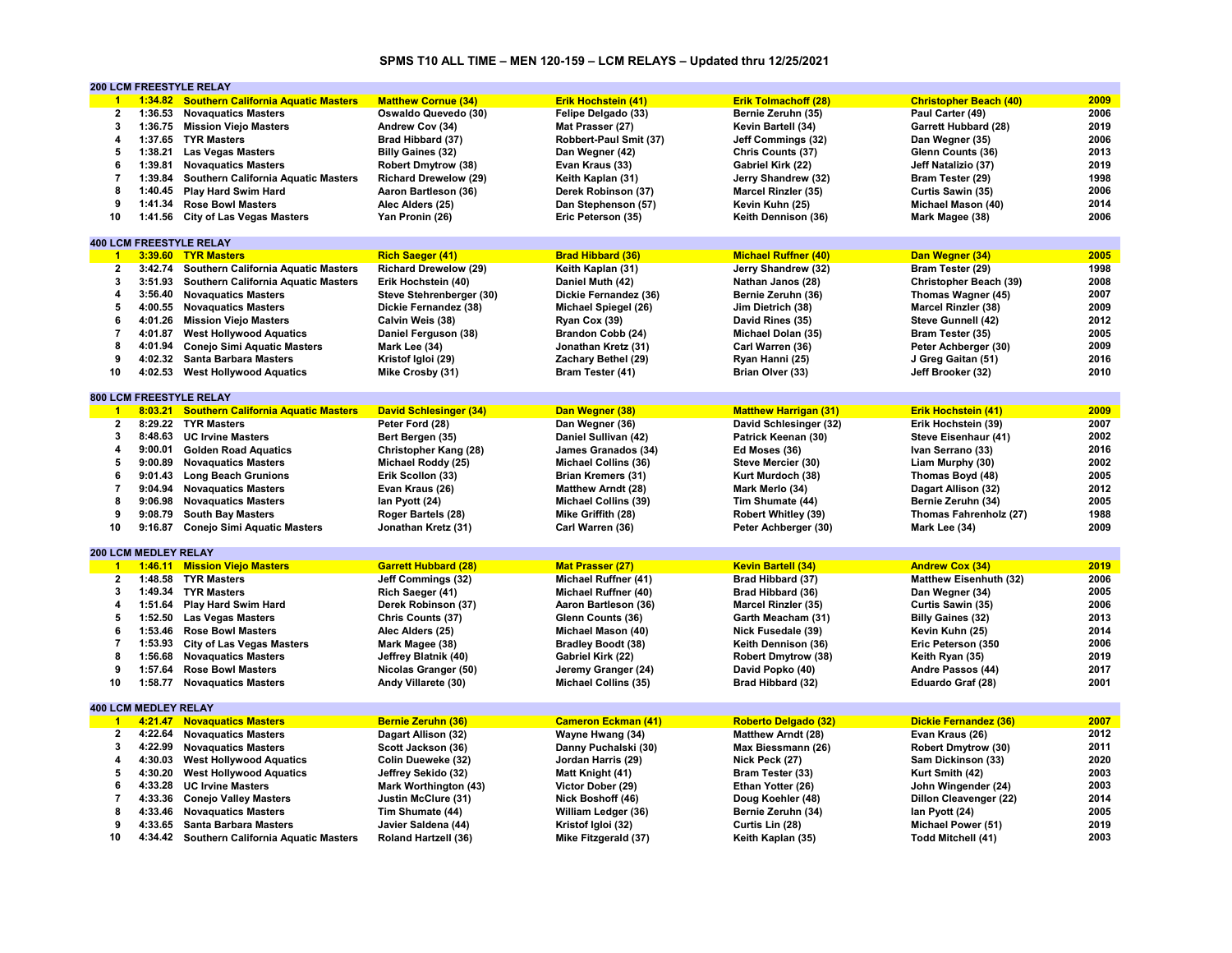# **SPMS T10 ALL TIME – MEN 120-159 – LCM RELAYS – Updated thru 12/25/2021**

|                      |                             | <b>200 LCM FREESTYLE RELAY</b>              |                               |                             |                              |                               |      |
|----------------------|-----------------------------|---------------------------------------------|-------------------------------|-----------------------------|------------------------------|-------------------------------|------|
| $\blacktriangleleft$ |                             | 1:34.82 Southern California Aquatic Masters | <b>Matthew Cornue (34)</b>    | Erik Hochstein (41)         | <b>Erik Tolmachoff (28)</b>  | <b>Christopher Beach (40)</b> | 2009 |
| $\overline{2}$       | 1:36.53                     | <b>Novaquatics Masters</b>                  | Oswaldo Quevedo (30)          | Felipe Delgado (33)         | Bernie Zeruhn (35)           | Paul Carter (49)              | 2006 |
| 3                    |                             | 1:36.75 Mission Viejo Masters               | Andrew Cov (34)               | Mat Prasser (27)            | Kevin Bartell (34)           | <b>Garrett Hubbard (28)</b>   | 2019 |
| 4                    |                             | 1:37.65 TYR Masters                         | Brad Hibbard (37)             | Robbert-Paul Smit (37)      | Jeff Commings (32)           | Dan Wegner (35)               | 2006 |
| 5                    | 1:38.21                     | <b>Las Vegas Masters</b>                    | <b>Billy Gaines (32)</b>      | Dan Wegner (42)             | Chris Counts (37)            | Glenn Counts (36)             | 2013 |
| 6                    | 1:39.81                     | <b>Novaguatics Masters</b>                  | <b>Robert Dmytrow (38)</b>    | Evan Kraus (33)             | Gabriel Kirk (22)            | Jeff Natalizio (37)           | 2019 |
| $\overline{7}$       | 1:39.84                     | <b>Southern California Aquatic Masters</b>  | <b>Richard Drewelow (29)</b>  | Keith Kaplan (31)           |                              |                               | 1998 |
|                      |                             |                                             |                               |                             | Jerry Shandrew (32)          | Bram Tester (29)              |      |
| 8                    | 1:40.45                     | Play Hard Swim Hard                         | Aaron Bartleson (36)          | Derek Robinson (37)         | Marcel Rinzler (35)          | Curtis Sawin (35)             | 2006 |
| 9                    | 1:41.34                     | <b>Rose Bowl Masters</b>                    | Alec Alders (25)              | Dan Stephenson (57)         | Kevin Kuhn (25)              | Michael Mason (40)            | 2014 |
| 10                   | 1:41.56                     | <b>City of Las Vegas Masters</b>            | Yan Pronin (26)               | Eric Peterson (35)          | Keith Dennison (36)          | Mark Magee (38)               | 2006 |
|                      |                             |                                             |                               |                             |                              |                               |      |
|                      |                             | <b>400 LCM FREESTYLE RELAY</b>              |                               |                             |                              |                               |      |
| $\overline{1}$       | 3:39.60                     | <b>TYR Masters</b>                          | <b>Rich Saeger (41)</b>       | <b>Brad Hibbard (36)</b>    | <b>Michael Ruffner (40)</b>  | Dan Wegner (34)               | 2005 |
| $\mathbf{2}$         | 3:42.74                     | Southern California Aquatic Masters         | <b>Richard Drewelow (29)</b>  | Keith Kaplan (31)           | Jerry Shandrew (32)          | Bram Tester (29)              | 1998 |
| 3                    | 3:51.93                     | Southern California Aquatic Masters         | Erik Hochstein (40)           | Daniel Muth (42)            | Nathan Janos (28)            | Christopher Beach (39)        | 2008 |
| 4                    | 3:56.40                     | <b>Novaguatics Masters</b>                  | Steve Stehrenberger (30)      | Dickie Fernandez (36)       | Bernie Zeruhn (36)           | Thomas Wagner (45)            | 2007 |
| 5                    | 4:00.55                     | <b>Novaguatics Masters</b>                  | Dickie Fernandez (38)         | Michael Spiegel (26)        | Jim Dietrich (38)            | <b>Marcel Rinzler (38)</b>    | 2009 |
| 6                    | 4:01.26                     | <b>Mission Viejo Masters</b>                | Calvin Weis (38)              | Ryan Cox (39)               | David Rines (35)             | Steve Gunnell (42)            | 2012 |
| $\overline{7}$       | 4:01.87                     | <b>West Hollywood Aquatics</b>              | Daniel Ferguson (38)          | Brandon Cobb (24)           | Michael Dolan (35)           | Bram Tester (35)              | 2005 |
| 8                    | 4:01.94                     | <b>Conejo Simi Aquatic Masters</b>          | Mark Lee (34)                 | Jonathan Kretz (31)         | Carl Warren (36)             | Peter Achberger (30)          | 2009 |
| 9                    | 4:02.32                     | <b>Santa Barbara Masters</b>                | Kristof Igloi (29)            | Zachary Bethel (29)         | Ryan Hanni (25)              | J Greg Gaitan (51)            | 2016 |
| 10                   | 4:02.53                     |                                             | Mike Crosby (31)              | Bram Tester (41)            | Brian Olver (33)             | Jeff Brooker (32)             | 2010 |
|                      |                             | <b>West Hollywood Aquatics</b>              |                               |                             |                              |                               |      |
|                      |                             |                                             |                               |                             |                              |                               |      |
|                      |                             | 800 LCM FREESTYLE RELAY                     |                               |                             |                              |                               |      |
| $\blacktriangleleft$ | 8:03.21                     | <b>Southern California Aquatic Masters</b>  | <b>David Schlesinger (34)</b> | Dan Wegner (38)             | <b>Matthew Harrigan (31)</b> | <b>Erik Hochstein (41)</b>    | 2009 |
| $\mathbf{2}$         |                             | 8:29.22 TYR Masters                         | Peter Ford (28)               | Dan Wegner (36)             | David Schlesinger (32)       | Erik Hochstein (39)           | 2007 |
| 3                    |                             | 8:48.63 UC Irvine Masters                   | Bert Bergen (35)              | Daniel Sullivan (42)        | Patrick Keenan (30)          | Steve Eisenhaur (41)          | 2002 |
| 4                    | 9:00.01                     | <b>Golden Road Aquatics</b>                 | Christopher Kang (28)         | James Granados (34)         | Ed Moses (36)                | Ivan Serrano (33)             | 2016 |
| 5                    | 9:00.89                     | <b>Novaguatics Masters</b>                  | Michael Roddy (25)            | Michael Collins (36)        | Steve Mercier (30)           | Liam Murphy (30)              | 2002 |
| 6                    | 9:01.43                     | <b>Long Beach Grunions</b>                  | Erik Scollon (33)             | <b>Brian Kremers (31)</b>   | Kurt Murdoch (38)            | Thomas Boyd (48)              | 2005 |
| $\overline{7}$       | 9:04.94                     | <b>Novaguatics Masters</b>                  | Evan Kraus (26)               | <b>Matthew Arndt (28)</b>   | Mark Merlo (34)              | Dagart Allison (32)           | 2012 |
| 8                    | 9:06.98                     | <b>Novaquatics Masters</b>                  | lan Pyott (24)                | <b>Michael Collins (39)</b> | Tim Shumate (44)             | Bernie Zeruhn (34)            | 2005 |
| 9                    | 9:08.79                     | <b>South Bay Masters</b>                    | Roger Bartels (28)            | Mike Griffith (28)          | Robert Whitley (39)          | Thomas Fahrenholz (27)        | 1988 |
| 10                   | 9:16.87                     | <b>Conejo Simi Aquatic Masters</b>          | Jonathan Kretz (31)           | Carl Warren (36)            | Peter Achberger (30)         | Mark Lee (34)                 | 2009 |
|                      |                             |                                             |                               |                             |                              |                               |      |
|                      | 200 LCM MEDLEY RELAY        |                                             |                               |                             |                              |                               |      |
| $\blacksquare$       |                             | 1:46.11 Mission Viejo Masters               | <b>Garrett Hubbard (28)</b>   |                             |                              |                               | 2019 |
|                      |                             |                                             |                               | <b>Mat Prasser (27)</b>     | <b>Kevin Bartell (34)</b>    | <b>Andrew Cox (34)</b>        |      |
| $\overline{2}$       | 1:48.58                     | <b>TYR Masters</b>                          | Jeff Commings (32)            | Michael Ruffner (41)        | Brad Hibbard (37)            | <b>Matthew Eisenhuth (32)</b> | 2006 |
| 3                    | 1:49.34                     | <b>TYR Masters</b>                          | Rich Saeger (41)              | Michael Ruffner (40)        | Brad Hibbard (36)            | Dan Wegner (34)               | 2005 |
| 4                    | 1:51.64                     | <b>Play Hard Swim Hard</b>                  | Derek Robinson (37)           | Aaron Bartleson (36)        | Marcel Rinzler (35)          | Curtis Sawin (35)             | 2006 |
| 5                    | 1:52.50                     | <b>Las Vegas Masters</b>                    | Chris Counts (37)             | Glenn Counts (36)           | Garth Meacham (31)           | <b>Billy Gaines (32)</b>      | 2013 |
| 6                    | 1:53.46                     | <b>Rose Bowl Masters</b>                    | Alec Alders (25)              | Michael Mason (40)          | Nick Fusedale (39)           | Kevin Kuhn (25)               | 2014 |
| $\overline{7}$       | 1:53.93                     | <b>City of Las Vegas Masters</b>            | Mark Magee (38)               | <b>Bradley Boodt (38)</b>   | Keith Dennison (36)          | Eric Peterson (350            | 2006 |
| 8                    | 1:56.68                     | <b>Novaguatics Masters</b>                  | Jeffrey Blatnik (40)          | Gabriel Kirk (22)           | <b>Robert Dmytrow (38)</b>   | Keith Ryan (35)               | 2019 |
| 9                    | 1:57.64                     | <b>Rose Bowl Masters</b>                    | Nicolas Granger (50)          | Jeremy Granger (24)         | David Popko (40)             | Andre Passos (44)             | 2017 |
| 10                   | 1:58.77                     | <b>Novaquatics Masters</b>                  | Andy Villarete (30)           | Michael Collins (35)        | Brad Hibbard (32)            | Eduardo Graf (28)             | 2001 |
|                      |                             |                                             |                               |                             |                              |                               |      |
|                      | <b>400 LCM MEDLEY RELAY</b> |                                             |                               |                             |                              |                               |      |
| $\overline{1}$       | 4:21.47                     | <b>Novaguatics Masters</b>                  | <b>Bernie Zeruhn (36)</b>     | <b>Cameron Eckman (41)</b>  | <b>Roberto Delgado (32)</b>  | Dickie Fernandez (36)         | 2007 |
| $\mathbf{2}$         | 4:22.64                     | <b>Novaguatics Masters</b>                  | Dagart Allison (32)           | Wayne Hwang (34)            | <b>Matthew Arndt (28)</b>    | Evan Kraus (26)               | 2012 |
| 3                    | 4:22.99                     |                                             |                               |                             |                              |                               | 2011 |
|                      |                             | <b>Novaguatics Masters</b>                  | Scott Jackson (36)            | Danny Puchalski (30)        | Max Biessmann (26)           | Robert Dmytrow (30)           |      |
| 4                    | 4:30.03                     | <b>West Hollywood Aquatics</b>              | Colin Dueweke (32)            | Jordan Harris (29)          | Nick Peck (27)               | Sam Dickinson (33)            | 2020 |
| 5                    | 4:30.20                     | <b>West Hollywood Aquatics</b>              | Jeffrey Sekido (32)           | Matt Knight (41)            | Bram Tester (33)             | Kurt Smith (42)               | 2003 |
| 6                    | 4:33.28                     | <b>UC Irvine Masters</b>                    | <b>Mark Worthington (43)</b>  | Victor Dober (29)           | Ethan Yotter (26)            | John Wingender (24)           | 2003 |
| $\overline{7}$       | 4:33.36                     | <b>Conejo Valley Masters</b>                | Justin McClure (31)           | Nick Boshoff (46)           | Doug Koehler (48)            | Dillon Cleavenger (22)        | 2014 |
| 8                    | 4:33.46                     | <b>Novaguatics Masters</b>                  | Tim Shumate (44)              | William Ledger (36)         | Bernie Zeruhn (34)           | lan Pyott (24)                | 2005 |
| 9                    |                             | 4:33.65 Santa Barbara Masters               | Javier Saldena (44)           | Kristof Igloi (32)          | Curtis Lin (28)              | Michael Power (51)            | 2019 |
| 10                   |                             | 4:34.42 Southern California Aquatic Masters | Roland Hartzell (36)          | Mike Fitzgerald (37)        | Keith Kaplan (35)            | Todd Mitchell (41)            | 2003 |
|                      |                             |                                             |                               |                             |                              |                               |      |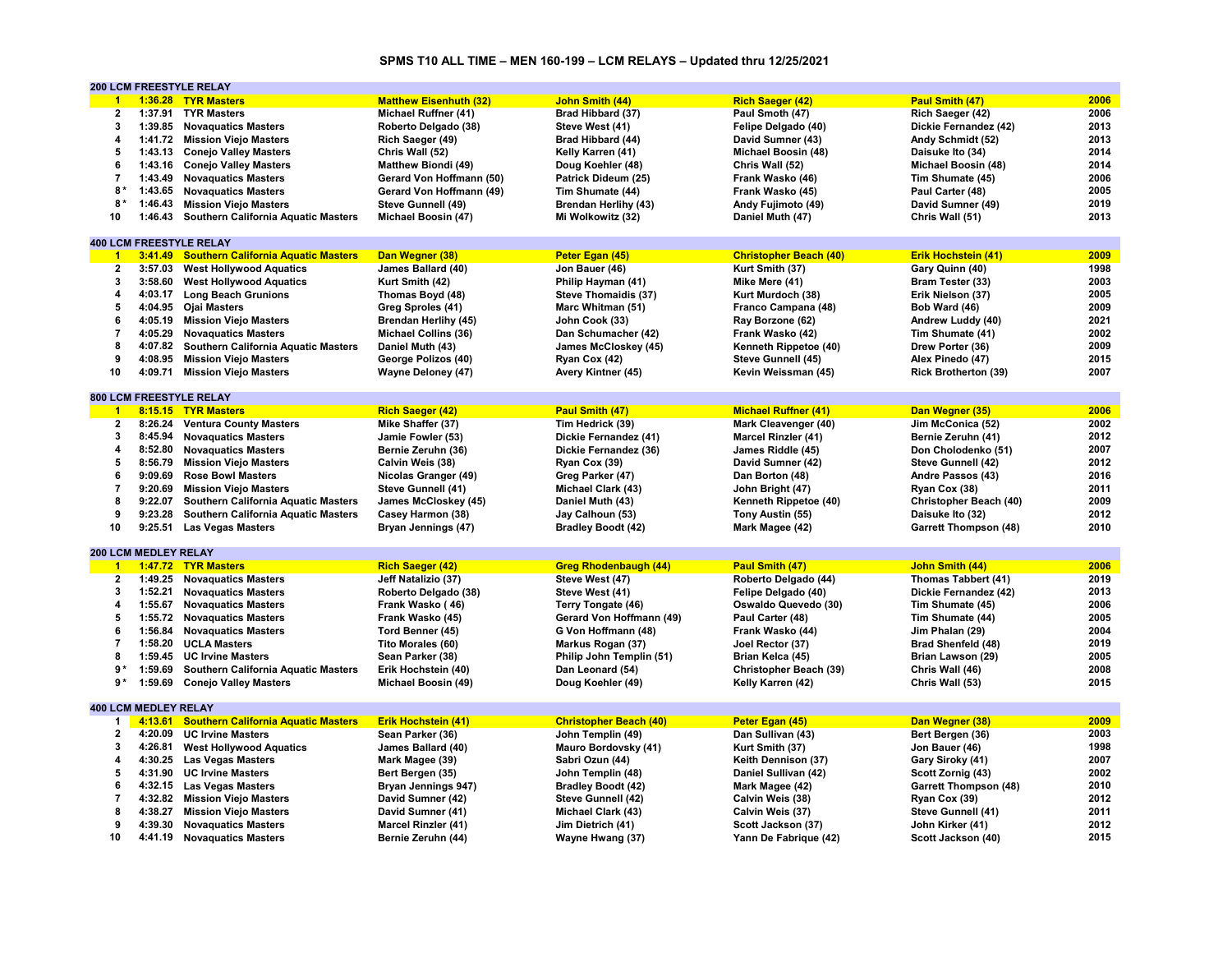# **SPMS T10 ALL TIME – MEN 160-199 – LCM RELAYS – Updated thru 12/25/2021**

|                      |                             | <b>200 LCM FREESTYLE RELAY</b>              |                               |                               |                               |                              |      |
|----------------------|-----------------------------|---------------------------------------------|-------------------------------|-------------------------------|-------------------------------|------------------------------|------|
| $\blacktriangleleft$ |                             | 1:36.28 TYR Masters                         | <b>Matthew Eisenhuth (32)</b> | <b>John Smith (44)</b>        | <b>Rich Saeger (42)</b>       | Paul Smith (47)              | 2006 |
| 2                    |                             | 1:37.91 TYR Masters                         | Michael Ruffner (41)          | Brad Hibbard (37)             | Paul Smoth (47)               | Rich Saeger (42)             | 2006 |
| 3                    |                             | 1:39.85 Novaquatics Masters                 | Roberto Delgado (38)          | Steve West (41)               | Felipe Delgado (40)           | Dickie Fernandez (42)        | 2013 |
| 4                    |                             | 1:41.72 Mission Viejo Masters               | Rich Saeger (49)              | Brad Hibbard (44)             | David Sumner (43)             | Andy Schmidt (52)            | 2013 |
| 5                    | 1:43.13                     | <b>Conejo Valley Masters</b>                | Chris Wall (52)               | Kelly Karren (41)             | Michael Boosin (48)           | Daisuke Ito (34)             | 2014 |
| 6                    |                             | 1:43.16 Conejo Valley Masters               | <b>Matthew Biondi (49)</b>    | Doug Koehler (48)             | Chris Wall (52)               | Michael Boosin (48)          | 2014 |
| $\overline{7}$       | 1:43.49                     | <b>Novaguatics Masters</b>                  | Gerard Von Hoffmann (50)      | Patrick Dideum (25)           | Frank Wasko (46)              | Tim Shumate (45)             | 2006 |
| 8*                   |                             | 1:43.65 Novaguatics Masters                 | Gerard Von Hoffmann (49)      | Tim Shumate (44)              | Frank Wasko (45)              | Paul Carter (48)             | 2005 |
| 8*                   | 1:46.43                     | <b>Mission Viejo Masters</b>                | Steve Gunnell (49)            | <b>Brendan Herlihy (43)</b>   | Andy Fujimoto (49)            | David Sumner (49)            | 2019 |
| 10                   | 1:46.43                     | Southern California Aquatic Masters         | Michael Boosin (47)           | Mi Wolkowitz (32)             | Daniel Muth (47)              | Chris Wall (51)              | 2013 |
|                      |                             |                                             |                               |                               |                               |                              |      |
|                      |                             | <b>400 LCM FREESTYLE RELAY</b>              |                               |                               |                               |                              |      |
| $\blacktriangleleft$ |                             | 3:41.49 Southern California Aquatic Masters | Dan Wegner (38)               | Peter Egan (45)               | <b>Christopher Beach (40)</b> | <b>Erik Hochstein (41)</b>   | 2009 |
| $\mathbf{2}$         | 3:57.03                     | <b>West Hollywood Aquatics</b>              | James Ballard (40)            | Jon Bauer (46)                | Kurt Smith (37)               | Gary Quinn (40)              | 1998 |
| 3                    | 3:58.60                     | <b>West Hollywood Aquatics</b>              | Kurt Smith (42)               | Philip Hayman (41)            | Mike Mere (41)                | Bram Tester (33)             | 2003 |
| 4                    | 4:03.17                     | <b>Long Beach Grunions</b>                  | Thomas Boyd (48)              | Steve Thomaidis (37)          | Kurt Murdoch (38)             | Erik Nielson (37)            | 2005 |
| 5                    |                             | 4:04.95 Ojai Masters                        | Greg Sproles (41)             | Marc Whitman (51)             | Franco Campana (48)           | Bob Ward (46)                | 2009 |
| 6                    |                             |                                             |                               |                               |                               |                              | 2021 |
| $\overline{7}$       | 4:05.19                     | <b>Mission Viejo Masters</b>                | Brendan Herlihy (45)          | John Cook (33)                | Ray Borzone (62)              | Andrew Luddy (40)            | 2002 |
|                      | 4:05.29                     | <b>Novaguatics Masters</b>                  | <b>Michael Collins (36)</b>   | Dan Schumacher (42)           | Frank Wasko (42)              | Tim Shumate (41)             | 2009 |
| 8                    | 4:07.82                     | Southern California Aquatic Masters         | Daniel Muth (43)              | James McCloskey (45)          | Kenneth Rippetoe (40)         | Drew Porter (36)             |      |
| 9                    |                             | 4:08.95 Mission Viejo Masters               | George Polizos (40)           | Ryan Cox (42)                 | Steve Gunnell (45)            | Alex Pinedo (47)             | 2015 |
| 10                   | 4:09.71                     | <b>Mission Viejo Masters</b>                | <b>Wayne Deloney (47)</b>     | Avery Kintner (45)            | Kevin Weissman (45)           | <b>Rick Brotherton (39)</b>  | 2007 |
|                      |                             |                                             |                               |                               |                               |                              |      |
|                      |                             | <b>800 LCM FREESTYLE RELAY</b>              |                               |                               |                               |                              |      |
| $\blacktriangleleft$ |                             | 8:15.15 TYR Masters                         | <b>Rich Saeger (42)</b>       | <b>Paul Smith (47)</b>        | <b>Michael Ruffner (41)</b>   | Dan Wegner (35)              | 2006 |
| $\overline{2}$       |                             | 8:26.24 Ventura County Masters              | Mike Shaffer (37)             | Tim Hedrick (39)              | Mark Cleavenger (40)          | Jim McConica (52)            | 2002 |
| 3                    | 8:45.94                     | <b>Novaquatics Masters</b>                  | Jamie Fowler (53)             | Dickie Fernandez (41)         | Marcel Rinzler (41)           | Bernie Zeruhn (41)           | 2012 |
| 4                    | 8:52.80                     | <b>Novaquatics Masters</b>                  | Bernie Zeruhn (36)            | Dickie Fernandez (36)         | James Riddle (45)             | Don Cholodenko (51)          | 2007 |
| 5                    | 8:56.79                     | <b>Mission Viejo Masters</b>                | Calvin Weis (38)              | Ryan Cox (39)                 | David Sumner (42)             | Steve Gunnell (42)           | 2012 |
| 6                    | 9:09.69                     | <b>Rose Bowl Masters</b>                    | Nicolas Granger (49)          | Greg Parker (47)              | Dan Borton (48)               | Andre Passos (43)            | 2016 |
| $\overline{7}$       | 9:20.69                     | <b>Mission Viejo Masters</b>                | Steve Gunnell (41)            | Michael Clark (43)            | John Bright (47)              | Ryan Cox (38)                | 2011 |
| 8                    | 9:22.07                     | Southern California Aquatic Masters         | James McCloskey (45)          | Daniel Muth (43)              | Kenneth Rippetoe (40)         | Christopher Beach (40)       | 2009 |
| 9                    | 9:23.28                     | <b>Southern California Aquatic Masters</b>  | Casey Harmon (38)             | Jay Calhoun (53)              | Tony Austin (55)              | Daisuke Ito (32)             | 2012 |
| 10                   | 9:25.51                     | <b>Las Vegas Masters</b>                    | Bryan Jennings (47)           | <b>Bradley Boodt (42)</b>     | Mark Magee (42)               | <b>Garrett Thompson (48)</b> | 2010 |
|                      |                             |                                             |                               |                               |                               |                              |      |
|                      | 200 LCM MEDLEY RELAY        |                                             |                               |                               |                               |                              |      |
| $\mathbf{1}$         |                             | 1:47.72 TYR Masters                         | <b>Rich Saeger (42)</b>       | <b>Greg Rhodenbaugh (44)</b>  | Paul Smith (47)               | John Smith (44)              | 2006 |
| $\mathbf{2}$         |                             | 1:49.25 Novaguatics Masters                 | Jeff Natalizio (37)           | Steve West (47)               | Roberto Delgado (44)          | Thomas Tabbert (41)          | 2019 |
| 3                    | 1:52.21                     | <b>Novaguatics Masters</b>                  | Roberto Delgado (38)          | Steve West (41)               | Felipe Delgado (40)           | Dickie Fernandez (42)        | 2013 |
| 4                    | 1:55.67                     | <b>Novaquatics Masters</b>                  | Frank Wasko (46)              | Terry Tongate (46)            | Oswaldo Quevedo (30)          | Tim Shumate (45)             | 2006 |
| 5                    |                             | 1:55.72 Novaguatics Masters                 | Frank Wasko (45)              | Gerard Von Hoffmann (49)      | Paul Carter (48)              | Tim Shumate (44)             | 2005 |
| 6                    |                             | 1:56.84 Novaguatics Masters                 | Tord Benner (45)              | G Von Hoffmann (48)           | Frank Wasko (44)              | Jim Phalan (29)              | 2004 |
| $\overline{7}$       | 1:58.20                     | <b>UCLA Masters</b>                         | Tito Morales (60)             | Markus Rogan (37)             | Joel Rector (37)              | Brad Shenfeld (48)           | 2019 |
| 8                    | 1:59.45                     | <b>UC Irvine Masters</b>                    | Sean Parker (38)              | Philip John Templin (51)      | Brian Kelca (45)              | Brian Lawson (29)            | 2005 |
| $9*$                 | 1:59.69                     | Southern California Aquatic Masters         | Erik Hochstein (40)           | Dan Leonard (54)              | Christopher Beach (39)        | Chris Wall (46)              | 2008 |
| 9*                   | 1:59.69                     | <b>Conejo Valley Masters</b>                | Michael Boosin (49)           | Doug Koehler (49)             | Kelly Karren (42)             | Chris Wall (53)              | 2015 |
|                      |                             |                                             |                               |                               |                               |                              |      |
|                      | <b>400 LCM MEDLEY RELAY</b> |                                             |                               |                               |                               |                              |      |
| 1                    | 4:13.61                     | <b>Southern California Aquatic Masters</b>  | <b>Erik Hochstein (41)</b>    | <b>Christopher Beach (40)</b> | Peter Egan (45)               | Dan Wegner (38)              | 2009 |
| $\mathbf{2}$         | 4:20.09                     | <b>UC Irvine Masters</b>                    | Sean Parker (36)              | John Templin (49)             | Dan Sullivan (43)             | Bert Bergen (36)             | 2003 |
| 3                    | 4:26.81                     | <b>West Hollywood Aquatics</b>              | James Ballard (40)            | Mauro Bordovsky (41)          | Kurt Smith (37)               | Jon Bauer (46)               | 1998 |
| 4                    |                             | 4:30.25 Las Vegas Masters                   |                               | Sabri Ozun (44)               |                               |                              | 2007 |
| 5                    |                             |                                             | Mark Magee (39)               |                               | Keith Dennison (37)           | Gary Siroky (41)             |      |
|                      | 4:31.90                     | <b>UC Irvine Masters</b>                    | Bert Bergen (35)              | John Templin (48)             | Daniel Sullivan (42)          | Scott Zornig (43)            | 2002 |
| 6                    |                             | 4:32.15 Las Vegas Masters                   | Bryan Jennings 947)           | <b>Bradley Boodt (42)</b>     | Mark Magee (42)               | <b>Garrett Thompson (48)</b> | 2010 |
| $\overline{7}$       |                             | 4:32.82 Mission Viejo Masters               | David Sumner (42)             | Steve Gunnell (42)            | Calvin Weis (38)              | Ryan Cox (39)                | 2012 |
| 8                    | 4:38.27                     | <b>Mission Viejo Masters</b>                | David Sumner (41)             | Michael Clark (43)            | Calvin Weis (37)              | Steve Gunnell (41)           | 2011 |
| 9                    | 4:39.30                     | <b>Novaguatics Masters</b>                  | <b>Marcel Rinzler (41)</b>    | Jim Dietrich (41)             | Scott Jackson (37)            | John Kirker (41)             | 2012 |
| 10                   |                             | 4:41.19 Novaquatics Masters                 | Bernie Zeruhn (44)            | Wayne Hwang (37)              | Yann De Fabrique (42)         | Scott Jackson (40)           | 2015 |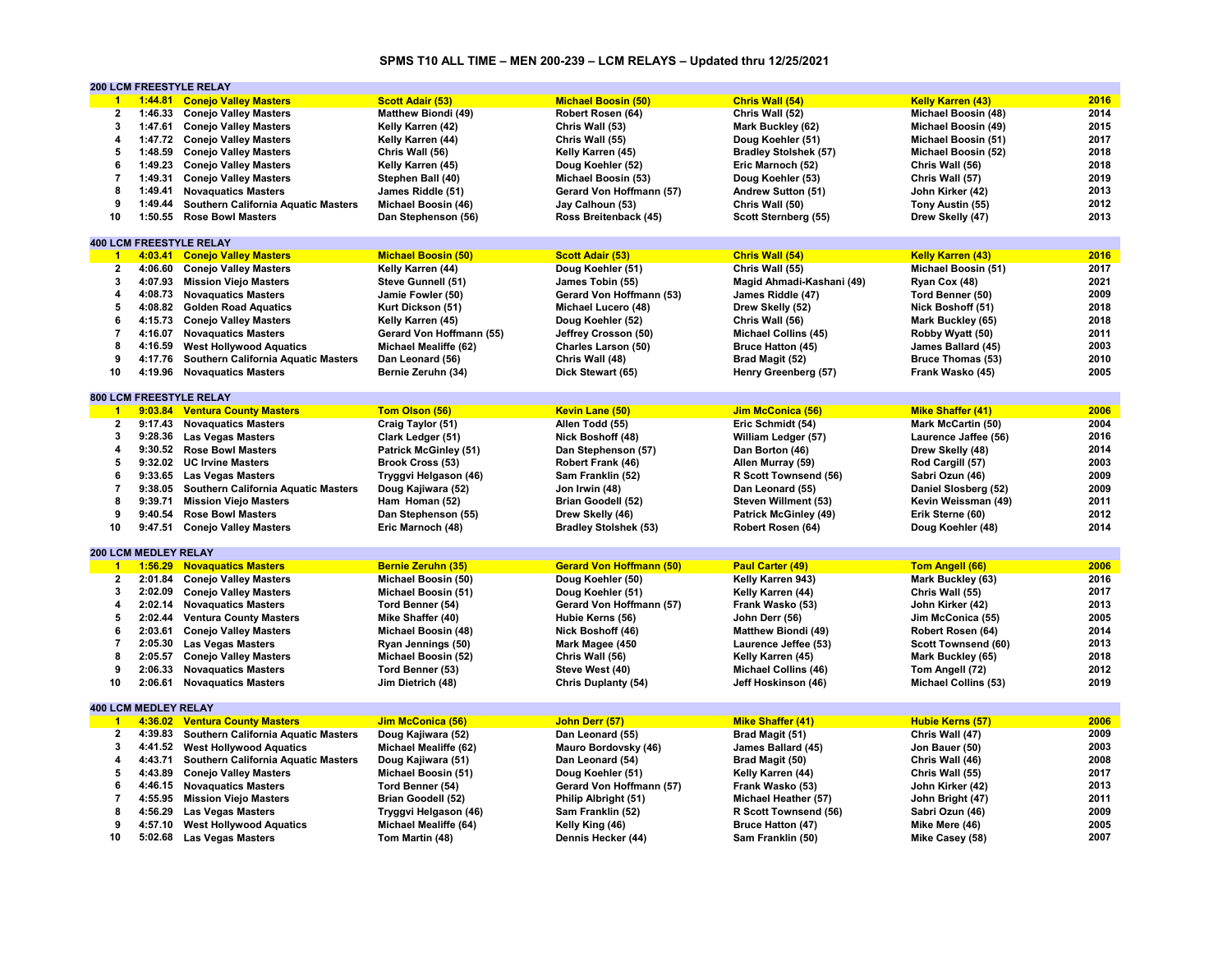# **SPMS T10 ALL TIME – MEN 200-239 – LCM RELAYS – Updated thru 12/25/2021**

|                      | <b>200 LCM FREESTYLE RELAY</b> |                                            |                              |                                 |                              |                             |      |  |
|----------------------|--------------------------------|--------------------------------------------|------------------------------|---------------------------------|------------------------------|-----------------------------|------|--|
| $\blacktriangleleft$ |                                | 1:44.81 Conejo Valley Masters              | <b>Scott Adair (53)</b>      | <b>Michael Boosin (50)</b>      | Chris Wall (54)              | <b>Kelly Karren (43)</b>    | 2016 |  |
| 2                    | 1:46.33                        | <b>Conejo Valley Masters</b>               | <b>Matthew Biondi (49)</b>   | Robert Rosen (64)               | Chris Wall (52)              | Michael Boosin (48)         | 2014 |  |
| 3                    | 1:47.61                        | <b>Conejo Valley Masters</b>               | Kelly Karren (42)            | Chris Wall (53)                 | Mark Buckley (62)            | Michael Boosin (49)         | 2015 |  |
| 4                    |                                | 1:47.72 Conejo Valley Masters              | Kelly Karren (44)            | Chris Wall (55)                 | Doug Koehler (51)            | Michael Boosin (51)         | 2017 |  |
| 5                    | 1:48.59                        | <b>Conejo Valley Masters</b>               | Chris Wall (56)              | Kelly Karren (45)               | <b>Bradley Stolshek (57)</b> | Michael Boosin (52)         | 2018 |  |
| 6                    | 1:49.23                        | <b>Conejo Valley Masters</b>               | Kelly Karren (45)            | Doug Koehler (52)               | Eric Marnoch (52)            | Chris Wall (56)             | 2018 |  |
| $\overline{7}$       | 1:49.31                        | <b>Conejo Valley Masters</b>               | Stephen Ball (40)            | Michael Boosin (53)             | Doug Koehler (53)            | Chris Wall (57)             | 2019 |  |
|                      |                                |                                            |                              |                                 |                              |                             |      |  |
| 8                    | 1:49.41                        | <b>Novaguatics Masters</b>                 | James Riddle (51)            | Gerard Von Hoffmann (57)        | Andrew Sutton (51)           | John Kirker (42)            | 2013 |  |
| 9                    | 1:49.44                        | <b>Southern California Aquatic Masters</b> | Michael Boosin (46)          | Jay Calhoun (53)                | Chris Wall (50)              | Tony Austin (55)            | 2012 |  |
| 10                   | 1:50.55                        | <b>Rose Bowl Masters</b>                   | Dan Stephenson (56)          | Ross Breitenback (45)           | Scott Sternberg (55)         | Drew Skelly (47)            | 2013 |  |
|                      |                                |                                            |                              |                                 |                              |                             |      |  |
|                      |                                | <b>400 LCM FREESTYLE RELAY</b>             |                              |                                 |                              |                             |      |  |
| $\blacktriangleleft$ |                                | 4:03.41 Conejo Valley Masters              | <b>Michael Boosin (50)</b>   | <b>Scott Adair (53)</b>         | Chris Wall (54)              | <b>Kelly Karren (43)</b>    | 2016 |  |
| $\mathbf{2}$         | 4:06.60                        | <b>Conejo Valley Masters</b>               | Kelly Karren (44)            | Doug Koehler (51)               | Chris Wall (55)              | Michael Boosin (51)         | 2017 |  |
| 3                    | 4:07.93                        | <b>Mission Viejo Masters</b>               | Steve Gunnell (51)           | James Tobin (55)                | Magid Ahmadi-Kashani (49)    | Ryan Cox (48)               | 2021 |  |
| 4                    |                                | 4:08.73 Novaquatics Masters                | Jamie Fowler (50)            | Gerard Von Hoffmann (53)        | James Riddle (47)            | Tord Benner (50)            | 2009 |  |
| 5                    |                                | 4:08.82 Golden Road Aquatics               | Kurt Dickson (51)            | Michael Lucero (48)             | Drew Skelly (52)             | Nick Boshoff (51)           | 2018 |  |
| 6                    | 4:15.73                        | <b>Conejo Valley Masters</b>               | Kelly Karren (45)            | Doug Koehler (52)               | Chris Wall (56)              | Mark Buckley (65)           | 2018 |  |
| $\overline{7}$       | 4:16.07                        | <b>Novaguatics Masters</b>                 | Gerard Von Hoffmann (55)     | Jeffrey Crosson (50)            | <b>Michael Collins (45)</b>  | Robby Wyatt (50)            | 2011 |  |
| 8                    |                                |                                            |                              |                                 |                              |                             | 2003 |  |
|                      | 4:16.59                        | <b>West Hollywood Aquatics</b>             | Michael Mealiffe (62)        | Charles Larson (50)             | <b>Bruce Hatton (45)</b>     | James Ballard (45)          |      |  |
| 9                    | 4:17.76                        | <b>Southern California Aquatic Masters</b> | Dan Leonard (56)             | Chris Wall (48)                 | Brad Magit (52)              | <b>Bruce Thomas (53)</b>    | 2010 |  |
| 10                   | 4:19.96                        | <b>Novaquatics Masters</b>                 | Bernie Zeruhn (34)           | Dick Stewart (65)               | Henry Greenberg (57)         | Frank Wasko (45)            | 2005 |  |
|                      |                                |                                            |                              |                                 |                              |                             |      |  |
|                      |                                | 800 LCM FREESTYLE RELAY                    |                              |                                 |                              |                             |      |  |
| $\blacksquare$ 1     | 9:03.84                        | <b>Ventura County Masters</b>              | Tom Olson (56)               | Kevin Lane (50)                 | Jim McConica (56)            | <b>Mike Shaffer (41)</b>    | 2006 |  |
| $\mathbf{2}$         | 9:17.43                        | <b>Novaquatics Masters</b>                 | Craig Taylor (51)            | Allen Todd (55)                 | Eric Schmidt (54)            | Mark McCartin (50)          | 2004 |  |
| 3                    |                                | 9:28.36 Las Vegas Masters                  | Clark Ledger (51)            | Nick Boshoff (48)               | William Ledger (57)          | Laurence Jaffee (56)        | 2016 |  |
| 4                    | 9:30.52                        | <b>Rose Bowl Masters</b>                   | <b>Patrick McGinley (51)</b> | Dan Stephenson (57)             | Dan Borton (46)              | Drew Skelly (48)            | 2014 |  |
| 5                    |                                | 9:32.02 UC Irvine Masters                  | <b>Brook Cross (53)</b>      | Robert Frank (46)               | Allen Murray (59)            | Rod Cargill (57)            | 2003 |  |
| 6                    |                                | 9:33.65 Las Vegas Masters                  | Tryggvi Helgason (46)        | Sam Franklin (52)               | R Scott Townsend (56)        | Sabri Ozun (46)             | 2009 |  |
| $\overline{7}$       | 9:38.05                        |                                            |                              | Jon Irwin (48)                  |                              |                             | 2009 |  |
|                      |                                | <b>Southern California Aquatic Masters</b> | Doug Kajiwara (52)           |                                 | Dan Leonard (55)             | Daniel Slosberg (52)        |      |  |
| 8                    | 9:39.71                        | <b>Mission Viejo Masters</b>               | Ham Homan (52)               | Brian Goodell (52)              | Steven Willment (53)         | Kevin Weissman (49)         | 2011 |  |
| 9                    | 9:40.54                        | <b>Rose Bowl Masters</b>                   | Dan Stephenson (55)          | Drew Skelly (46)                | <b>Patrick McGinley (49)</b> | Erik Sterne (60)            | 2012 |  |
| 10                   |                                | 9:47.51 Conejo Valley Masters              | Eric Marnoch (48)            | <b>Bradley Stolshek (53)</b>    | Robert Rosen (64)            | Doug Koehler (48)           | 2014 |  |
|                      |                                |                                            |                              |                                 |                              |                             |      |  |
|                      | 200 LCM MEDLEY RELAY           |                                            |                              |                                 |                              |                             |      |  |
| $\blacksquare$       | 1:56.29                        | <b>Novaquatics Masters</b>                 | <b>Bernie Zeruhn (35)</b>    | <b>Gerard Von Hoffmann (50)</b> | Paul Carter (49)             | Tom Angell (66)             | 2006 |  |
| $\overline{2}$       | 2:01.84                        | <b>Conejo Valley Masters</b>               | Michael Boosin (50)          | Doug Koehler (50)               | Kelly Karren 943)            | Mark Buckley (63)           | 2016 |  |
| 3                    | 2:02.09                        | <b>Conejo Valley Masters</b>               | Michael Boosin (51)          | Doug Koehler (51)               | Kelly Karren (44)            | Chris Wall (55)             | 2017 |  |
| 4                    | 2:02.14                        | <b>Novaguatics Masters</b>                 | Tord Benner (54)             | Gerard Von Hoffmann (57)        | Frank Wasko (53)             | John Kirker (42)            | 2013 |  |
| 5                    | 2:02.44                        | <b>Ventura County Masters</b>              | Mike Shaffer (40)            | Hubie Kerns (56)                | John Derr (56)               | Jim McConica (55)           | 2005 |  |
| 6                    | 2:03.61                        | <b>Conejo Valley Masters</b>               | Michael Boosin (48)          | Nick Boshoff (46)               | <b>Matthew Biondi (49)</b>   | Robert Rosen (64)           | 2014 |  |
| $\overline{7}$       | 2:05.30                        | <b>Las Vegas Masters</b>                   | Ryan Jennings (50)           | Mark Magee (450                 | Laurence Jeffee (53)         | Scott Townsend (60)         | 2013 |  |
| 8                    | 2:05.57                        | <b>Conejo Valley Masters</b>               | Michael Boosin (52)          | Chris Wall (56)                 | Kelly Karren (45)            | Mark Buckley (65)           | 2018 |  |
|                      |                                |                                            |                              |                                 |                              |                             | 2012 |  |
| 9                    | 2:06.33                        | <b>Novaquatics Masters</b>                 | Tord Benner (53)             | Steve West (40)                 | <b>Michael Collins (46)</b>  | Tom Angell (72)             |      |  |
| 10                   | 2:06.61                        | <b>Novaquatics Masters</b>                 | Jim Dietrich (48)            | <b>Chris Duplanty (54)</b>      | Jeff Hoskinson (46)          | <b>Michael Collins (53)</b> | 2019 |  |
|                      |                                |                                            |                              |                                 |                              |                             |      |  |
|                      | <b>400 LCM MEDLEY RELAY</b>    |                                            |                              |                                 |                              |                             |      |  |
| $\mathbf{1}$         |                                | 4:36.02 Ventura County Masters             | Jim McConica (56)            | John Derr (57)                  | <b>Mike Shaffer (41)</b>     | <b>Hubie Kerns (57)</b>     | 2006 |  |
| $\overline{2}$       | 4:39.83                        | <b>Southern California Aquatic Masters</b> | Doug Kajiwara (52)           | Dan Leonard (55)                | Brad Magit (51)              | Chris Wall (47)             | 2009 |  |
| 3                    | 4:41.52                        | <b>West Hollywood Aquatics</b>             | Michael Mealiffe (62)        | Mauro Bordovsky (46)            | James Ballard (45)           | Jon Bauer (50)              | 2003 |  |
| 4                    | 4:43.71                        | <b>Southern California Aquatic Masters</b> | Doug Kajiwara (51)           | Dan Leonard (54)                | Brad Magit (50)              | Chris Wall (46)             | 2008 |  |
| 5                    | 4:43.89                        | <b>Conejo Valley Masters</b>               | Michael Boosin (51)          | Doug Koehler (51)               | Kelly Karren (44)            | Chris Wall (55)             | 2017 |  |
| 6                    | 4:46.15                        | <b>Novaquatics Masters</b>                 | Tord Benner (54)             | Gerard Von Hoffmann (57)        | Frank Wasko (53)             | John Kirker (42)            | 2013 |  |
| 7                    | 4:55.95                        | <b>Mission Viejo Masters</b>               | <b>Brian Goodell (52)</b>    | Philip Albright (51)            | Michael Heather (57)         | John Bright (47)            | 2011 |  |
| 8                    | 4:56.29                        | <b>Las Vegas Masters</b>                   | Tryggvi Helgason (46)        | Sam Franklin (52)               | R Scott Townsend (56)        | Sabri Ozun (46)             | 2009 |  |
| 9                    |                                |                                            |                              |                                 |                              |                             | 2005 |  |
|                      |                                | 4:57.10 West Hollywood Aquatics            | Michael Mealiffe (64)        | Kelly King (46)                 | <b>Bruce Hatton (47)</b>     | Mike Mere (46)              |      |  |
| 10                   | 5:02.68                        | <b>Las Vegas Masters</b>                   | Tom Martin (48)              | Dennis Hecker (44)              | Sam Franklin (50)            | Mike Casey (58)             | 2007 |  |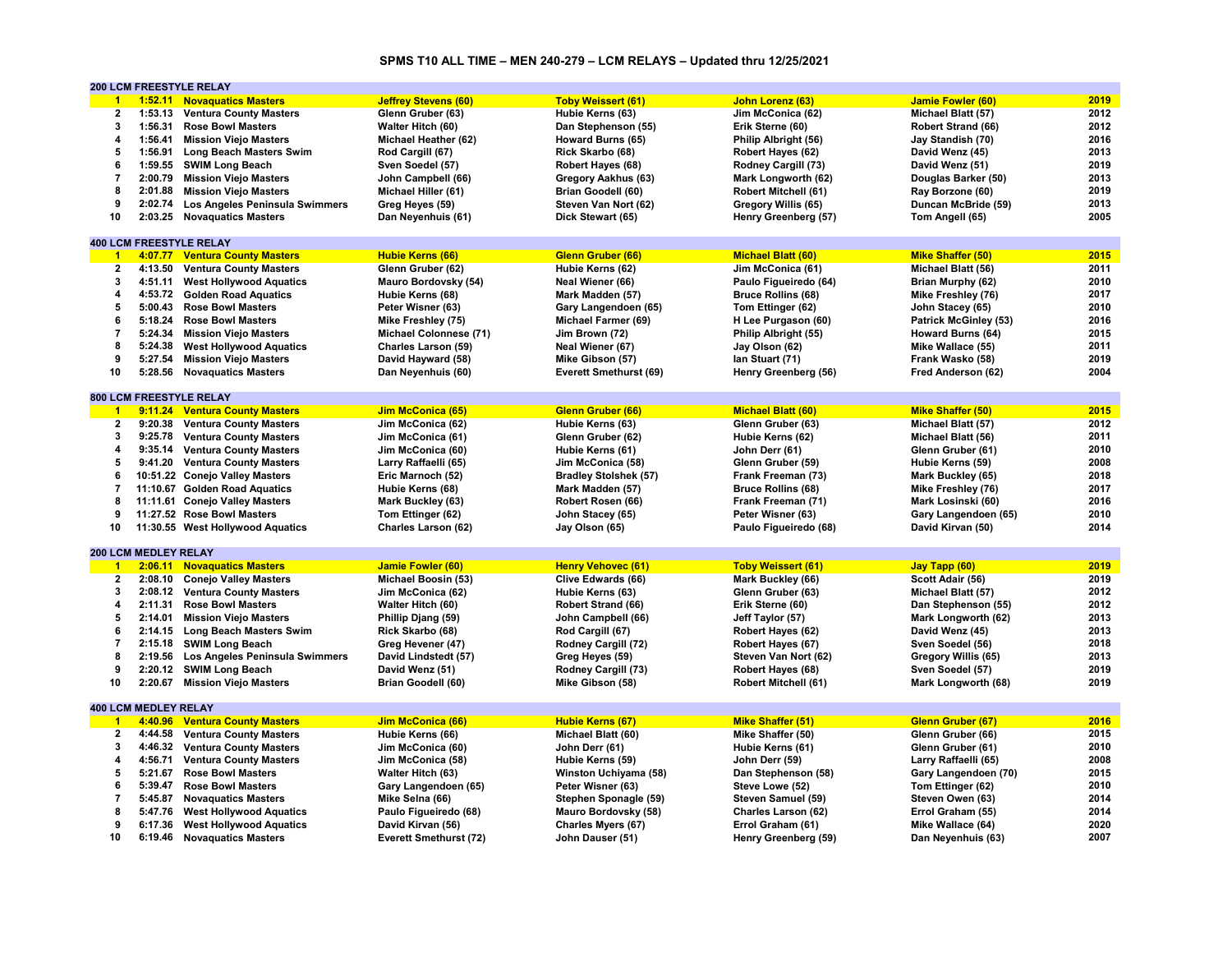# **SPMS T10 ALL TIME – MEN 240-279 – LCM RELAYS – Updated thru 12/25/2021**

|                         |                             | <b>200 LCM FREESTYLE RELAY</b>         |                               |                              |                             |                              |      |
|-------------------------|-----------------------------|----------------------------------------|-------------------------------|------------------------------|-----------------------------|------------------------------|------|
| $\blacktriangleleft$    |                             | 1:52.11 Novaguatics Masters            | <b>Jeffrey Stevens (60)</b>   | <b>Toby Weissert (61)</b>    | John Lorenz (63)            | <b>Jamie Fowler (60)</b>     | 2019 |
| $\overline{\mathbf{2}}$ | 1:53.13                     | <b>Ventura County Masters</b>          | Glenn Gruber (63)             | Hubie Kerns (63)             | Jim McConica (62)           | Michael Blatt (57)           | 2012 |
| 3                       | 1:56.31                     | <b>Rose Bowl Masters</b>               | Walter Hitch (60)             | Dan Stephenson (55)          | Erik Sterne (60)            | Robert Strand (66)           | 2012 |
| 4                       | 1:56.41                     | <b>Mission Viejo Masters</b>           | Michael Heather (62)          | Howard Burns (65)            | Philip Albright (56)        | Jay Standish (70)            | 2016 |
| 5                       |                             | 1:56.91 Long Beach Masters Swim        | Rod Cargill (67)              | Rick Skarbo (68)             | Robert Hayes (62)           | David Wenz (45)              | 2013 |
| 6                       |                             | 1:59.55 SWIM Long Beach                | Sven Soedel (57)              | Robert Hayes (68)            | Rodney Cargill (73)         | David Wenz (51)              | 2019 |
| $\overline{7}$          | 2:00.79                     | <b>Mission Viejo Masters</b>           |                               |                              |                             |                              | 2013 |
|                         |                             |                                        | John Campbell (66)            | Gregory Aakhus (63)          | Mark Longworth (62)         | Douglas Barker (50)          |      |
| 8                       | 2:01.88                     | <b>Mission Viejo Masters</b>           | Michael Hiller (61)           | <b>Brian Goodell (60)</b>    | <b>Robert Mitchell (61)</b> | Ray Borzone (60)             | 2019 |
| 9                       | 2:02.74                     | Los Angeles Peninsula Swimmers         | Greg Heyes (59)               | Steven Van Nort (62)         | Gregory Willis (65)         | Duncan McBride (59)          | 2013 |
| 10                      |                             | 2:03.25 Novaquatics Masters            | Dan Neyenhuis (61)            | Dick Stewart (65)            | Henry Greenberg (57)        | Tom Angell (65)              | 2005 |
|                         |                             |                                        |                               |                              |                             |                              |      |
|                         |                             | <b>400 LCM FREESTYLE RELAY</b>         |                               |                              |                             |                              |      |
| $\overline{1}$          |                             | 4:07.77 Ventura County Masters         | <b>Hubie Kerns (66)</b>       | Glenn Gruber (66)            | <b>Michael Blatt (60)</b>   | <b>Mike Shaffer (50)</b>     | 2015 |
| $\overline{2}$          | 4:13.50                     | <b>Ventura County Masters</b>          | Glenn Gruber (62)             | Hubie Kerns (62)             | Jim McConica (61)           | Michael Blatt (56)           | 2011 |
| 3                       | 4:51.11                     | <b>West Hollywood Aquatics</b>         | Mauro Bordovsky (54)          | Neal Wiener (66)             | Paulo Figueiredo (64)       | Brian Murphy (62)            | 2010 |
| 4                       |                             | 4:53.72 Golden Road Aquatics           | Hubie Kerns (68)              | Mark Madden (57)             | <b>Bruce Rollins (68)</b>   | Mike Freshley (76)           | 2017 |
| 5                       | 5:00.43                     | <b>Rose Bowl Masters</b>               | Peter Wisner (63)             | Gary Langendoen (65)         | Tom Ettinger (62)           | John Stacey (65)             | 2010 |
| 6                       |                             | 5:18.24 Rose Bowl Masters              | Mike Freshley (75)            | Michael Farmer (69)          | H Lee Purgason (60)         | <b>Patrick McGinley (53)</b> | 2016 |
| 7                       |                             | 5:24.34 Mission Viejo Masters          | Michael Colonnese (71)        | Jim Brown (72)               | Philip Albright (55)        | Howard Burns (64)            | 2015 |
| 8                       |                             | 5:24.38 West Hollywood Aquatics        | Charles Larson (59)           | Neal Wiener (67)             | Jay Olson (62)              | Mike Wallace (55)            | 2011 |
| 9                       |                             |                                        |                               |                              |                             |                              | 2019 |
|                         | 5:27.54                     | <b>Mission Viejo Masters</b>           | David Hayward (58)            | Mike Gibson (57)             | lan Stuart (71)             | Frank Wasko (58)             |      |
| 10                      | 5:28.56                     | <b>Novaquatics Masters</b>             | Dan Neyenhuis (60)            | Everett Smethurst (69)       | Henry Greenberg (56)        | Fred Anderson (62)           | 2004 |
|                         |                             |                                        |                               |                              |                             |                              |      |
|                         |                             | <b>800 LCM FREESTYLE RELAY</b>         |                               |                              |                             |                              |      |
| $-1$                    |                             | 9:11.24 Ventura County Masters         | <b>Jim McConica (65)</b>      | Glenn Gruber (66)            | <b>Michael Blatt (60)</b>   | <b>Mike Shaffer (50)</b>     | 2015 |
| $\mathbf{2}$            | 9:20.38                     | <b>Ventura County Masters</b>          | Jim McConica (62)             | Hubie Kerns (63)             | Glenn Gruber (63)           | Michael Blatt (57)           | 2012 |
| 3                       |                             | 9:25.78 Ventura County Masters         | Jim McConica (61)             | Glenn Gruber (62)            | Hubie Kerns (62)            | Michael Blatt (56)           | 2011 |
| 4                       | 9:35.14                     | <b>Ventura County Masters</b>          | Jim McConica (60)             | Hubie Kerns (61)             | John Derr (61)              | Glenn Gruber (61)            | 2010 |
| 5                       |                             | 9:41.20 Ventura County Masters         | Larry Raffaelli (65)          | Jim McConica (58)            | Glenn Gruber (59)           | Hubie Kerns (59)             | 2008 |
| 6                       |                             | 10:51.22 Conejo Valley Masters         | Eric Marnoch (52)             | <b>Bradley Stolshek (57)</b> | Frank Freeman (73)          | Mark Buckley (65)            | 2018 |
| $\overline{7}$          |                             | 11:10.67 Golden Road Aquatics          | Hubie Kerns (68)              | Mark Madden (57)             | <b>Bruce Rollins (68)</b>   | Mike Freshley (76)           | 2017 |
| 8                       |                             | 11:11.61 Conejo Valley Masters         | Mark Buckley (63)             | Robert Rosen (66)            | Frank Freeman (71)          | Mark Losinski (60)           | 2016 |
| 9                       |                             | 11:27.52 Rose Bowl Masters             |                               |                              | Peter Wisner (63)           |                              | 2010 |
|                         |                             |                                        | Tom Ettinger (62)             | John Stacey (65)             |                             | Gary Langendoen (65)         | 2014 |
| 10                      |                             | 11:30.55 West Hollywood Aquatics       | Charles Larson (62)           | Jay Olson (65)               | Paulo Figueiredo (68)       | David Kirvan (50)            |      |
|                         |                             |                                        |                               |                              |                             |                              |      |
|                         | 200 LCM MEDLEY RELAY        |                                        |                               |                              |                             |                              |      |
| $\blacksquare$          |                             | 2:06.11 Novaguatics Masters            | <b>Jamie Fowler (60)</b>      | <b>Henry Vehovec (61)</b>    | <b>Toby Weissert (61)</b>   | Jay Tapp (60)                | 2019 |
| $\overline{\mathbf{2}}$ |                             | 2:08.10 Conejo Valley Masters          | Michael Boosin (53)           | Clive Edwards (66)           | Mark Buckley (66)           | Scott Adair (56)             | 2019 |
| 3                       | 2:08.12                     | <b>Ventura County Masters</b>          | Jim McConica (62)             | Hubie Kerns (63)             | Glenn Gruber (63)           | Michael Blatt (57)           | 2012 |
| 4                       | 2:11.31                     | <b>Rose Bowl Masters</b>               | Walter Hitch (60)             | Robert Strand (66)           | Erik Sterne (60)            | Dan Stephenson (55)          | 2012 |
| 5                       | 2:14.01                     | <b>Mission Viejo Masters</b>           | Phillip Djang (59)            | John Campbell (66)           | Jeff Taylor (57)            | Mark Longworth (62)          | 2013 |
| 6                       |                             | 2:14.15 Long Beach Masters Swim        | Rick Skarbo (68)              | Rod Cargill (67)             | Robert Hayes (62)           | David Wenz (45)              | 2013 |
| $\overline{7}$          | 2:15.18                     | <b>SWIM Long Beach</b>                 | Greg Hevener (47)             | Rodney Cargill (72)          | Robert Hayes (67)           | Sven Soedel (56)             | 2018 |
| 8                       |                             | 2:19.56 Los Angeles Peninsula Swimmers | David Lindstedt (57)          | Greg Heyes (59)              | Steven Van Nort (62)        | Gregory Willis (65)          | 2013 |
| 9                       | 2:20.12                     | <b>SWIM Long Beach</b>                 | David Wenz (51)               | Rodney Cargill (73)          | Robert Hayes (68)           | Sven Soedel (57)             | 2019 |
| 10                      |                             | 2:20.67 Mission Viejo Masters          | Brian Goodell (60)            | Mike Gibson (58)             | <b>Robert Mitchell (61)</b> | Mark Longworth (68)          | 2019 |
|                         |                             |                                        |                               |                              |                             |                              |      |
|                         | <b>400 LCM MEDLEY RELAY</b> |                                        |                               |                              |                             |                              |      |
| $\blacktriangleleft$    |                             | 4:40.96 Ventura County Masters         | Jim McConica (66)             | <b>Hubie Kerns (67)</b>      | <b>Mike Shaffer (51)</b>    | Glenn Gruber (67)            | 2016 |
| $\overline{2}$          | 4:44.58                     | <b>Ventura County Masters</b>          |                               |                              |                             | Glenn Gruber (66)            | 2015 |
|                         |                             |                                        | Hubie Kerns (66)              | Michael Blatt (60)           | Mike Shaffer (50)           |                              |      |
| 3                       |                             | 4:46.32 Ventura County Masters         | Jim McConica (60)             | John Derr (61)               | Hubie Kerns (61)            | Glenn Gruber (61)            | 2010 |
| 4                       | 4:56.71                     | <b>Ventura County Masters</b>          | Jim McConica (58)             | Hubie Kerns (59)             | John Derr (59)              | Larry Raffaelli (65)         | 2008 |
| 5                       | 5:21.67                     | <b>Rose Bowl Masters</b>               | Walter Hitch (63)             | Winston Uchiyama (58)        | Dan Stephenson (58)         | Gary Langendoen (70)         | 2015 |
| 6                       | 5:39.47                     | <b>Rose Bowl Masters</b>               | Gary Langendoen (65)          | Peter Wisner (63)            | Steve Lowe (52)             | Tom Ettinger (62)            | 2010 |
| 7                       | 5:45.87                     | <b>Novaquatics Masters</b>             | Mike Selna (66)               | Stephen Sponagle (59)        | Steven Samuel (59)          | Steven Owen (63)             | 2014 |
| 8                       | 5:47.76                     | <b>West Hollywood Aquatics</b>         | Paulo Figueiredo (68)         | Mauro Bordovsky (58)         | Charles Larson (62)         | Errol Graham (55)            | 2014 |
| 9                       |                             | 6:17.36 West Hollywood Aquatics        | David Kirvan (56)             | Charles Myers (67)           | Errol Graham (61)           | Mike Wallace (64)            | 2020 |
| 10                      |                             | 6:19.46 Novaquatics Masters            | <b>Everett Smethurst (72)</b> | John Dauser (51)             | Henry Greenberg (59)        | Dan Neyenhuis (63)           | 2007 |
|                         |                             |                                        |                               |                              |                             |                              |      |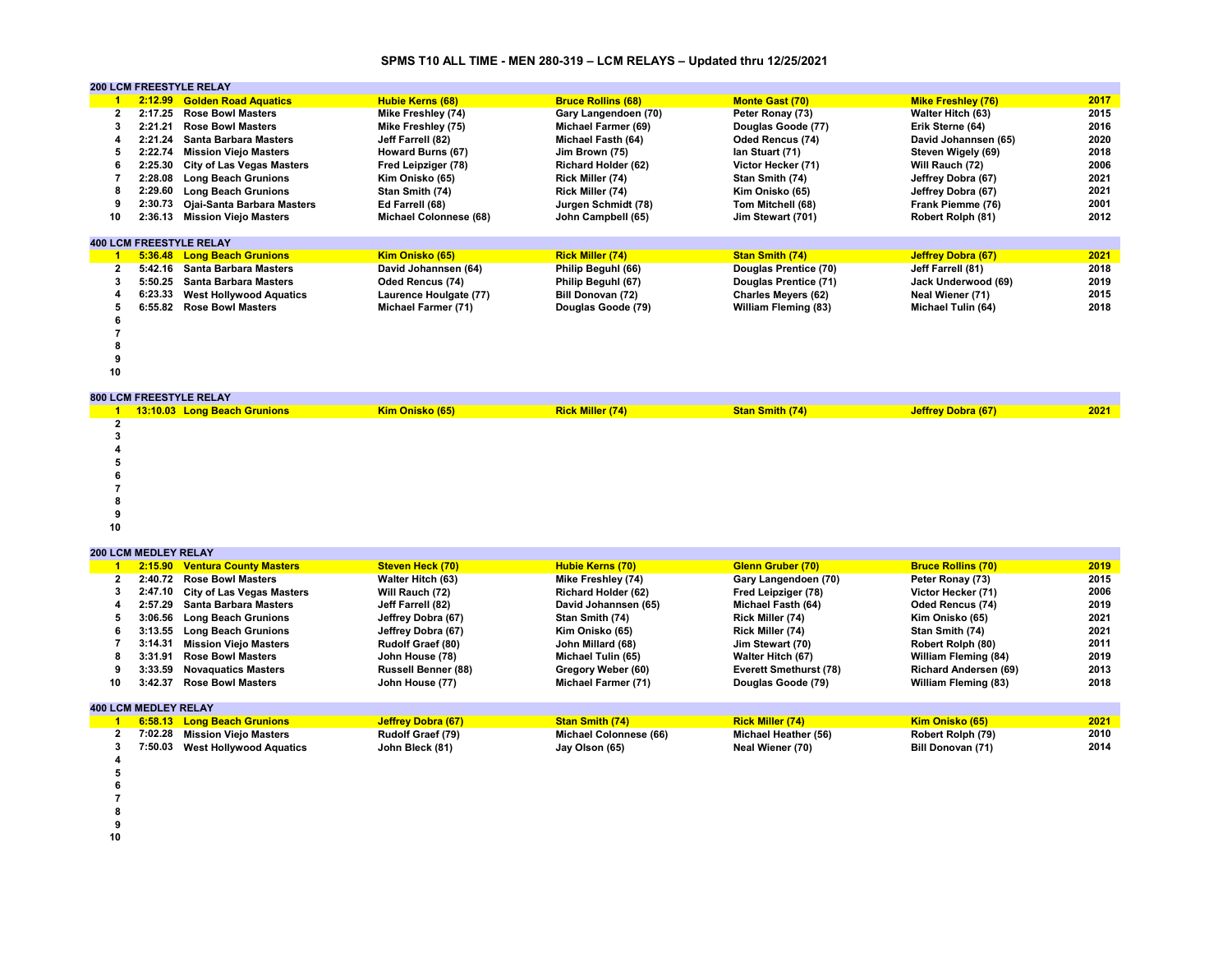### **SPMS T10 ALL TIME - MEN 280-319 – LCM RELAYS – Updated thru 12/25/2021**

|    | <b>200 LCM FREESTYLE RELAY</b> |                                  |                               |                            |                            |                           |      |  |  |
|----|--------------------------------|----------------------------------|-------------------------------|----------------------------|----------------------------|---------------------------|------|--|--|
|    | 2:12.99                        | <b>Golden Road Aquatics</b>      | <b>Hubie Kerns (68)</b>       | <b>Bruce Rollins (68)</b>  | <b>Monte Gast (70)</b>     | <b>Mike Freshley (76)</b> | 2017 |  |  |
|    | 2:17.25                        | <b>Rose Bowl Masters</b>         | Mike Freshley (74)            | Gary Langendoen (70)       | Peter Ronay (73)           | <b>Walter Hitch (63)</b>  | 2015 |  |  |
|    | 2:21.21                        | <b>Rose Bowl Masters</b>         | Mike Freshley (75)            | Michael Farmer (69)        | Douglas Goode (77)         | Erik Sterne (64)          | 2016 |  |  |
|    | 2:21.24                        | <b>Santa Barbara Masters</b>     | Jeff Farrell (82)             | Michael Fasth (64)         | <b>Oded Rencus (74)</b>    | David Johannsen (65)      | 2020 |  |  |
| 5  | 2:22.74                        | <b>Mission Viejo Masters</b>     | Howard Burns (67)             | Jim Brown (75)             | lan Stuart (71)            | Steven Wigely (69)        | 2018 |  |  |
|    | 2:25.30                        | <b>City of Las Vegas Masters</b> | Fred Leipziger (78)           | <b>Richard Holder (62)</b> | Victor Hecker (71)         | Will Rauch (72)           | 2006 |  |  |
|    | 2:28.08                        | <b>Long Beach Grunions</b>       | Kim Onisko (65)               | Rick Miller (74)           | Stan Smith (74)            | Jeffrey Dobra (67)        | 2021 |  |  |
|    | 2:29.60                        | <b>Long Beach Grunions</b>       | Stan Smith (74)               | Rick Miller (74)           | Kim Onisko (65)            | Jeffrey Dobra (67)        | 2021 |  |  |
|    | 2:30.73                        | Ojai-Santa Barbara Masters       | Ed Farrell (68)               | Jurgen Schmidt (78)        | Tom Mitchell (68)          | Frank Piemme (76)         | 2001 |  |  |
| 10 | 2:36.13                        | <b>Mission Viejo Masters</b>     | <b>Michael Colonnese (68)</b> | John Campbell (65)         | Jim Stewart (701)          | Robert Rolph (81)         | 2012 |  |  |
|    |                                |                                  |                               |                            |                            |                           |      |  |  |
|    |                                | <b>400 LCM FREESTYLE RELAY</b>   |                               |                            |                            |                           |      |  |  |
|    | 5:36.48                        | <b>Long Beach Grunions</b>       | Kim Onisko (65)               | <b>Rick Miller (74)</b>    | <b>Stan Smith (74)</b>     | Jeffrey Dobra (67)        | 2021 |  |  |
|    | 5:42.16                        | <b>Santa Barbara Masters</b>     | David Johannsen (64)          | Philip Beguhl (66)         | Douglas Prentice (70)      | Jeff Farrell (81)         | 2018 |  |  |
|    | 5:50.25                        | <b>Santa Barbara Masters</b>     | <b>Oded Rencus (74)</b>       | Philip Beguhl (67)         | Douglas Prentice (71)      | Jack Underwood (69)       | 2019 |  |  |
|    | 6:23.33                        | <b>West Hollywood Aquatics</b>   | Laurence Houlgate (77)        | <b>Bill Donovan (72)</b>   | <b>Charles Meyers (62)</b> | Neal Wiener (71)          | 2015 |  |  |
|    | 6:55.82                        | <b>Rose Bowl Masters</b>         | Michael Farmer (71)           | Douglas Goode (79)         | William Fleming (83)       | Michael Tulin (64)        | 2018 |  |  |
|    |                                |                                  |                               |                            |                            |                           |      |  |  |
|    |                                |                                  |                               |                            |                            |                           |      |  |  |
|    |                                |                                  |                               |                            |                            |                           |      |  |  |
|    |                                |                                  |                               |                            |                            |                           |      |  |  |
| 10 |                                |                                  |                               |                            |                            |                           |      |  |  |
|    |                                | <b>ONA LOM EDECCTVI E DEL AV</b> |                               |                            |                            |                           |      |  |  |

|    | <b>800 LCM FREESTYLE RELAY</b> |                 |                         |                 |                           |      |
|----|--------------------------------|-----------------|-------------------------|-----------------|---------------------------|------|
|    | 13:10.03 Long Beach Grunions   | Kim Onisko (65) | <b>Rick Miller (74)</b> | Stan Smith (74) | <b>Jeffrey Dobra (67)</b> | 2021 |
|    |                                |                 |                         |                 |                           |      |
|    |                                |                 |                         |                 |                           |      |
|    |                                |                 |                         |                 |                           |      |
|    |                                |                 |                         |                 |                           |      |
|    |                                |                 |                         |                 |                           |      |
|    |                                |                 |                         |                 |                           |      |
|    |                                |                 |                         |                 |                           |      |
|    |                                |                 |                         |                 |                           |      |
| 10 |                                |                 |                         |                 |                           |      |

**200 LCM MEDLEY RELAY**

|    |                             | 2:15.90 Ventura County Masters    | <b>Steven Heck (70)</b>    | <b>Hubie Kerns (70)</b>    | <b>Glenn Gruber (70)</b>      | <b>Bruce Rollins (70)</b>    | 2019 |
|----|-----------------------------|-----------------------------------|----------------------------|----------------------------|-------------------------------|------------------------------|------|
|    | 2:40.72                     | <b>Rose Bowl Masters</b>          | <b>Walter Hitch (63)</b>   | Mike Freshley (74)         | Gary Langendoen (70)          | Peter Ronay (73)             | 2015 |
|    |                             | 2:47.10 City of Las Vegas Masters | Will Rauch (72)            | <b>Richard Holder (62)</b> | Fred Leipziger (78)           | Victor Hecker (71)           | 2006 |
|    | 2:57.29                     | Santa Barbara Masters             | Jeff Farrell (82)          | David Johannsen (65)       | Michael Fasth (64)            | <b>Oded Rencus (74)</b>      | 2019 |
|    | 3:06.56                     | <b>Long Beach Grunions</b>        | Jeffrey Dobra (67)         | Stan Smith (74)            | Rick Miller (74)              | Kim Onisko (65)              | 2021 |
|    | 3:13.55                     | <b>Long Beach Grunions</b>        | Jeffrey Dobra (67)         | Kim Onisko (65)            | Rick Miller (74)              | Stan Smith (74)              | 2021 |
|    | 3:14.31                     | <b>Mission Vieio Masters</b>      | <b>Rudolf Graef (80)</b>   | John Millard (68)          | Jim Stewart (70)              | Robert Rolph (80)            | 2011 |
|    | 3:31.91                     | <b>Rose Bowl Masters</b>          | John House (78)            | Michael Tulin (65)         | <b>Walter Hitch (67)</b>      | <b>William Fleming (84)</b>  | 2019 |
|    | 3:33.59                     | <b>Novaguatics Masters</b>        | <b>Russell Benner (88)</b> | Gregory Weber (60)         | <b>Everett Smethurst (78)</b> | <b>Richard Andersen (69)</b> | 2013 |
| 10 | 3:42.37                     | <b>Rose Bowl Masters</b>          | John House (77)            | Michael Farmer (71)        | Douglas Goode (79)            | <b>William Fleming (83)</b>  | 2018 |
|    | <b>400 LCM MEDLEY RELAY</b> |                                   |                            |                            |                               |                              |      |
|    |                             | 6:58.13 Long Beach Grunions       | <b>Jeffrey Dobra (67)</b>  | <b>Stan Smith (74)</b>     | <b>Rick Miller (74)</b>       | Kim Onisko (65)              | 2021 |

|  | <b>6:58.13 Long Beach Grunions</b> | <u> Jeffrey Dobra (67)</u> | <b>Stan Smith (74)</b> | <b>Rick Miller (74)</b> | Kim Onisko (65)   | 2021 |
|--|------------------------------------|----------------------------|------------------------|-------------------------|-------------------|------|
|  | 7:02.28 Mission Viejo Masters      | Rudolf Graef (79)          | Michael Colonnese (66) | Michael Heather (56)    | Robert Rolph (79) | 2010 |
|  | 7:50.03 West Hollywood Aquatics    | John Bleck (81)            | Jay Olson (65)         | Neal Wiener (70)        | Bill Donovan (71) | 2014 |
|  |                                    |                            |                        |                         |                   |      |
|  |                                    |                            |                        |                         |                   |      |
|  |                                    |                            |                        |                         |                   |      |
|  |                                    |                            |                        |                         |                   |      |

- 
- **8**

**9**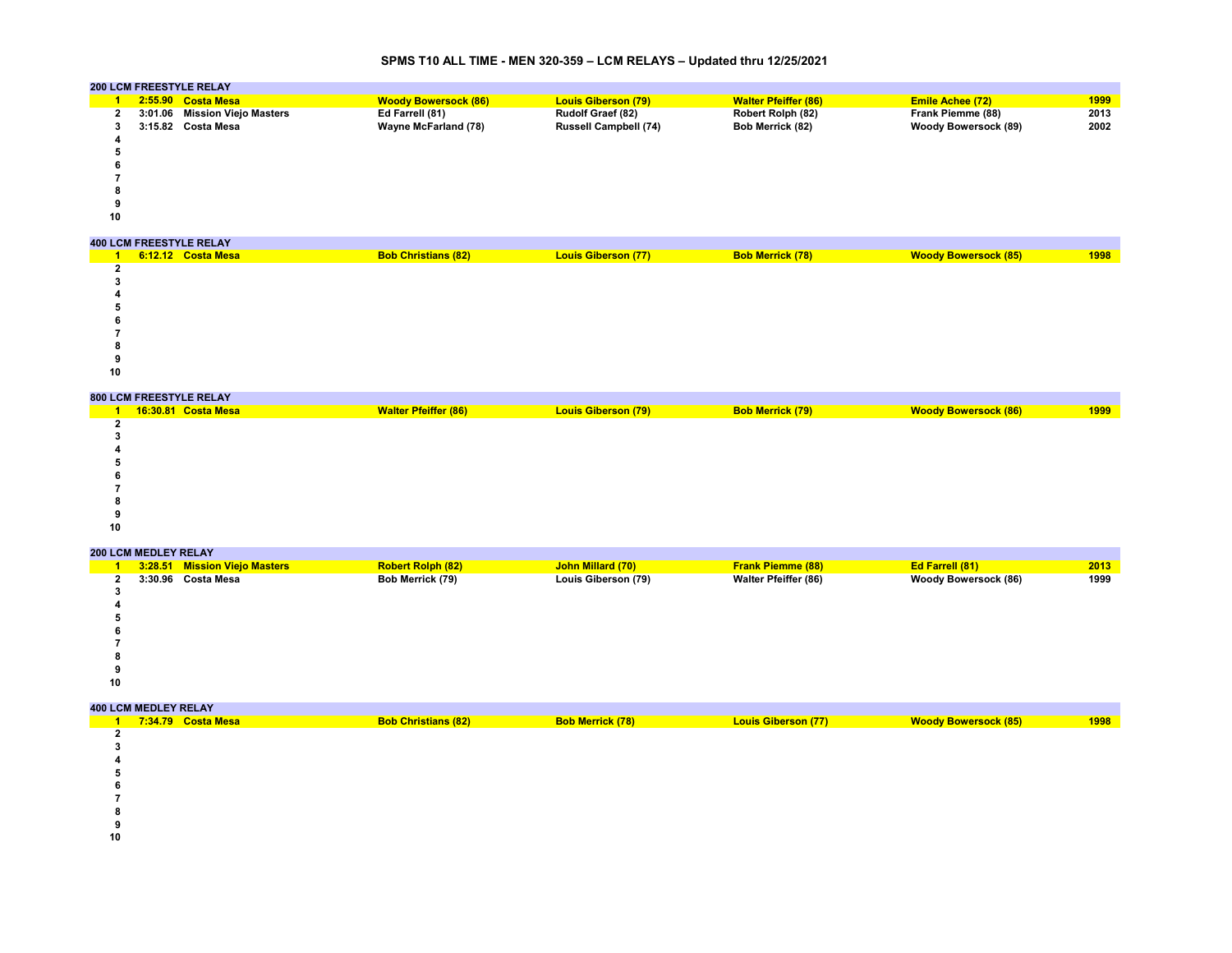# **SPMS T10 ALL TIME - MEN 320-359 – LCM RELAYS – Updated thru 12/25/2021**

|    | <b>200 LCM FREESTYLE RELAY</b> |                             |                              |                             |                             |      |
|----|--------------------------------|-----------------------------|------------------------------|-----------------------------|-----------------------------|------|
|    | $2:55.90$ Costa Mesa           | <b>Woody Bowersock (86)</b> | <b>Louis Giberson (79)</b>   | <b>Walter Pfeiffer (86)</b> | <b>Emile Achee (72)</b>     | 1999 |
|    | 3:01.06 Mission Viejo Masters  | Ed Farrell (81)             | <b>Rudolf Graef (82)</b>     | Robert Rolph (82)           | Frank Piemme (88)           | 2013 |
|    | 3:15.82 Costa Mesa             | <b>Wayne McFarland (78)</b> | <b>Russell Campbell (74)</b> | Bob Merrick (82)            | <b>Woody Bowersock (89)</b> | 2002 |
|    |                                |                             |                              |                             |                             |      |
|    |                                |                             |                              |                             |                             |      |
|    |                                |                             |                              |                             |                             |      |
|    |                                |                             |                              |                             |                             |      |
|    |                                |                             |                              |                             |                             |      |
|    |                                |                             |                              |                             |                             |      |
| 10 |                                |                             |                              |                             |                             |      |
|    |                                |                             |                              |                             |                             |      |
|    | <b>400 LCM FREESTYLE RELAY</b> |                             |                              |                             |                             |      |
|    | 6:12.12 Costa Mesa             | <b>Bob Christians (82)</b>  | <b>Louis Giberson (77)</b>   | <b>Bob Merrick (78)</b>     | <b>Woody Bowersock (85)</b> | 1998 |
|    |                                |                             |                              |                             |                             |      |

| 1999 |
|------|
|      |
|      |
|      |
|      |
|      |
|      |
|      |
|      |
|      |
|      |

# **200 LCM MEDLEY RELAY**

|    | 3:28.51 Mission Viejo Masters | <b>Robert Rolph (82)</b> | John Millard (70)   | <b>Frank Piemme (88)</b>    | <b>Ed Farrell (81)</b>      | 2013 |
|----|-------------------------------|--------------------------|---------------------|-----------------------------|-----------------------------|------|
|    | 3:30.96 Costa Mesa            | Bob Merrick (79)         | Louis Giberson (79) | <b>Walter Pfeiffer (86)</b> | <b>Woody Bowersock (86)</b> | 1999 |
|    |                               |                          |                     |                             |                             |      |
|    |                               |                          |                     |                             |                             |      |
|    |                               |                          |                     |                             |                             |      |
| Ð  |                               |                          |                     |                             |                             |      |
|    |                               |                          |                     |                             |                             |      |
| 8  |                               |                          |                     |                             |                             |      |
|    |                               |                          |                     |                             |                             |      |
| 10 |                               |                          |                     |                             |                             |      |
|    |                               |                          |                     |                             |                             |      |

| <b>400 LCM MEDLEY RELAY</b> |                    |                            |                         |                            |                             |      |
|-----------------------------|--------------------|----------------------------|-------------------------|----------------------------|-----------------------------|------|
|                             | 7:34.79 Costa Mesa | <b>Bob Christians (82)</b> | <b>Bob Merrick (78)</b> | <b>Louis Giberson (77)</b> | <b>Woody Bowersock (85)</b> | 1998 |
|                             |                    |                            |                         |                            |                             |      |
|                             |                    |                            |                         |                            |                             |      |
|                             |                    |                            |                         |                            |                             |      |
|                             |                    |                            |                         |                            |                             |      |
|                             |                    |                            |                         |                            |                             |      |
|                             |                    |                            |                         |                            |                             |      |
|                             |                    |                            |                         |                            |                             |      |
|                             |                    |                            |                         |                            |                             |      |
|                             |                    |                            |                         |                            |                             |      |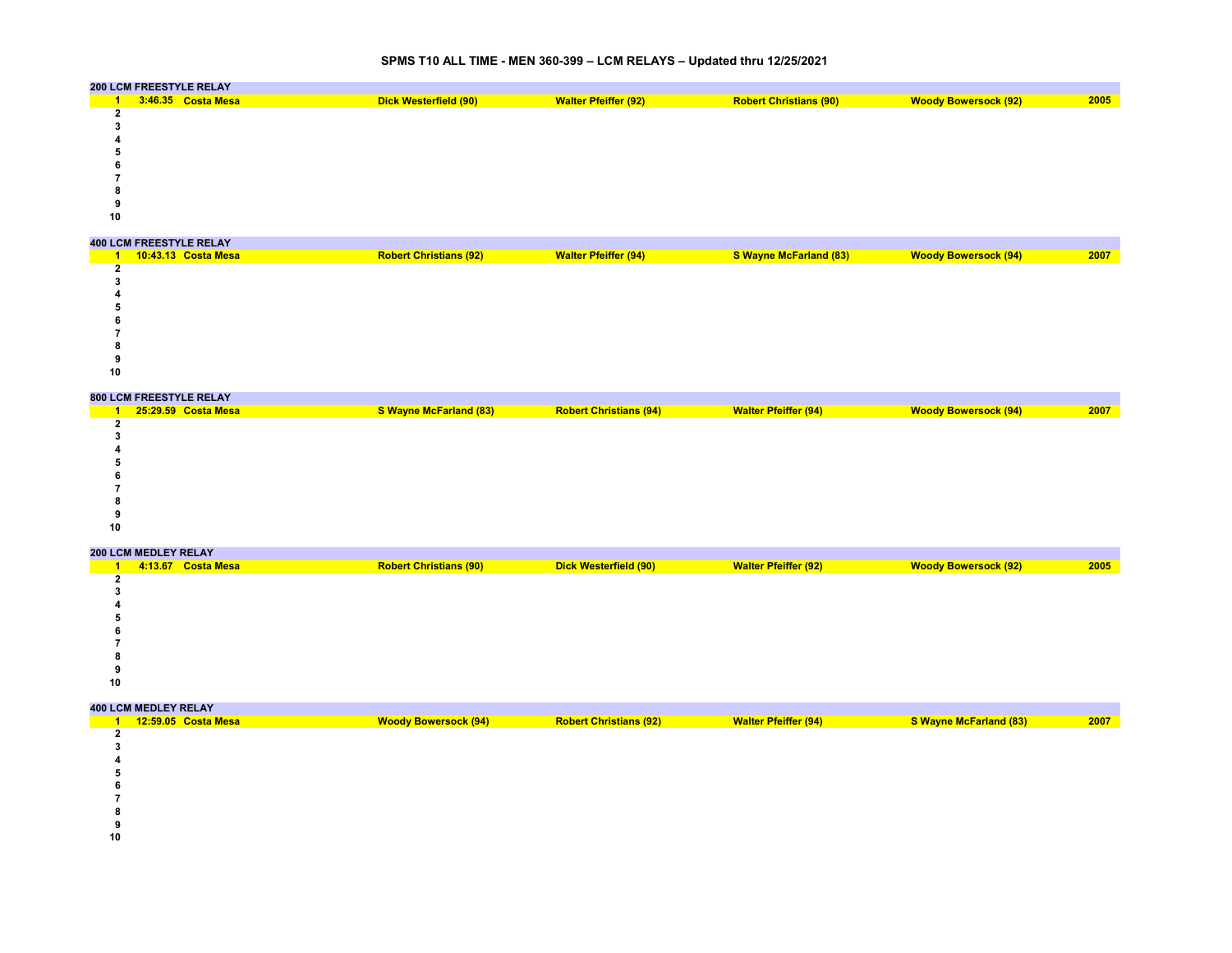# **SPMS T10 ALL TIME - MEN 360-399 – LCM RELAYS – Updated thru 12/25/2021**

|    | 200 LCM FREESTYLE RELAY |                       |                             |                               |                             |      |
|----|-------------------------|-----------------------|-----------------------------|-------------------------------|-----------------------------|------|
|    | 3:46.35 Costa Mesa      | Dick Westerfield (90) | <b>Walter Pfeiffer (92)</b> | <b>Robert Christians (90)</b> | <b>Woody Bowersock (92)</b> | 2005 |
|    |                         |                       |                             |                               |                             |      |
|    |                         |                       |                             |                               |                             |      |
|    |                         |                       |                             |                               |                             |      |
|    |                         |                       |                             |                               |                             |      |
|    |                         |                       |                             |                               |                             |      |
|    |                         |                       |                             |                               |                             |      |
|    |                         |                       |                             |                               |                             |      |
|    |                         |                       |                             |                               |                             |      |
| 10 |                         |                       |                             |                               |                             |      |
|    |                         |                       |                             |                               |                             |      |

|    | <b>400 LCM FREESTYLE RELAY</b> |                               |                             |                        |                             |      |
|----|--------------------------------|-------------------------------|-----------------------------|------------------------|-----------------------------|------|
|    | 10:43.13 Costa Mesa            | <b>Robert Christians (92)</b> | <b>Walter Pfeiffer (94)</b> | S Wayne McFarland (83) | <b>Woody Bowersock (94)</b> | 2007 |
|    |                                |                               |                             |                        |                             |      |
|    |                                |                               |                             |                        |                             |      |
|    |                                |                               |                             |                        |                             |      |
|    |                                |                               |                             |                        |                             |      |
|    |                                |                               |                             |                        |                             |      |
|    |                                |                               |                             |                        |                             |      |
|    |                                |                               |                             |                        |                             |      |
|    |                                |                               |                             |                        |                             |      |
| 10 |                                |                               |                             |                        |                             |      |

|    | 800 LCM FREESTYLE RELAY |                        |                               |                             |                             |      |
|----|-------------------------|------------------------|-------------------------------|-----------------------------|-----------------------------|------|
|    | 25:29.59 Costa Mesa     | S Wayne McFarland (83) | <b>Robert Christians (94)</b> | <b>Walter Pfeiffer (94)</b> | <b>Woody Bowersock (94)</b> | 2007 |
|    |                         |                        |                               |                             |                             |      |
|    |                         |                        |                               |                             |                             |      |
|    |                         |                        |                               |                             |                             |      |
|    |                         |                        |                               |                             |                             |      |
|    |                         |                        |                               |                             |                             |      |
|    |                         |                        |                               |                             |                             |      |
|    |                         |                        |                               |                             |                             |      |
|    |                         |                        |                               |                             |                             |      |
| 10 |                         |                        |                               |                             |                             |      |

|    | <b>200 LCM MEDLEY RELAY</b> |                    |                               |                       |                             |                             |      |  |  |  |  |
|----|-----------------------------|--------------------|-------------------------------|-----------------------|-----------------------------|-----------------------------|------|--|--|--|--|
|    |                             | 4:13.67 Costa Mesa | <b>Robert Christians (90)</b> | Dick Westerfield (90) | <b>Walter Pfeiffer (92)</b> | <b>Woody Bowersock (92)</b> | 2005 |  |  |  |  |
|    |                             |                    |                               |                       |                             |                             |      |  |  |  |  |
|    |                             |                    |                               |                       |                             |                             |      |  |  |  |  |
|    |                             |                    |                               |                       |                             |                             |      |  |  |  |  |
|    |                             |                    |                               |                       |                             |                             |      |  |  |  |  |
|    |                             |                    |                               |                       |                             |                             |      |  |  |  |  |
|    |                             |                    |                               |                       |                             |                             |      |  |  |  |  |
|    |                             |                    |                               |                       |                             |                             |      |  |  |  |  |
|    |                             |                    |                               |                       |                             |                             |      |  |  |  |  |
| 10 |                             |                    |                               |                       |                             |                             |      |  |  |  |  |

|    | <b>400 LCM MEDLEY RELAY</b> |                             |                               |                             |                        |      |
|----|-----------------------------|-----------------------------|-------------------------------|-----------------------------|------------------------|------|
|    | 12:59.05 Costa Mesa         | <b>Woody Bowersock (94)</b> | <b>Robert Christians (92)</b> | <b>Walter Pfeiffer (94)</b> | S Wayne McFarland (83) | 2007 |
|    |                             |                             |                               |                             |                        |      |
|    |                             |                             |                               |                             |                        |      |
|    |                             |                             |                               |                             |                        |      |
|    |                             |                             |                               |                             |                        |      |
|    |                             |                             |                               |                             |                        |      |
|    |                             |                             |                               |                             |                        |      |
|    |                             |                             |                               |                             |                        |      |
|    |                             |                             |                               |                             |                        |      |
| 10 |                             |                             |                               |                             |                        |      |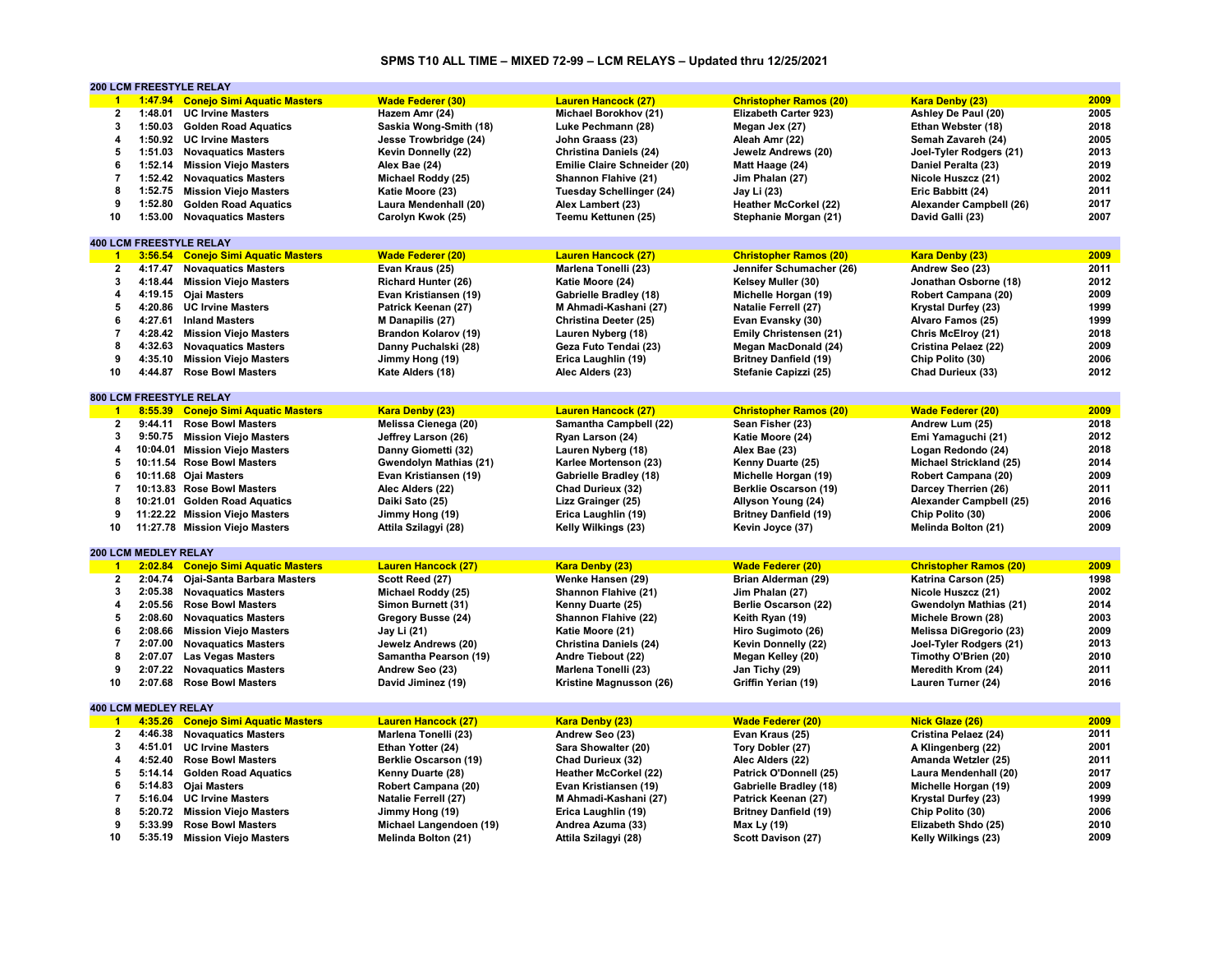# **SPMS T10 ALL TIME – MIXED 72-99 – LCM RELAYS – Updated thru 12/25/2021**

|                         |                             | <b>200 LCM FREESTYLE RELAY</b>      |                              |                                 |                               |                                |              |
|-------------------------|-----------------------------|-------------------------------------|------------------------------|---------------------------------|-------------------------------|--------------------------------|--------------|
| $\mathbf{1}$            |                             | 1:47.94 Conejo Simi Aquatic Masters | <b>Wade Federer (30)</b>     | <b>Lauren Hancock (27)</b>      | <b>Christopher Ramos (20)</b> | <b>Kara Denby (23)</b>         | 2009         |
| $\overline{\mathbf{2}}$ | 1:48.01                     | <b>UC Irvine Masters</b>            | Hazem Amr (24)               | Michael Borokhov (21)           | Elizabeth Carter 923)         | Ashley De Paul (20)            | 2005         |
| 3                       |                             | 1:50.03 Golden Road Aquatics        | Saskia Wong-Smith (18)       | Luke Pechmann (28)              | Megan Jex (27)                | Ethan Webster (18)             | 2018         |
| 4                       |                             | 1:50.92 UC Irvine Masters           | Jesse Trowbridge (24)        | John Graass (23)                | Aleah Amr (22)                | Semah Zavareh (24)             | 2005         |
| 5                       |                             | 1:51.03 Novaquatics Masters         | Kevin Donnelly (22)          | <b>Christina Daniels (24)</b>   | Jewelz Andrews (20)           | Joel-Tyler Rodgers (21)        | 2013         |
| 6                       | 1:52.14                     | <b>Mission Viejo Masters</b>        | Alex Bae (24)                | Emilie Claire Schneider (20)    | Matt Haage (24)               | Daniel Peralta (23)            | 2019         |
| $\overline{7}$          | 1:52.42                     | <b>Novaguatics Masters</b>          | Michael Roddy (25)           | Shannon Flahive (21)            | Jim Phalan (27)               | Nicole Huszcz (21)             | 2002         |
| 8                       |                             |                                     |                              |                                 |                               |                                | 2011         |
|                         |                             | 1:52.75 Mission Viejo Masters       | Katie Moore (23)             | <b>Tuesday Schellinger (24)</b> | Jay Li (23)                   | Eric Babbitt (24)              |              |
| 9                       | 1:52.80                     | <b>Golden Road Aquatics</b>         | Laura Mendenhall (20)        | Alex Lambert (23)               | <b>Heather McCorkel (22)</b>  | Alexander Campbell (26)        | 2017         |
| 10                      |                             | 1:53.00 Novaquatics Masters         | Carolyn Kwok (25)            | Teemu Kettunen (25)             | Stephanie Morgan (21)         | David Galli (23)               | 2007         |
|                         |                             |                                     |                              |                                 |                               |                                |              |
|                         |                             | <b>400 LCM FREESTYLE RELAY</b>      |                              |                                 |                               |                                |              |
| $\blacksquare$          |                             | 3:56.54 Conejo Simi Aquatic Masters | <b>Wade Federer (20)</b>     | <b>Lauren Hancock (27)</b>      | <b>Christopher Ramos (20)</b> | Kara Denby (23)                | 2009         |
| $\mathbf{2}$            | 4:17.47                     | <b>Novaguatics Masters</b>          | Evan Kraus (25)              | Marlena Tonelli (23)            | Jennifer Schumacher (26)      | Andrew Seo (23)                | 2011         |
| 3                       |                             | 4:18.44 Mission Viejo Masters       | <b>Richard Hunter (26)</b>   | Katie Moore (24)                | Kelsey Muller (30)            | Jonathan Osborne (18)          | 2012         |
| 4                       |                             | 4:19.15 Ojai Masters                | Evan Kristiansen (19)        | Gabrielle Bradley (18)          | Michelle Horgan (19)          | Robert Campana (20)            | 2009         |
| 5                       |                             | 4:20.86 UC Irvine Masters           | Patrick Keenan (27)          | M Ahmadi-Kashani (27)           | <b>Natalie Ferrell (27)</b>   | Krystal Durfey (23)            | 1999         |
| 6                       | 4:27.61                     | <b>Inland Masters</b>               | M Danapilis (27)             | Christina Deeter (25)           | Evan Evansky (30)             | Alvaro Famos (25)              | 1999         |
| $\overline{7}$          |                             | 4:28.42 Mission Viejo Masters       | <b>Brandon Kolarov (19)</b>  | Lauren Nyberg (18)              | Emily Christensen (21)        | Chris McElroy (21)             | 2018         |
| 8                       |                             | 4:32.63 Novaquatics Masters         | Danny Puchalski (28)         | Geza Futo Tendai (23)           | Megan MacDonald (24)          | Cristina Pelaez (22)           | 2009         |
| 9                       | 4:35.10                     | <b>Mission Viejo Masters</b>        | Jimmy Hong (19)              | Erica Laughlin (19)             | <b>Britney Danfield (19)</b>  | Chip Polito (30)               | 2006         |
| 10                      | 4:44.87                     | <b>Rose Bowl Masters</b>            | Kate Alders (18)             | Alec Alders (23)                | Stefanie Capizzi (25)         | Chad Durieux (33)              | 2012         |
|                         |                             |                                     |                              |                                 |                               |                                |              |
|                         |                             | 800 LCM FREESTYLE RELAY             |                              |                                 |                               |                                |              |
| $\overline{1}$          |                             | 8:55.39 Conejo Simi Aquatic Masters | <b>Kara Denby (23)</b>       | <b>Lauren Hancock (27)</b>      | <b>Christopher Ramos (20)</b> | <b>Wade Federer (20)</b>       | 2009         |
| $\mathbf{2}$            |                             |                                     |                              |                                 |                               |                                |              |
|                         | 9:44.11                     | <b>Rose Bowl Masters</b>            | Melissa Cienega (20)         | Samantha Campbell (22)          | Sean Fisher (23)              | Andrew Lum (25)                | 2018         |
| 3                       |                             | 9:50.75 Mission Viejo Masters       | Jeffrey Larson (26)          | Ryan Larson (24)                | Katie Moore (24)              | Emi Yamaguchi (21)             | 2012         |
| 4                       |                             | 10:04.01 Mission Viejo Masters      | Danny Giometti (32)          | Lauren Nyberg (18)              | Alex Bae (23)                 | Logan Redondo (24)             | 2018         |
| 5                       |                             | 10:11.54 Rose Bowl Masters          | Gwendolyn Mathias (21)       | Karlee Mortenson (23)           | Kenny Duarte (25)             | <b>Michael Strickland (25)</b> | 2014         |
| 6                       |                             | 10:11.68 Ojai Masters               | Evan Kristiansen (19)        | <b>Gabrielle Bradley (18)</b>   | Michelle Horgan (19)          | Robert Campana (20)            | 2009         |
| 7                       |                             | 10:13.83 Rose Bowl Masters          | Alec Alders (22)             | Chad Durieux (32)               | Berklie Oscarson (19)         | Darcey Therrien (26)           | 2011         |
| 8                       |                             | 10:21.01 Golden Road Aquatics       | Daiki Sato (25)              | Lizz Grainger (25)              | Allyson Young (24)            | Alexander Campbell (25)        | 2016         |
| 9                       |                             | 11:22.22 Mission Viejo Masters      | Jimmy Hong (19)              | Erica Laughlin (19)             | <b>Britney Danfield (19)</b>  | Chip Polito (30)               | 2006         |
| 10                      |                             | 11:27.78 Mission Viejo Masters      | Attila Szilagyi (28)         | Kelly Wilkings (23)             | Kevin Joyce (37)              | Melinda Bolton (21)            | 2009         |
|                         |                             |                                     |                              |                                 |                               |                                |              |
|                         | 200 LCM MEDLEY RELAY        |                                     |                              |                                 |                               |                                |              |
| $\blacktriangleleft$    |                             | 2:02.84 Conejo Simi Aquatic Masters | <b>Lauren Hancock (27)</b>   | Kara Denby (23)                 | <b>Wade Federer (20)</b>      | <b>Christopher Ramos (20)</b>  | 2009         |
| $\overline{2}$          |                             | 2:04.74 Ojai-Santa Barbara Masters  | Scott Reed (27)              | Wenke Hansen (29)               | Brian Alderman (29)           | Katrina Carson (25)            | 1998         |
| 3                       |                             | 2:05.38 Novaguatics Masters         | Michael Roddy (25)           | Shannon Flahive (21)            | Jim Phalan (27)               | Nicole Huszcz (21)             | 2002         |
| 4                       |                             | 2:05.56 Rose Bowl Masters           | Simon Burnett (31)           | Kenny Duarte (25)               | <b>Berlie Oscarson (22)</b>   | Gwendolyn Mathias (21)         | 2014         |
| 5                       | 2:08.60                     | <b>Novaquatics Masters</b>          | Gregory Busse (24)           | Shannon Flahive (22)            | Keith Ryan (19)               | Michele Brown (28)             | 2003         |
| 6                       |                             | 2:08.66 Mission Viejo Masters       | Jay Li (21)                  | Katie Moore (21)                | Hiro Sugimoto (26)            | Melissa DiGregorio (23)        | 2009         |
|                         |                             |                                     |                              |                                 |                               |                                |              |
| $\overline{7}$<br>8     | 2:07.00                     | <b>Novaguatics Masters</b>          | Jewelz Andrews (20)          | <b>Christina Daniels (24)</b>   | Kevin Donnelly (22)           | Joel-Tyler Rodgers (21)        | 2013<br>2010 |
|                         | 2:07.07                     | <b>Las Vegas Masters</b>            | Samantha Pearson (19)        | Andre Tiebout (22)              | Megan Kelley (20)             | Timothy O'Brien (20)           |              |
| 9                       | 2:07.22                     | <b>Novaguatics Masters</b>          | Andrew Seo (23)              | Marlena Tonelli (23)            | Jan Tichy (29)                | Meredith Krom (24)             | 2011         |
| 10                      | 2:07.68                     | <b>Rose Bowl Masters</b>            | David Jiminez (19)           | Kristine Magnusson (26)         | Griffin Yerian (19)           | Lauren Turner (24)             | 2016         |
|                         |                             |                                     |                              |                                 |                               |                                |              |
|                         | <b>400 LCM MEDLEY RELAY</b> |                                     |                              |                                 |                               |                                |              |
| $\mathbf{1}$            |                             | 4:35.26 Conejo Simi Aquatic Masters | <b>Lauren Hancock (27)</b>   | Kara Denby (23)                 | <b>Wade Federer (20)</b>      | <b>Nick Glaze (26)</b>         | 2009         |
| $\overline{2}$          | 4:46.38                     | <b>Novaguatics Masters</b>          | Marlena Tonelli (23)         | Andrew Seo (23)                 | Evan Kraus (25)               | Cristina Pelaez (24)           | 2011         |
| 3                       | 4:51.01                     | <b>UC Irvine Masters</b>            | Ethan Yotter (24)            | Sara Showalter (20)             | Tory Dobler (27)              | A Klingenberg (22)             | 2001         |
| 4                       | 4:52.40                     | <b>Rose Bowl Masters</b>            | <b>Berklie Oscarson (19)</b> | Chad Durieux (32)               | Alec Alders (22)              | Amanda Wetzler (25)            | 2011         |
| 5                       |                             | 5:14.14 Golden Road Aquatics        | Kenny Duarte (28)            | <b>Heather McCorkel (22)</b>    | Patrick O'Donnell (25)        | Laura Mendenhall (20)          | 2017         |
| 6                       |                             | 5:14.83 Ojai Masters                | Robert Campana (20)          | Evan Kristiansen (19)           | Gabrielle Bradley (18)        | Michelle Horgan (19)           | 2009         |
| $\overline{7}$          | 5:16.04                     | <b>UC Irvine Masters</b>            | Natalie Ferrell (27)         | M Ahmadi-Kashani (27)           | Patrick Keenan (27)           | Krystal Durfey (23)            | 1999         |
| 8                       |                             | 5:20.72 Mission Viejo Masters       | Jimmy Hong (19)              | Erica Laughlin (19)             | <b>Britney Danfield (19)</b>  | Chip Polito (30)               | 2006         |
| 9                       | 5:33.99                     | <b>Rose Bowl Masters</b>            | Michael Langendoen (19)      | Andrea Azuma (33)               | Max Ly (19)                   | Elizabeth Shdo (25)            | 2010         |
| 10                      |                             |                                     |                              |                                 |                               |                                | 2009         |
|                         |                             | 5:35.19 Mission Viejo Masters       | Melinda Bolton (21)          | Attila Szilagyi (28)            | Scott Davison (27)            | Kelly Wilkings (23)            |              |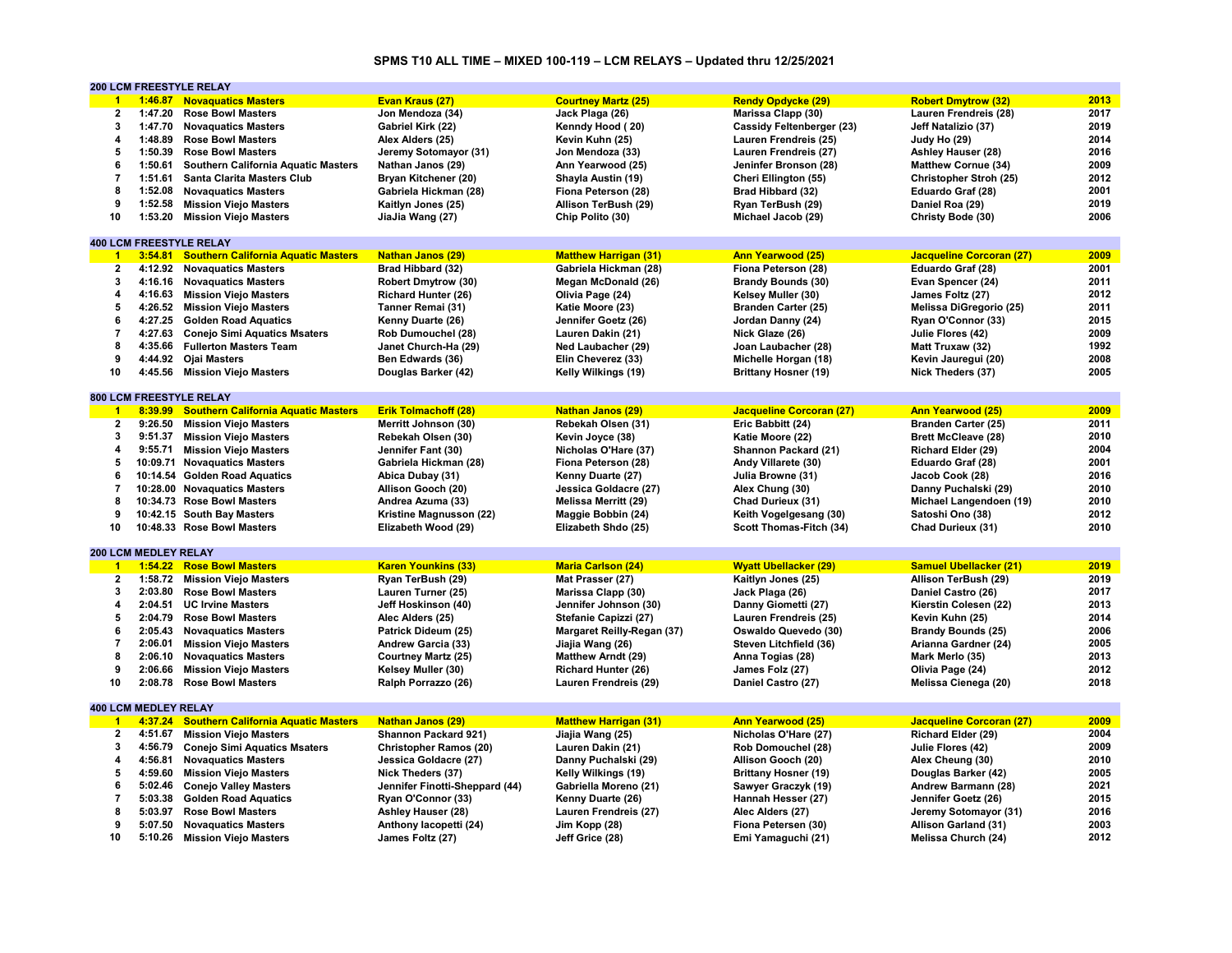# **SPMS T10 ALL TIME – MIXED 100-119 – LCM RELAYS – Updated thru 12/25/2021**

|                         |                             | 200 LCM FREESTYLE RELAY                     |                                |                              |                                 |                               |      |
|-------------------------|-----------------------------|---------------------------------------------|--------------------------------|------------------------------|---------------------------------|-------------------------------|------|
| $\blacktriangleleft$    |                             | 1:46.87 Novaguatics Masters                 | Evan Kraus (27)                | <b>Courtney Martz (25)</b>   | <b>Rendy Opdycke (29)</b>       | <b>Robert Dmytrow (32)</b>    | 2013 |
| $\overline{\mathbf{2}}$ | 1:47.20                     | <b>Rose Bowl Masters</b>                    | Jon Mendoza (34)               | Jack Plaga (26)              | Marissa Clapp (30)              | Lauren Frendreis (28)         | 2017 |
| 3                       |                             | 1:47.70 Novaquatics Masters                 | Gabriel Kirk (22)              | Kenndy Hood (20)             | Cassidy Feltenberger (23)       | Jeff Natalizio (37)           | 2019 |
| 4                       | 1:48.89                     | <b>Rose Bowl Masters</b>                    | Alex Alders (25)               | Kevin Kuhn (25)              | Lauren Frendreis (25)           | Judy Ho (29)                  | 2014 |
| 5                       |                             | 1:50.39 Rose Bowl Masters                   | Jeremy Sotomayor (31)          | Jon Mendoza (33)             | Lauren Frendreis (27)           | Ashley Hauser (28)            | 2016 |
| 6                       | 1:50.61                     | <b>Southern California Aquatic Masters</b>  | Nathan Janos (29)              | Ann Yearwood (25)            | Jeninfer Bronson (28)           | <b>Matthew Cornue (34)</b>    | 2009 |
| $\overline{7}$          | 1:51.61                     | <b>Santa Clarita Masters Club</b>           | Bryan Kitchener (20)           | Shayla Austin (19)           | Cheri Ellington (55)            | Christopher Stroh (25)        | 2012 |
| 8                       |                             |                                             |                                |                              |                                 |                               | 2001 |
|                         |                             | 1:52.08 Novaguatics Masters                 | Gabriela Hickman (28)          | Fiona Peterson (28)          | Brad Hibbard (32)               | Eduardo Graf (28)             |      |
| 9                       | 1:52.58                     | <b>Mission Viejo Masters</b>                | Kaitlyn Jones (25)             | Allison TerBush (29)         | Ryan TerBush (29)               | Daniel Roa (29)               | 2019 |
| 10                      | 1:53.20                     | <b>Mission Viejo Masters</b>                | JiaJia Wang (27)               | Chip Polito (30)             | Michael Jacob (29)              | Christy Bode (30)             | 2006 |
|                         |                             |                                             |                                |                              |                                 |                               |      |
|                         |                             | <b>400 LCM FREESTYLE RELAY</b>              |                                |                              |                                 |                               |      |
| $\overline{1}$          |                             | 3:54.81 Southern California Aquatic Masters | <b>Nathan Janos (29)</b>       | <b>Matthew Harrigan (31)</b> | <b>Ann Yearwood (25)</b>        | Jacqueline Corcoran (27)      | 2009 |
| $\overline{2}$          | 4:12.92                     | <b>Novaguatics Masters</b>                  | Brad Hibbard (32)              | Gabriela Hickman (28)        | Fiona Peterson (28)             | Eduardo Graf (28)             | 2001 |
| 3                       |                             | 4:16.16 Novaguatics Masters                 | <b>Robert Dmytrow (30)</b>     | Megan McDonald (26)          | <b>Brandy Bounds (30)</b>       | Evan Spencer (24)             | 2011 |
| 4                       |                             | 4:16.63 Mission Viejo Masters               | <b>Richard Hunter (26)</b>     | Olivia Page (24)             | Kelsey Muller (30)              | James Foltz (27)              | 2012 |
| 5                       | 4:26.52                     | <b>Mission Viejo Masters</b>                | Tanner Remai (31)              | Katie Moore (23)             | Branden Carter (25)             | Melissa DiGregorio (25)       | 2011 |
| 6                       | 4:27.25                     | <b>Golden Road Aquatics</b>                 | Kenny Duarte (26)              | Jennifer Goetz (26)          | Jordan Danny (24)               | Ryan O'Connor (33)            | 2015 |
| 7                       | 4:27.63                     | <b>Conejo Simi Aquatics Msaters</b>         | Rob Dumouchel (28)             | Lauren Dakin (21)            | Nick Glaze (26)                 | Julie Flores (42)             | 2009 |
| 8                       |                             | 4:35.66 Fullerton Masters Team              | Janet Church-Ha (29)           | Ned Laubacher (29)           | Joan Laubacher (28)             | Matt Truxaw (32)              | 1992 |
| 9                       |                             | 4:44.92 Ojai Masters                        | Ben Edwards (36)               | Elin Cheverez (33)           | Michelle Horgan (18)            | Kevin Jauregui (20)           | 2008 |
| 10                      |                             | 4:45.56 Mission Viejo Masters               | Douglas Barker (42)            | Kelly Wilkings (19)          | <b>Brittany Hosner (19)</b>     | Nick Theders (37)             | 2005 |
|                         |                             |                                             |                                |                              |                                 |                               |      |
|                         |                             | 800 LCM FREESTYLE RELAY                     |                                |                              |                                 |                               |      |
| $-1$                    |                             |                                             |                                |                              |                                 |                               | 2009 |
|                         | 8:39.99                     | <b>Southern California Aquatic Masters</b>  | <b>Erik Tolmachoff (28)</b>    | <b>Nathan Janos (29)</b>     | <b>Jacqueline Corcoran (27)</b> | <b>Ann Yearwood (25)</b>      |      |
| $\mathbf{2}$            | 9:26.50                     | <b>Mission Viejo Masters</b>                | Merritt Johnson (30)           | Rebekah Olsen (31)           | Eric Babbitt (24)               | Branden Carter (25)           | 2011 |
| 3                       |                             | 9:51.37 Mission Viejo Masters               | Rebekah Olsen (30)             | Kevin Joyce (38)             | Katie Moore (22)                | <b>Brett McCleave (28)</b>    | 2010 |
| 4                       | 9:55.71                     | <b>Mission Viejo Masters</b>                | Jennifer Fant (30)             | Nicholas O'Hare (37)         | Shannon Packard (21)            | Richard Elder (29)            | 2004 |
| 5                       |                             | 10:09.71 Novaquatics Masters                | Gabriela Hickman (28)          | Fiona Peterson (28)          | Andy Villarete (30)             | Eduardo Graf (28)             | 2001 |
| 6                       |                             | 10:14.54 Golden Road Aquatics               | Abica Dubay (31)               | Kenny Duarte (27)            | Julia Browne (31)               | Jacob Cook (28)               | 2016 |
| $\overline{7}$          |                             | 10:28.00 Novaguatics Masters                | Allison Gooch (20)             | Jessica Goldacre (27)        | Alex Chung (30)                 | Danny Puchalski (29)          | 2010 |
| 8                       |                             | 10:34.73 Rose Bowl Masters                  | Andrea Azuma (33)              | <b>Melissa Merritt (29)</b>  | Chad Durieux (31)               | Michael Langendoen (19)       | 2010 |
| 9                       |                             | 10:42.15 South Bay Masters                  | Kristine Magnusson (22)        | Maggie Bobbin (24)           | Keith Vogelgesang (30)          | Satoshi Ono (38)              | 2012 |
| 10                      |                             | 10:48.33 Rose Bowl Masters                  | Elizabeth Wood (29)            | Elizabeth Shdo (25)          | Scott Thomas-Fitch (34)         | Chad Durieux (31)             | 2010 |
|                         |                             |                                             |                                |                              |                                 |                               |      |
|                         | 200 LCM MEDLEY RELAY        |                                             |                                |                              |                                 |                               |      |
| $\blacksquare$          |                             | 1:54.22 Rose Bowl Masters                   | <b>Karen Younkins (33)</b>     | <b>Maria Carlson (24)</b>    | <b>Wyatt Ubellacker (29)</b>    | <b>Samuel Ubellacker (21)</b> | 2019 |
| $\mathbf{2}$            |                             | 1:58.72 Mission Viejo Masters               | Ryan TerBush (29)              | Mat Prasser (27)             | Kaitlyn Jones (25)              | Allison TerBush (29)          | 2019 |
| 3                       | 2:03.80                     | <b>Rose Bowl Masters</b>                    | Lauren Turner (25)             | Marissa Clapp (30)           | Jack Plaga (26)                 | Daniel Castro (26)            | 2017 |
| 4                       |                             |                                             |                                |                              |                                 |                               |      |
|                         | 2:04.51                     | <b>UC Irvine Masters</b>                    | Jeff Hoskinson (40)            | Jennifer Johnson (30)        | Danny Giometti (27)             | Kierstin Colesen (22)         | 2013 |
| 5                       | 2:04.79                     | <b>Rose Bowl Masters</b>                    | Alec Alders (25)               | Stefanie Capizzi (27)        | Lauren Frendreis (25)           | Kevin Kuhn (25)               | 2014 |
| 6                       | 2:05.43                     | <b>Novaquatics Masters</b>                  | Patrick Dideum (25)            | Margaret Reilly-Regan (37)   | Oswaldo Quevedo (30)            | <b>Brandy Bounds (25)</b>     | 2006 |
| $\overline{7}$          | 2:06.01                     | <b>Mission Viejo Masters</b>                | Andrew Garcia (33)             | Jiajia Wang (26)             | Steven Litchfield (36)          | Arianna Gardner (24)          | 2005 |
| 8                       | 2:06.10                     | <b>Novaguatics Masters</b>                  | <b>Courtney Martz (25)</b>     | <b>Matthew Arndt (29)</b>    | Anna Togias (28)                | Mark Merlo (35)               | 2013 |
| 9                       | 2:06.66                     | <b>Mission Viejo Masters</b>                | Kelsey Muller (30)             | <b>Richard Hunter (26)</b>   | James Folz (27)                 | Olivia Page (24)              | 2012 |
| 10                      | 2:08.78                     | <b>Rose Bowl Masters</b>                    | Ralph Porrazzo (26)            | Lauren Frendreis (29)        | Daniel Castro (27)              | Melissa Cienega (20)          | 2018 |
|                         |                             |                                             |                                |                              |                                 |                               |      |
|                         | <b>400 LCM MEDLEY RELAY</b> |                                             |                                |                              |                                 |                               |      |
| $\overline{1}$          |                             | 4:37.24 Southern California Aquatic Masters | <b>Nathan Janos (29)</b>       | <b>Matthew Harrigan (31)</b> | <b>Ann Yearwood (25)</b>        | Jacqueline Corcoran (27)      | 2009 |
| $\mathbf{2}$            | 4:51.67                     | <b>Mission Viejo Masters</b>                | <b>Shannon Packard 921)</b>    | Jiajia Wang (25)             | Nicholas O'Hare (27)            | Richard Elder (29)            | 2004 |
| 3                       | 4:56.79                     | <b>Conejo Simi Aquatics Msaters</b>         | <b>Christopher Ramos (20)</b>  | Lauren Dakin (21)            | Rob Domouchel (28)              | Julie Flores (42)             | 2009 |
| 4                       | 4:56.81                     | <b>Novaguatics Masters</b>                  | Jessica Goldacre (27)          | Danny Puchalski (29)         | Allison Gooch (20)              | Alex Cheung (30)              | 2010 |
| 5                       | 4:59.60                     | <b>Mission Viejo Masters</b>                | Nick Theders (37)              | Kelly Wilkings (19)          | <b>Brittany Hosner (19)</b>     | Douglas Barker (42)           | 2005 |
| 6                       | 5:02.46                     | <b>Conejo Valley Masters</b>                | Jennifer Finotti-Sheppard (44) | Gabriella Moreno (21)        |                                 | Andrew Barmann (28)           | 2021 |
|                         |                             |                                             |                                |                              | Sawyer Graczyk (19)             |                               | 2015 |
| 7                       | 5:03.38                     | <b>Golden Road Aquatics</b>                 | Ryan O'Connor (33)             | Kenny Duarte (26)            | Hannah Hesser (27)              | Jennifer Goetz (26)           |      |
| 8                       | 5:03.97                     | <b>Rose Bowl Masters</b>                    | Ashley Hauser (28)             | Lauren Frendreis (27)        | Alec Alders (27)                | Jeremy Sotomayor (31)         | 2016 |
| 9                       | 5:07.50                     | <b>Novaguatics Masters</b>                  | Anthony lacopetti (24)         | Jim Kopp (28)                | Fiona Petersen (30)             | Allison Garland (31)          | 2003 |
| 10                      |                             | 5:10.26 Mission Viejo Masters               | James Foltz (27)               | Jeff Grice (28)              | Emi Yamaguchi (21)              | Melissa Church (24)           | 2012 |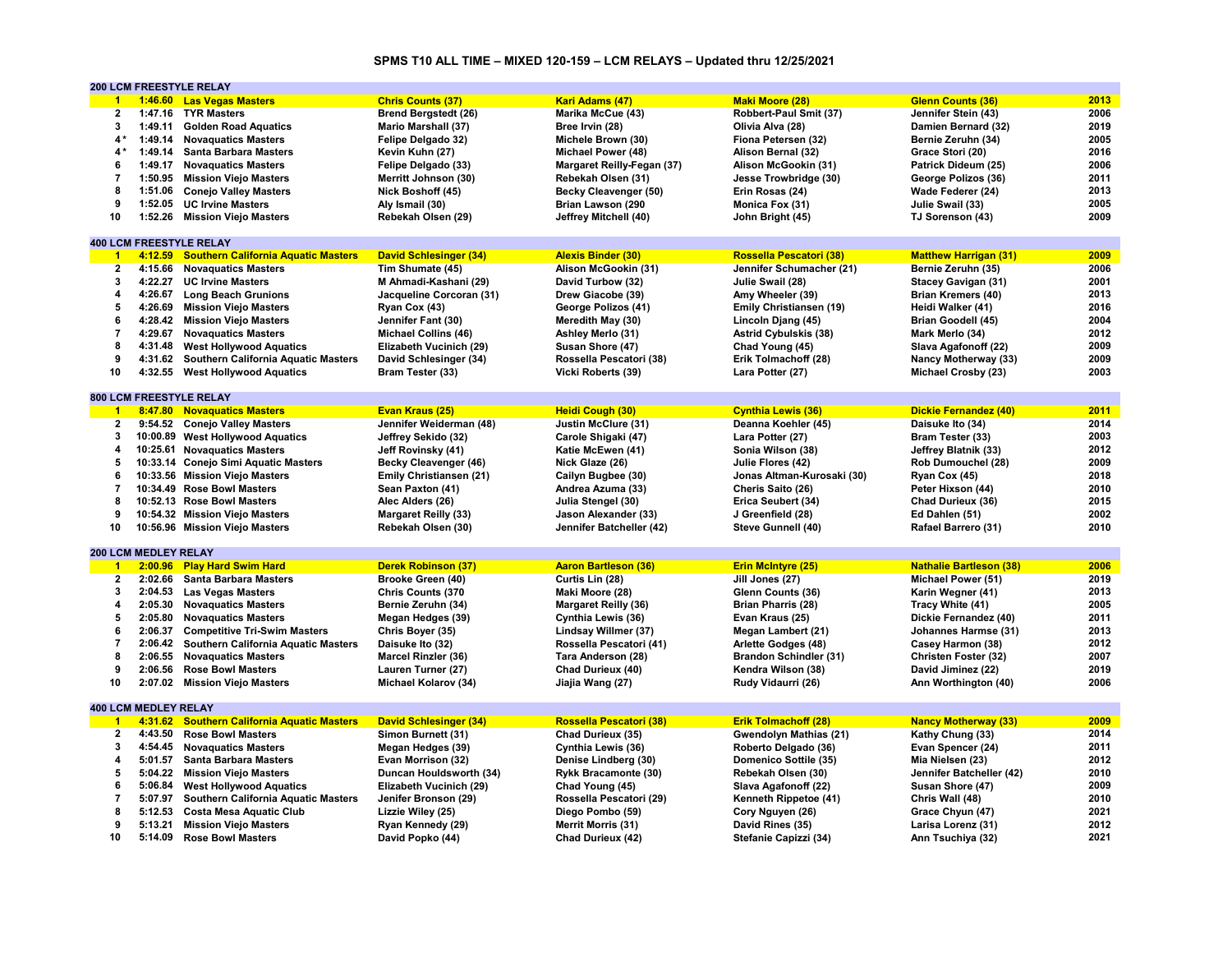# **SPMS T10 ALL TIME – MIXED 120-159 – LCM RELAYS – Updated thru 12/25/2021**

|                         |                             | <b>200 LCM FREESTYLE RELAY</b>              |                               |                             |                               |                                |      |
|-------------------------|-----------------------------|---------------------------------------------|-------------------------------|-----------------------------|-------------------------------|--------------------------------|------|
| $\mathbf{1}$            |                             | 1:46.60 Las Vegas Masters                   | <b>Chris Counts (37)</b>      | Kari Adams (47)             | <b>Maki Moore (28)</b>        | Glenn Counts (36)              | 2013 |
| $\overline{\mathbf{2}}$ |                             | 1:47.16 TYR Masters                         | <b>Brend Bergstedt (26)</b>   | Marika McCue (43)           | Robbert-Paul Smit (37)        | Jennifer Stein (43)            | 2006 |
| 3                       | 1:49.11                     | <b>Golden Road Aquatics</b>                 | <b>Mario Marshall (37)</b>    | Bree Irvin (28)             | Olivia Alva (28)              | Damien Bernard (32)            | 2019 |
| $4*$                    |                             | 1:49.14 Novaguatics Masters                 | Felipe Delgado 32)            | Michele Brown (30)          | Fiona Petersen (32)           | Bernie Zeruhn (34)             | 2005 |
| 4*                      |                             | 1:49.14 Santa Barbara Masters               | Kevin Kuhn (27)               | Michael Power (48)          | Alison Bernal (32)            | Grace Stori (20)               | 2016 |
| 6                       | 1:49.17                     | <b>Novaguatics Masters</b>                  | Felipe Delgado (33)           | Margaret Reilly-Fegan (37)  | Alison McGookin (31)          | Patrick Dideum (25)            | 2006 |
|                         |                             |                                             |                               |                             |                               |                                | 2011 |
| 7                       | 1:50.95                     | <b>Mission Viejo Masters</b>                | Merritt Johnson (30)          | Rebekah Olsen (31)          | Jesse Trowbridge (30)         | George Polizos (36)            |      |
| 8                       |                             | 1:51.06 Conejo Valley Masters               | Nick Boshoff (45)             | Becky Cleavenger (50)       | Erin Rosas (24)               | Wade Federer (24)              | 2013 |
| 9                       | 1:52.05                     | <b>UC Irvine Masters</b>                    | Aly Ismail (30)               | Brian Lawson (290           | Monica Fox (31)               | Julie Swail (33)               | 2005 |
| 10                      |                             | 1:52.26 Mission Viejo Masters               | Rebekah Olsen (29)            | Jeffrey Mitchell (40)       | John Bright (45)              | TJ Sorenson (43)               | 2009 |
|                         |                             |                                             |                               |                             |                               |                                |      |
|                         |                             | <b>400 LCM FREESTYLE RELAY</b>              |                               |                             |                               |                                |      |
| $\overline{1}$          | 4:12.59                     | <b>Southern California Aquatic Masters</b>  | <b>David Schlesinger (34)</b> | <b>Alexis Binder (30)</b>   | Rossella Pescatori (38)       | <b>Matthew Harrigan (31)</b>   | 2009 |
| $\mathbf{2}$            | 4:15.66                     | <b>Novaguatics Masters</b>                  | Tim Shumate (45)              | Alison McGookin (31)        | Jennifer Schumacher (21)      | Bernie Zeruhn (35)             | 2006 |
| 3                       | 4:22.27                     | <b>UC Irvine Masters</b>                    | M Ahmadi-Kashani (29)         | David Turbow (32)           | Julie Swail (28)              | <b>Stacey Gavigan (31)</b>     | 2001 |
| 4                       |                             | 4:26.67 Long Beach Grunions                 | Jacqueline Corcoran (31)      | Drew Giacobe (39)           | Amy Wheeler (39)              | <b>Brian Kremers (40)</b>      | 2013 |
| 5                       | 4:26.69                     | <b>Mission Viejo Masters</b>                | Ryan Cox (43)                 | George Polizos (41)         | Emily Christiansen (19)       | Heidi Walker (41)              | 2016 |
| 6                       | 4:28.42                     | <b>Mission Viejo Masters</b>                | Jennifer Fant (30)            | Meredith May (30)           | Lincoln Djang (45)            | Brian Goodell (45)             | 2004 |
| $\overline{7}$          | 4:29.67                     | <b>Novaguatics Masters</b>                  |                               |                             |                               |                                | 2012 |
|                         |                             |                                             | <b>Michael Collins (46)</b>   | Ashley Merlo (31)           | <b>Astrid Cybulskis (38)</b>  | Mark Merlo (34)                |      |
| 8                       | 4:31.48                     | <b>West Hollywood Aquatics</b>              | Elizabeth Vucinich (29)       | Susan Shore (47)            | Chad Young (45)               | Slava Agafonoff (22)           | 2009 |
| 9                       |                             | 4:31.62 Southern California Aquatic Masters | David Schlesinger (34)        | Rossella Pescatori (38)     | Erik Tolmachoff (28)          | Nancy Motherway (33)           | 2009 |
| 10                      | 4:32.55                     | <b>West Hollywood Aquatics</b>              | Bram Tester (33)              | Vicki Roberts (39)          | Lara Potter (27)              | Michael Crosby (23)            | 2003 |
|                         |                             |                                             |                               |                             |                               |                                |      |
|                         |                             | <b>800 LCM FREESTYLE RELAY</b>              |                               |                             |                               |                                |      |
| $\overline{1}$          |                             | 8:47.80 Novaguatics Masters                 | Evan Kraus (25)               | Heidi Cough (30)            | <b>Cynthia Lewis (36)</b>     | <b>Dickie Fernandez (40)</b>   | 2011 |
| $\mathbf{2}$            |                             | 9:54.52 Conejo Valley Masters               | Jennifer Weiderman (48)       | Justin McClure (31)         | Deanna Koehler (45)           | Daisuke Ito (34)               | 2014 |
| 3                       |                             | 10:00.89 West Hollywood Aquatics            | Jeffrey Sekido (32)           | Carole Shigaki (47)         | Lara Potter (27)              | Bram Tester (33)               | 2003 |
| 4                       |                             | 10:25.61 Novaguatics Masters                | Jeff Rovinsky (41)            | Katie McEwen (41)           | Sonia Wilson (38)             | Jeffrey Blatnik (33)           | 2012 |
| 5                       |                             | 10:33.14 Conejo Simi Aquatic Masters        | Becky Cleavenger (46)         | Nick Glaze (26)             | Julie Flores (42)             | Rob Dumouchel (28)             | 2009 |
| 6                       |                             | 10:33.56 Mission Viejo Masters              | Emily Christiansen (21)       | Cailyn Bugbee (30)          | Jonas Altman-Kurosaki (30)    | Ryan Cox (45)                  | 2018 |
| $\overline{7}$          |                             | 10:34.49 Rose Bowl Masters                  | Sean Paxton (41)              | Andrea Azuma (33)           | Cheris Saito (26)             | Peter Hixson (44)              | 2010 |
| 8                       |                             |                                             |                               |                             |                               |                                |      |
|                         |                             | 10:52.13 Rose Bowl Masters                  | Alec Alders (26)              | Julia Stengel (30)          | Erica Seubert (34)            | Chad Durieux (36)              | 2015 |
| 9                       |                             | 10:54.32 Mission Viejo Masters              | <b>Margaret Reilly (33)</b>   | Jason Alexander (33)        | J Greenfield (28)             | Ed Dahlen (51)                 | 2002 |
| 10                      |                             | 10:56.96 Mission Viejo Masters              | Rebekah Olsen (30)            | Jennifer Batcheller (42)    | Steve Gunnell (40)            | Rafael Barrero (31)            | 2010 |
|                         |                             |                                             |                               |                             |                               |                                |      |
|                         | 200 LCM MEDLEY RELAY        |                                             |                               |                             |                               |                                |      |
| $\blacktriangleleft$    |                             | 2:00.96 Play Hard Swim Hard                 | <b>Derek Robinson (37)</b>    | <b>Aaron Bartleson (36)</b> | <b>Erin McIntyre (25)</b>     | <b>Nathalie Bartleson (38)</b> | 2006 |
| $\overline{2}$          | 2:02.66                     | <b>Santa Barbara Masters</b>                | Brooke Green (40)             | Curtis Lin (28)             | Jill Jones (27)               | Michael Power (51)             | 2019 |
| 3                       | 2:04.53                     | <b>Las Vegas Masters</b>                    | <b>Chris Counts (370</b>      | Maki Moore (28)             | Glenn Counts (36)             | Karin Wegner (41)              | 2013 |
| 4                       |                             | 2:05.30 Novaguatics Masters                 | Bernie Zeruhn (34)            | <b>Margaret Reilly (36)</b> | <b>Brian Pharris (28)</b>     | Tracy White (41)               | 2005 |
| 5                       |                             | 2:05.80 Novaguatics Masters                 | Megan Hedges (39)             | Cynthia Lewis (36)          | Evan Kraus (25)               | Dickie Fernandez (40)          | 2011 |
| 6                       | 2:06.37                     | <b>Competitive Tri-Swim Masters</b>         | Chris Boyer (35)              | Lindsay Willmer (37)        | Megan Lambert (21)            | Johannes Harmse (31)           | 2013 |
| $\overline{7}$          | 2:06.42                     | Southern California Aquatic Masters         | Daisuke Ito (32)              | Rossella Pescatori (41)     | Arlette Godges (48)           | Casey Harmon (38)              | 2012 |
| 8                       | 2:06.55                     | <b>Novaquatics Masters</b>                  | Marcel Rinzler (36)           | Tara Anderson (28)          | <b>Brandon Schindler (31)</b> | Christen Foster (32)           | 2007 |
| 9                       | 2:06.56                     | <b>Rose Bowl Masters</b>                    | Lauren Turner (27)            | Chad Durieux (40)           | Kendra Wilson (38)            | David Jiminez (22)             | 2019 |
| 10                      |                             |                                             |                               |                             |                               |                                |      |
|                         |                             | 2:07.02 Mission Viejo Masters               | <b>Michael Kolarov (34)</b>   | Jiajia Wang (27)            | Rudy Vidaurri (26)            | Ann Worthington (40)           | 2006 |
|                         |                             |                                             |                               |                             |                               |                                |      |
|                         | <b>400 LCM MEDLEY RELAY</b> |                                             |                               |                             |                               |                                |      |
| $\overline{1}$          |                             | 4:31.62 Southern California Aquatic Masters | <b>David Schlesinger (34)</b> | Rossella Pescatori (38)     | <b>Erik Tolmachoff (28)</b>   | <b>Nancy Motherway (33)</b>    | 2009 |
| $\mathbf{2}$            | 4:43.50                     | <b>Rose Bowl Masters</b>                    | Simon Burnett (31)            | Chad Durieux (35)           | Gwendolyn Mathias (21)        | Kathy Chung (33)               | 2014 |
| 3                       | 4:54.45                     | <b>Novaguatics Masters</b>                  | Megan Hedges (39)             | Cynthia Lewis (36)          | Roberto Delgado (36)          | Evan Spencer (24)              | 2011 |
| 4                       | 5:01.57                     | <b>Santa Barbara Masters</b>                | Evan Morrison (32)            | Denise Lindberg (30)        | Domenico Sottile (35)         | Mia Nielsen (23)               | 2012 |
| 5                       |                             | 5:04.22 Mission Viejo Masters               | Duncan Houldsworth (34)       | Rykk Bracamonte (30)        | Rebekah Olsen (30)            | Jennifer Batcheller (42)       | 2010 |
| 6                       | 5:06.84                     | <b>West Hollywood Aquatics</b>              | Elizabeth Vucinich (29)       | Chad Young (45)             | Slava Agafonoff (22)          | Susan Shore (47)               | 2009 |
| $\overline{7}$          | 5:07.97                     | <b>Southern California Aquatic Masters</b>  | Jenifer Bronson (29)          | Rossella Pescatori (29)     | Kenneth Rippetoe (41)         | Chris Wall (48)                | 2010 |
| 8                       | 5:12.53                     | <b>Costa Mesa Aquatic Club</b>              | Lizzie Wiley (25)             | Diego Pombo (59)            | Cory Nguyen (26)              | Grace Chyun (47)               | 2021 |
| 9                       |                             | 5:13.21 Mission Viejo Masters               | Ryan Kennedy (29)             | <b>Merrit Morris (31)</b>   | David Rines (35)              | Larisa Lorenz (31)             | 2012 |
| 10                      |                             | 5:14.09 Rose Bowl Masters                   | David Popko (44)              | Chad Durieux (42)           | Stefanie Capizzi (34)         | Ann Tsuchiya (32)              | 2021 |
|                         |                             |                                             |                               |                             |                               |                                |      |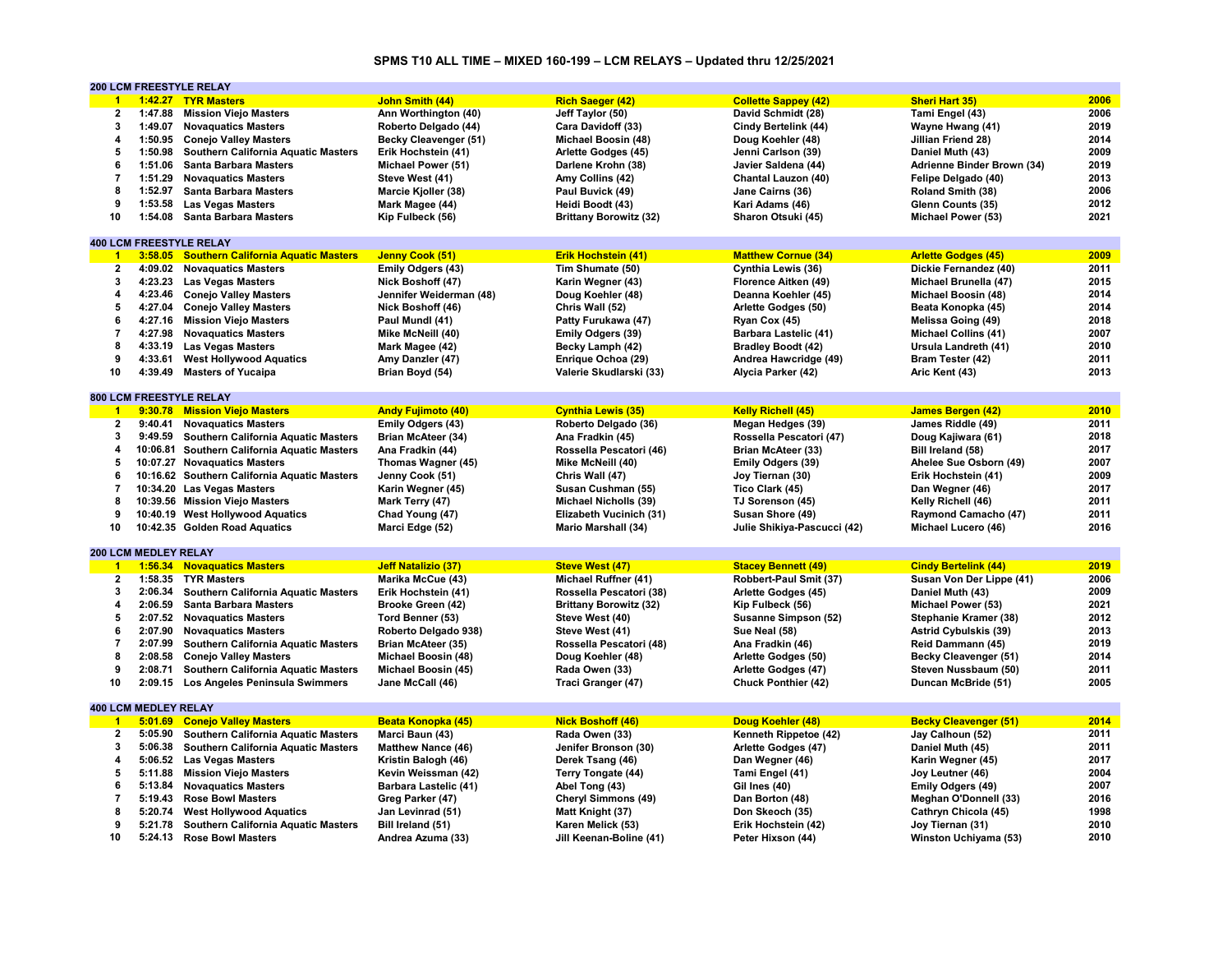# **SPMS T10 ALL TIME – MIXED 160-199 – LCM RELAYS – Updated thru 12/25/2021**

|                         |                             | 200 LCM FREESTYLE RELAY                      |                           |                               |                              |                              |      |
|-------------------------|-----------------------------|----------------------------------------------|---------------------------|-------------------------------|------------------------------|------------------------------|------|
| $\mathbf{1}$            |                             | 1:42.27 TYR Masters                          | John Smith (44)           | <b>Rich Saeger (42)</b>       | <b>Collette Sappey (42)</b>  | <b>Sheri Hart 35)</b>        | 2006 |
| $\overline{\mathbf{2}}$ | 1:47.88                     | <b>Mission Viejo Masters</b>                 | Ann Worthington (40)      | Jeff Taylor (50)              | David Schmidt (28)           | Tami Engel (43)              | 2006 |
| $\mathbf{3}$            | 1:49.07                     | <b>Novaquatics Masters</b>                   | Roberto Delgado (44)      | Cara Davidoff (33)            | Cindy Bertelink (44)         | Wayne Hwang (41)             | 2019 |
| $\overline{a}$          | 1:50.95                     | <b>Conejo Valley Masters</b>                 | Becky Cleavenger (51)     | Michael Boosin (48)           | Doug Koehler (48)            | Jillian Friend 28)           | 2014 |
| 5                       | 1:50.98                     | Southern California Aquatic Masters          | Erik Hochstein (41)       | Arlette Godges (45)           | Jenni Carlson (39)           | Daniel Muth (43)             | 2009 |
| 6                       | 1:51.06                     | <b>Santa Barbara Masters</b>                 | Michael Power (51)        | Darlene Krohn (38)            | Javier Saldena (44)          | Adrienne Binder Brown (34)   | 2019 |
| $\overline{7}$          | 1:51.29                     |                                              |                           |                               |                              |                              | 2013 |
|                         |                             | <b>Novaguatics Masters</b>                   | Steve West (41)           | Amy Collins (42)              | Chantal Lauzon (40)          | Felipe Delgado (40)          |      |
| 8                       | 1:52.97                     | <b>Santa Barbara Masters</b>                 | Marcie Kjoller (38)       | Paul Buvick (49)              | Jane Cairns (36)             | Roland Smith (38)            | 2006 |
| 9                       | 1:53.58                     | <b>Las Vegas Masters</b>                     | Mark Magee (44)           | Heidi Boodt (43)              | Kari Adams (46)              | Glenn Counts (35)            | 2012 |
| 10                      | 1:54.08                     | <b>Santa Barbara Masters</b>                 | Kip Fulbeck (56)          | <b>Brittany Borowitz (32)</b> | Sharon Otsuki (45)           | Michael Power (53)           | 2021 |
|                         |                             |                                              |                           |                               |                              |                              |      |
|                         |                             | <b>400 LCM FREESTYLE RELAY</b>               |                           |                               |                              |                              |      |
| $\overline{1}$          |                             | 3:58.05 Southern California Aquatic Masters  | Jenny Cook (51)           | <b>Erik Hochstein (41)</b>    | <b>Matthew Cornue (34)</b>   | <b>Arlette Godges (45)</b>   | 2009 |
| $\mathbf{2}$            | 4:09.02                     | <b>Novaguatics Masters</b>                   | Emily Odgers (43)         | Tim Shumate (50)              | Cynthia Lewis (36)           | Dickie Fernandez (40)        | 2011 |
| 3                       | 4:23.23                     | <b>Las Vegas Masters</b>                     | Nick Boshoff (47)         | Karin Wegner (43)             | Florence Aitken (49)         | Michael Brunella (47)        | 2015 |
| $\overline{4}$          | 4:23.46                     | <b>Conejo Valley Masters</b>                 | Jennifer Weiderman (48)   | Doug Koehler (48)             | Deanna Koehler (45)          | Michael Boosin (48)          | 2014 |
| 5                       | 4:27.04                     | <b>Conejo Valley Masters</b>                 | Nick Boshoff (46)         | Chris Wall (52)               | Arlette Godges (50)          | Beata Konopka (45)           | 2014 |
| 6                       | 4:27.16                     | <b>Mission Viejo Masters</b>                 | Paul Mundl (41)           | Patty Furukawa (47)           | Ryan Cox (45)                | Melissa Going (49)           | 2018 |
| $\overline{7}$          | 4:27.98                     |                                              |                           |                               |                              |                              | 2007 |
| 8                       |                             | <b>Novaquatics Masters</b>                   | Mike McNeill (40)         | <b>Emily Odgers (39)</b>      | <b>Barbara Lastelic (41)</b> | <b>Michael Collins (41)</b>  | 2010 |
|                         |                             | 4:33.19 Las Vegas Masters                    | Mark Magee (42)           | Becky Lamph (42)              | <b>Bradley Boodt (42)</b>    | Ursula Landreth (41)         |      |
| 9                       | 4:33.61                     | <b>West Hollywood Aquatics</b>               | Amy Danzler (47)          | Enrique Ochoa (29)            | Andrea Hawcridge (49)        | Bram Tester (42)             | 2011 |
| 10                      | 4:39.49                     | <b>Masters of Yucaipa</b>                    | Brian Boyd (54)           | Valerie Skudlarski (33)       | Alycia Parker (42)           | Aric Kent (43)               | 2013 |
|                         |                             |                                              |                           |                               |                              |                              |      |
|                         |                             | <b>800 LCM FREESTYLE RELAY</b>               |                           |                               |                              |                              |      |
| $\overline{1}$          |                             | 9:30.78 Mission Viejo Masters                | <b>Andy Fujimoto (40)</b> | <b>Cynthia Lewis (35)</b>     | <b>Kelly Richell (45)</b>    | <b>James Bergen (42)</b>     | 2010 |
| $\mathbf{2}$            | 9:40.41                     | <b>Novaguatics Masters</b>                   | Emily Odgers (43)         | Roberto Delgado (36)          | Megan Hedges (39)            | James Riddle (49)            | 2011 |
| 3                       | 9:49.59                     | <b>Southern California Aquatic Masters</b>   | Brian McAteer (34)        | Ana Fradkin (45)              | Rossella Pescatori (47)      | Doug Kajiwara (61)           | 2018 |
| 4                       | 10:06.81                    | <b>Southern California Aquatic Masters</b>   | Ana Fradkin (44)          | Rossella Pescatori (46)       | Brian McAteer (33)           | Bill Ireland (58)            | 2017 |
| 5                       |                             | 10:07.27 Novaguatics Masters                 | Thomas Wagner (45)        | Mike McNeill (40)             | Emily Odgers (39)            | Ahelee Sue Osborn (49)       | 2007 |
| 6                       |                             | 10:16.62 Southern California Aquatic Masters | Jenny Cook (51)           | Chris Wall (47)               | Joy Tiernan (30)             | Erik Hochstein (41)          | 2009 |
| $\overline{7}$          |                             | 10:34.20 Las Vegas Masters                   | Karin Wegner (45)         | Susan Cushman (55)            | Tico Clark (45)              | Dan Wegner (46)              | 2017 |
| 8                       |                             |                                              |                           |                               |                              |                              | 2011 |
|                         |                             | 10:39.56 Mission Viejo Masters               | Mark Terry (47)           | Michael Nicholls (39)         | TJ Sorenson (45)             | Kelly Richell (46)           |      |
| 9                       |                             | 10:40.19 West Hollywood Aquatics             | Chad Young (47)           | Elizabeth Vucinich (31)       | Susan Shore (49)             | Raymond Camacho (47)         | 2011 |
| 10                      |                             | 10:42.35 Golden Road Aquatics                | Marci Edge (52)           | Mario Marshall (34)           | Julie Shikiya-Pascucci (42)  | Michael Lucero (46)          | 2016 |
|                         |                             |                                              |                           |                               |                              |                              |      |
|                         | 200 LCM MEDLEY RELAY        |                                              |                           |                               |                              |                              |      |
| $\blacktriangleleft$    |                             | 1:56.34 Novaquatics Masters                  | Jeff Natalizio (37)       | <b>Steve West (47)</b>        | <b>Stacey Bennett (49)</b>   | <b>Cindy Bertelink (44)</b>  | 2019 |
| $\mathbf{2}$            | 1:58.35                     | <b>TYR Masters</b>                           | Marika McCue (43)         | Michael Ruffner (41)          | Robbert-Paul Smit (37)       | Susan Von Der Lippe (41)     | 2006 |
| 3                       | 2:06.34                     | Southern California Aquatic Masters          | Erik Hochstein (41)       | Rossella Pescatori (38)       | Arlette Godges (45)          | Daniel Muth (43)             | 2009 |
| 4                       | 2:06.59                     | <b>Santa Barbara Masters</b>                 | Brooke Green (42)         | <b>Brittany Borowitz (32)</b> | Kip Fulbeck (56)             | Michael Power (53)           | 2021 |
| 5                       | 2:07.52                     | <b>Novaguatics Masters</b>                   | Tord Benner (53)          | Steve West (40)               | Susanne Simpson (52)         | Stephanie Kramer (38)        | 2012 |
| 6                       | 2:07.90                     | <b>Novaguatics Masters</b>                   | Roberto Delgado 938)      | Steve West (41)               | Sue Neal (58)                | Astrid Cybulskis (39)        | 2013 |
| $\overline{7}$          | 2:07.99                     | <b>Southern California Aquatic Masters</b>   | <b>Brian McAteer (35)</b> | Rossella Pescatori (48)       | Ana Fradkin (46)             | Reid Dammann (45)            | 2019 |
| 8                       | 2:08.58                     | <b>Conejo Valley Masters</b>                 | Michael Boosin (48)       | Doug Koehler (48)             | Arlette Godges (50)          | Becky Cleavenger (51)        | 2014 |
| 9                       | 2:08.71                     | Southern California Aquatic Masters          | Michael Boosin (45)       | Rada Owen (33)                | Arlette Godges (47)          | Steven Nussbaum (50)         | 2011 |
|                         |                             |                                              |                           |                               |                              |                              |      |
| 10                      |                             | 2:09.15 Los Angeles Peninsula Swimmers       | Jane McCall (46)          | Traci Granger (47)            | Chuck Ponthier (42)          | Duncan McBride (51)          | 2005 |
|                         |                             |                                              |                           |                               |                              |                              |      |
|                         | <b>400 LCM MEDLEY RELAY</b> |                                              |                           |                               |                              |                              |      |
| $\overline{1}$          | 5:01.69                     | <b>Conejo Valley Masters</b>                 | Beata Konopka (45)        | <b>Nick Boshoff (46)</b>      | Doug Koehler (48)            | <b>Becky Cleavenger (51)</b> | 2014 |
| $\overline{2}$          | 5:05.90                     | Southern California Aquatic Masters          | Marci Baun (43)           | Rada Owen (33)                | Kenneth Rippetoe (42)        | Jay Calhoun (52)             | 2011 |
| 3                       | 5:06.38                     | <b>Southern California Aquatic Masters</b>   | <b>Matthew Nance (46)</b> | Jenifer Bronson (30)          | Arlette Godges (47)          | Daniel Muth (45)             | 2011 |
| 4                       | 5:06.52                     | <b>Las Vegas Masters</b>                     | Kristin Balogh (46)       | Derek Tsang (46)              | Dan Wegner (46)              | Karin Wegner (45)            | 2017 |
| 5                       | 5:11.88                     | <b>Mission Viejo Masters</b>                 | Kevin Weissman (42)       | Terry Tongate (44)            | Tami Engel (41)              | Joy Leutner (46)             | 2004 |
| 6                       | 5:13.84                     | <b>Novaguatics Masters</b>                   | Barbara Lastelic (41)     | Abel Tong (43)                | Gil Ines (40)                | Emily Odgers (49)            | 2007 |
| $\overline{7}$          | 5:19.43                     | <b>Rose Bowl Masters</b>                     | Greg Parker (47)          | Cheryl Simmons (49)           | Dan Borton (48)              | <b>Meghan O'Donnell (33)</b> | 2016 |
| 8                       | 5:20.74                     | <b>West Hollywood Aquatics</b>               | Jan Levinrad (51)         | Matt Knight (37)              | Don Skeoch (35)              | Cathryn Chicola (45)         | 1998 |
| 9                       | 5:21.78                     | <b>Southern California Aquatic Masters</b>   | Bill Ireland (51)         | Karen Melick (53)             | Erik Hochstein (42)          | Joy Tiernan (31)             | 2010 |
| 10                      | 5:24.13                     | <b>Rose Bowl Masters</b>                     |                           |                               |                              |                              | 2010 |
|                         |                             |                                              | Andrea Azuma (33)         | Jill Keenan-Boline (41)       | Peter Hixson (44)            | Winston Uchiyama (53)        |      |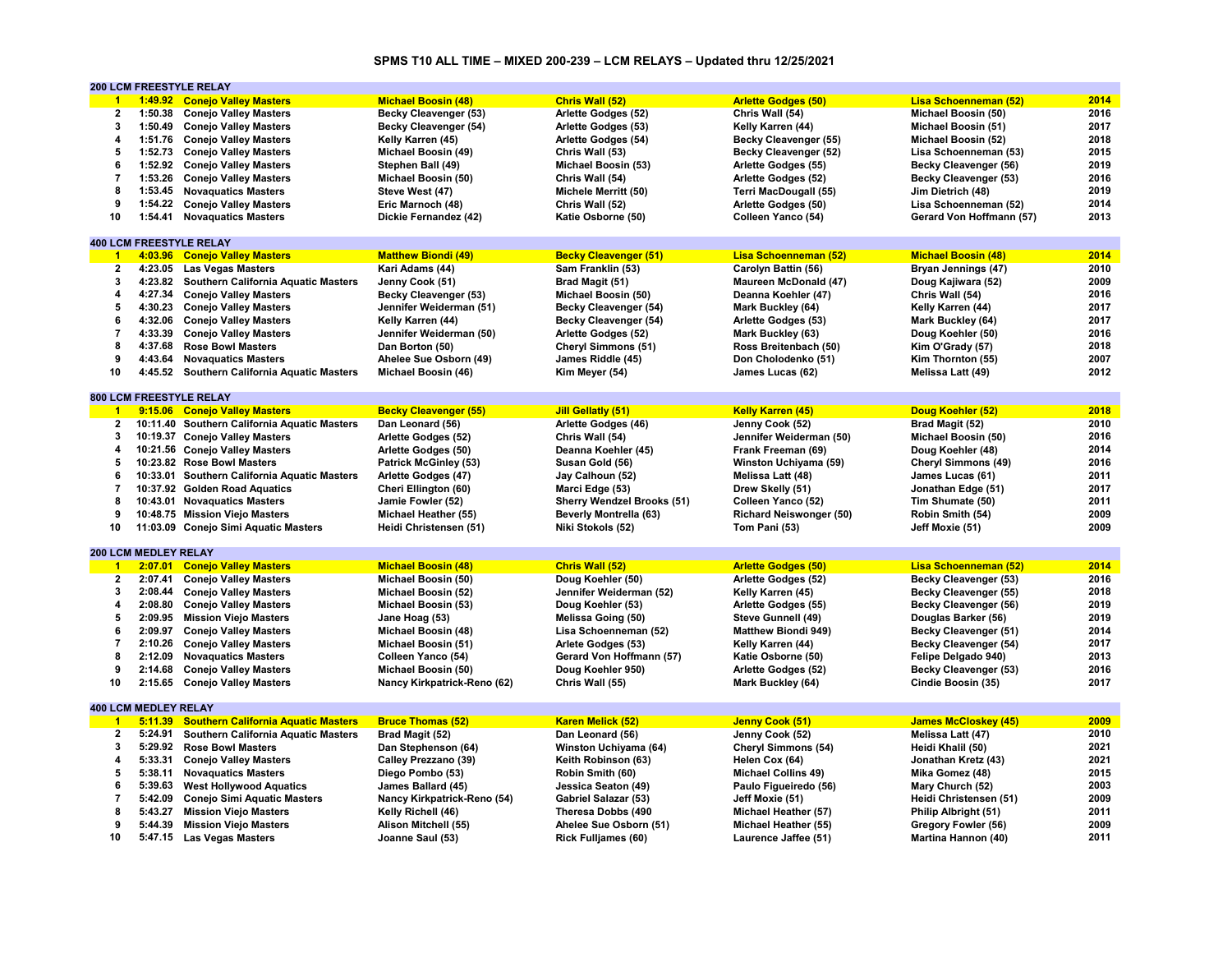# **SPMS T10 ALL TIME – MIXED 200-239 – LCM RELAYS – Updated thru 12/25/2021**

|                |                             | <b>200 LCM FREESTYLE RELAY</b>               |                              |                                   |                                |                              |      |
|----------------|-----------------------------|----------------------------------------------|------------------------------|-----------------------------------|--------------------------------|------------------------------|------|
| $\overline{1}$ |                             | 1:49.92 Conejo Valley Masters                | <b>Michael Boosin (48)</b>   | Chris Wall (52)                   | <b>Arlette Godges (50)</b>     | <b>Lisa Schoenneman (52)</b> | 2014 |
| $\mathbf{2}$   |                             | 1:50.38 Conejo Valley Masters                | <b>Becky Cleavenger (53)</b> | Arlette Godges (52)               | Chris Wall (54)                | Michael Boosin (50)          | 2016 |
| 3              |                             | 1:50.49 Conejo Valley Masters                | Becky Cleavenger (54)        | Arlette Godges (53)               | Kelly Karren (44)              | Michael Boosin (51)          | 2017 |
| 4              |                             | 1:51.76 Conejo Valley Masters                | Kelly Karren (45)            | Arlette Godges (54)               | <b>Becky Cleavenger (55)</b>   | Michael Boosin (52)          | 2018 |
| 5              |                             | 1:52.73 Conejo Valley Masters                | Michael Boosin (49)          | Chris Wall (53)                   | <b>Becky Cleavenger (52)</b>   | Lisa Schoenneman (53)        | 2015 |
| 6              |                             | 1:52.92 Conejo Valley Masters                | Stephen Ball (49)            | Michael Boosin (53)               | Arlette Godges (55)            | <b>Becky Cleavenger (56)</b> | 2019 |
| $\overline{7}$ |                             |                                              |                              |                                   |                                |                              | 2016 |
|                |                             | 1:53.26 Conejo Valley Masters                | Michael Boosin (50)          | Chris Wall (54)                   | Arlette Godges (52)            | Becky Cleavenger (53)        |      |
| 8              |                             | 1:53.45 Novaquatics Masters                  | Steve West (47)              | Michele Merritt (50)              | Terri MacDougall (55)          | Jim Dietrich (48)            | 2019 |
| 9              |                             | 1:54.22 Conejo Valley Masters                | Eric Marnoch (48)            | Chris Wall (52)                   | Arlette Godges (50)            | Lisa Schoenneman (52)        | 2014 |
| 10             | 1:54.41                     | <b>Novaguatics Masters</b>                   | Dickie Fernandez (42)        | Katie Osborne (50)                | Colleen Yanco (54)             | Gerard Von Hoffmann (57)     | 2013 |
|                |                             |                                              |                              |                                   |                                |                              |      |
|                |                             | <b>400 LCM FREESTYLE RELAY</b>               |                              |                                   |                                |                              |      |
| $\overline{1}$ |                             | 4:03.96 Conejo Valley Masters                | <b>Matthew Biondi (49)</b>   | <b>Becky Cleavenger (51)</b>      | Lisa Schoenneman (52)          | <b>Michael Boosin (48)</b>   | 2014 |
| $\mathbf{2}$   |                             | 4:23.05 Las Vegas Masters                    | Kari Adams (44)              | Sam Franklin (53)                 | Carolyn Battin (56)            | Bryan Jennings (47)          | 2010 |
| 3              |                             | 4:23.82 Southern California Aquatic Masters  | Jenny Cook (51)              | Brad Magit (51)                   | <b>Maureen McDonald (47)</b>   | Doug Kajiwara (52)           | 2009 |
| 4              |                             | 4:27.34 Conejo Valley Masters                | <b>Becky Cleavenger (53)</b> | Michael Boosin (50)               | Deanna Koehler (47)            | Chris Wall (54)              | 2016 |
| 5              |                             | 4:30.23 Conejo Valley Masters                |                              |                                   |                                |                              | 2017 |
| 6              |                             |                                              | Jennifer Weiderman (51)      | Becky Cleavenger (54)             | Mark Buckley (64)              | Kelly Karren (44)            | 2017 |
|                |                             | 4:32.06 Conejo Valley Masters                | Kelly Karren (44)            | Becky Cleavenger (54)             | Arlette Godges (53)            | Mark Buckley (64)            |      |
| $\overline{7}$ |                             | 4:33.39 Conejo Valley Masters                | Jennifer Weiderman (50)      | Arlette Godges (52)               | Mark Buckley (63)              | Doug Koehler (50)            | 2016 |
| 8              |                             | 4:37.68 Rose Bowl Masters                    | Dan Borton (50)              | <b>Cheryl Simmons (51)</b>        | Ross Breitenbach (50)          | Kim O'Grady (57)             | 2018 |
| 9              |                             | 4:43.64 Novaguatics Masters                  | Ahelee Sue Osborn (49)       | James Riddle (45)                 | Don Cholodenko (51)            | Kim Thornton (55)            | 2007 |
| 10             |                             | 4:45.52 Southern California Aquatic Masters  | Michael Boosin (46)          | Kim Meyer (54)                    | James Lucas (62)               | Melissa Latt (49)            | 2012 |
|                |                             |                                              |                              |                                   |                                |                              |      |
|                |                             | <b>800 LCM FREESTYLE RELAY</b>               |                              |                                   |                                |                              |      |
| $-1$           |                             | 9:15.06 Conejo Valley Masters                | <b>Becky Cleavenger (55)</b> | <b>Jill Gellatly (51)</b>         | <b>Kelly Karren (45)</b>       | Doug Koehler (52)            | 2018 |
| $\mathbf{2}$   |                             | 10:11.40 Southern California Aquatic Masters | Dan Leonard (56)             | Arlette Godges (46)               | Jenny Cook (52)                | Brad Magit (52)              | 2010 |
| 3              |                             | 10:19.37 Conejo Valley Masters               | Arlette Godges (52)          | Chris Wall (54)                   | Jennifer Weiderman (50)        | Michael Boosin (50)          | 2016 |
| 4              |                             | 10:21.56 Conejo Valley Masters               | Arlette Godges (50)          | Deanna Koehler (45)               | Frank Freeman (69)             | Doug Koehler (48)            | 2014 |
|                |                             |                                              |                              |                                   |                                |                              | 2016 |
| 5              |                             | 10:23.82 Rose Bowl Masters                   | <b>Patrick McGinley (53)</b> | Susan Gold (56)                   | Winston Uchiyama (59)          | <b>Cheryl Simmons (49)</b>   |      |
| 6              |                             | 10:33.01 Southern California Aquatic Masters | Arlette Godges (47)          | Jay Calhoun (52)                  | Melissa Latt (48)              | James Lucas (61)             | 2011 |
| $\overline{7}$ |                             | 10:37.92 Golden Road Aquatics                | Cheri Ellington (60)         | Marci Edge (53)                   | Drew Skelly (51)               | Jonathan Edge (51)           | 2017 |
| 8              |                             | 10:43.01 Novaguatics Masters                 | Jamie Fowler (52)            | <b>Sherry Wendzel Brooks (51)</b> | Colleen Yanco (52)             | Tim Shumate (50)             | 2011 |
| 9              |                             | 10:48.75 Mission Viejo Masters               | Michael Heather (55)         | <b>Beverly Montrella (63)</b>     | <b>Richard Neiswonger (50)</b> | Robin Smith (54)             | 2009 |
| 10             |                             | 11:03.09 Conejo Simi Aquatic Masters         | Heidi Christensen (51)       | Niki Stokols (52)                 | Tom Pani (53)                  | Jeff Moxie (51)              | 2009 |
|                |                             |                                              |                              |                                   |                                |                              |      |
|                | 200 LCM MEDLEY RELAY        |                                              |                              |                                   |                                |                              |      |
| $\blacksquare$ |                             | 2:07.01 Conejo Valley Masters                | <b>Michael Boosin (48)</b>   | Chris Wall (52)                   | <b>Arlette Godges (50)</b>     | <b>Lisa Schoenneman (52)</b> | 2014 |
| $\overline{2}$ | 2:07.41                     | <b>Conejo Valley Masters</b>                 | Michael Boosin (50)          | Doug Koehler (50)                 | Arlette Godges (52)            | <b>Becky Cleavenger (53)</b> | 2016 |
| 3              | 2:08.44                     | <b>Conejo Valley Masters</b>                 | Michael Boosin (52)          | Jennifer Weiderman (52)           | Kelly Karren (45)              | Becky Cleavenger (55)        | 2018 |
| 4              |                             | 2:08.80 Conejo Valley Masters                | Michael Boosin (53)          | Doug Koehler (53)                 | Arlette Godges (55)            | Becky Cleavenger (56)        | 2019 |
| 5              |                             |                                              |                              |                                   |                                |                              | 2019 |
|                |                             | 2:09.95 Mission Viejo Masters                | Jane Hoag (53)               | Melissa Going (50)                | Steve Gunnell (49)             | Douglas Barker (56)          |      |
| 6              |                             | 2:09.97 Conejo Valley Masters                | Michael Boosin (48)          | Lisa Schoenneman (52)             | <b>Matthew Biondi 949)</b>     | Becky Cleavenger (51)        | 2014 |
| $\overline{7}$ |                             | 2:10.26 Conejo Valley Masters                | Michael Boosin (51)          | Arlete Godges (53)                | Kelly Karren (44)              | Becky Cleavenger (54)        | 2017 |
| 8              |                             | 2:12.09 Novaquatics Masters                  | Colleen Yanco (54)           | Gerard Von Hoffmann (57)          | Katie Osborne (50)             | Felipe Delgado 940)          | 2013 |
| 9              | 2:14.68                     | <b>Conejo Valley Masters</b>                 | Michael Boosin (50)          | Doug Koehler 950)                 | Arlette Godges (52)            | Becky Cleavenger (53)        | 2016 |
| 10             |                             | 2:15.65 Conejo Valley Masters                | Nancy Kirkpatrick-Reno (62)  | Chris Wall (55)                   | Mark Buckley (64)              | Cindie Boosin (35)           | 2017 |
|                |                             |                                              |                              |                                   |                                |                              |      |
|                | <b>400 LCM MEDLEY RELAY</b> |                                              |                              |                                   |                                |                              |      |
| $-1$           |                             | 5:11.39 Southern California Aquatic Masters  | <b>Bruce Thomas (52)</b>     | <b>Karen Melick (52)</b>          | Jenny Cook (51)                | <b>James McCloskey (45)</b>  | 2009 |
| $\overline{2}$ | 5:24.91                     | <b>Southern California Aquatic Masters</b>   | Brad Magit (52)              | Dan Leonard (56)                  | Jenny Cook (52)                | Melissa Latt (47)            | 2010 |
| 3              |                             | 5:29.92 Rose Bowl Masters                    | Dan Stephenson (64)          | Winston Uchiyama (64)             | <b>Cheryl Simmons (54)</b>     | Heidi Khalil (50)            | 2021 |
| 4              | 5:33.31                     | <b>Conejo Valley Masters</b>                 | Calley Prezzano (39)         | Keith Robinson (63)               | Helen Cox (64)                 | Jonathan Kretz (43)          | 2021 |
|                |                             |                                              |                              |                                   |                                |                              |      |
| 5              |                             | 5:38.11 Novaquatics Masters                  | Diego Pombo (53)             | Robin Smith (60)                  | <b>Michael Collins 49)</b>     | Mika Gomez (48)              | 2015 |
| 6              |                             | 5:39.63 West Hollywood Aquatics              | James Ballard (45)           | Jessica Seaton (49)               | Paulo Figueiredo (56)          | Mary Church (52)             | 2003 |
| $\overline{7}$ |                             | 5:42.09 Conejo Simi Aquatic Masters          | Nancy Kirkpatrick-Reno (54)  | Gabriel Salazar (53)              | Jeff Moxie (51)                | Heidi Christensen (51)       | 2009 |
| 8              |                             | 5:43.27 Mission Viejo Masters                | Kelly Richell (46)           | Theresa Dobbs (490                | Michael Heather (57)           | Philip Albright (51)         | 2011 |
| 9              |                             | 5:44.39 Mission Viejo Masters                | Alison Mitchell (55)         | Ahelee Sue Osborn (51)            | Michael Heather (55)           | Gregory Fowler (56)          | 2009 |
| 10             |                             | 5:47.15 Las Vegas Masters                    | Joanne Saul (53)             | Rick Fulljames (60)               | Laurence Jaffee (51)           | Martina Hannon (40)          | 2011 |
|                |                             |                                              |                              |                                   |                                |                              |      |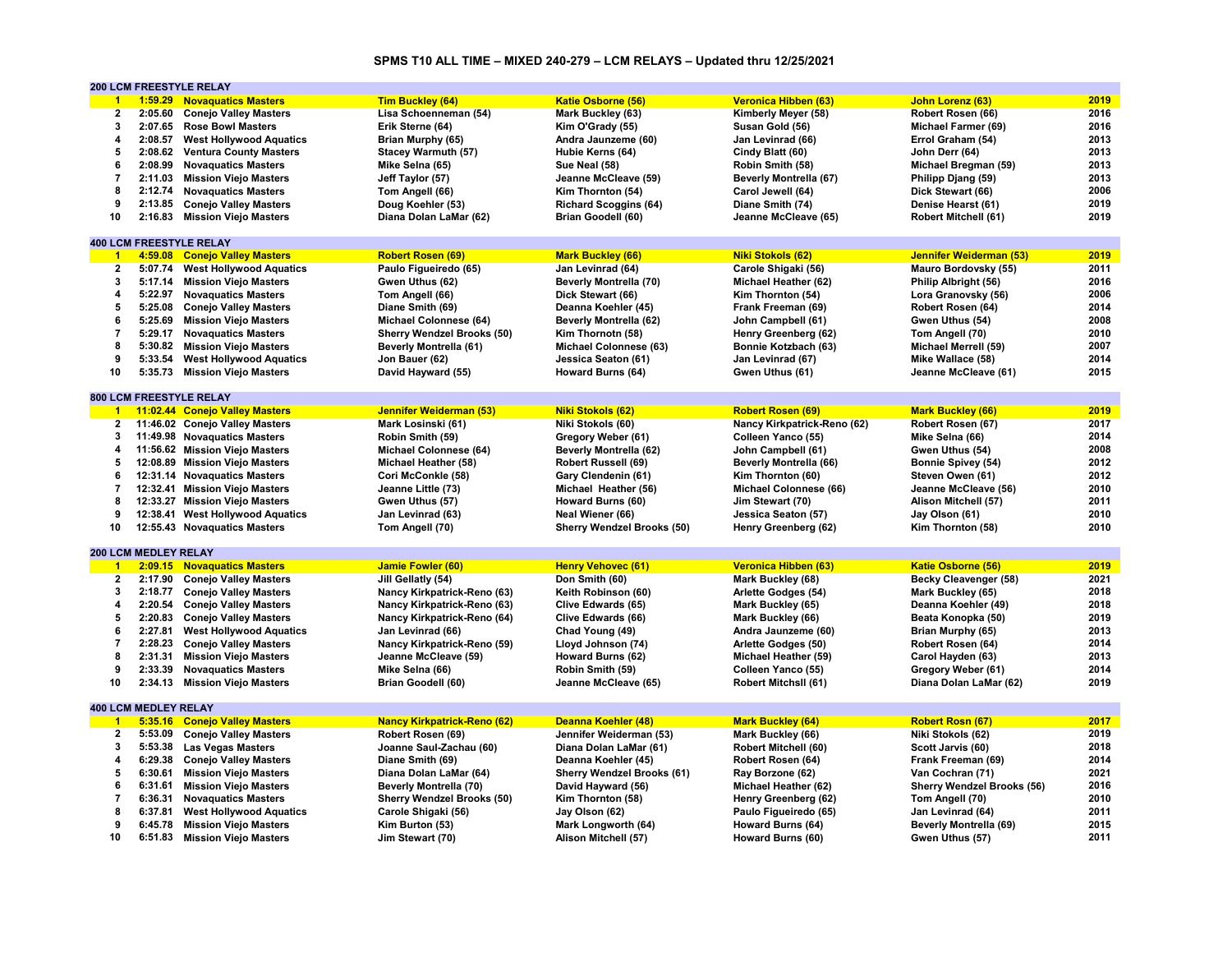# **SPMS T10 ALL TIME – MIXED 240-279 – LCM RELAYS – Updated thru 12/25/2021**

|                      |                             | 200 LCM FREESTYLE RELAY          |                                    |                                   |                               |                                   |      |
|----------------------|-----------------------------|----------------------------------|------------------------------------|-----------------------------------|-------------------------------|-----------------------------------|------|
| $\overline{1}$       |                             | 1:59.29 Novaquatics Masters      | <b>Tim Buckley (64)</b>            | <b>Katie Osborne (56)</b>         | Veronica Hibben (63)          | John Lorenz (63)                  | 2019 |
| $\mathbf{2}$         | 2:05.60                     | <b>Conejo Valley Masters</b>     | Lisa Schoenneman (54)              | Mark Buckley (63)                 | Kimberly Meyer (58)           | Robert Rosen (66)                 | 2016 |
| $\mathbf{3}$         |                             | 2:07.65 Rose Bowl Masters        | Erik Sterne (64)                   | Kim O'Grady (55)                  | Susan Gold (56)               | Michael Farmer (69)               | 2016 |
| 4                    | 2:08.57                     | <b>West Hollywood Aquatics</b>   | Brian Murphy (65)                  | Andra Jaunzeme (60)               | Jan Levinrad (66)             | Errol Graham (54)                 | 2013 |
| 5                    |                             | 2:08.62 Ventura County Masters   | Stacey Warmuth (57)                | Hubie Kerns (64)                  | Cindy Blatt (60)              | John Derr (64)                    | 2013 |
| 6                    | 2:08.99                     | <b>Novaguatics Masters</b>       | Mike Selna (65)                    | Sue Neal (58)                     | Robin Smith (58)              | Michael Bregman (59)              | 2013 |
| $\overline{7}$       | 2:11.03                     | <b>Mission Viejo Masters</b>     | Jeff Taylor (57)                   | Jeanne McCleave (59)              | <b>Beverly Montrella (67)</b> | Philipp Djang (59)                | 2013 |
| 8                    |                             |                                  |                                    |                                   |                               |                                   | 2006 |
|                      |                             | 2:12.74 Novaguatics Masters      | Tom Angell (66)                    | Kim Thornton (54)                 | Carol Jewell (64)             | Dick Stewart (66)                 |      |
| 9                    | 2:13.85                     | <b>Conejo Valley Masters</b>     | Doug Koehler (53)                  | <b>Richard Scoggins (64)</b>      | Diane Smith (74)              | Denise Hearst (61)                | 2019 |
| 10                   |                             | 2:16.83 Mission Viejo Masters    | Diana Dolan LaMar (62)             | Brian Goodell (60)                | Jeanne McCleave (65)          | Robert Mitchell (61)              | 2019 |
|                      |                             |                                  |                                    |                                   |                               |                                   |      |
|                      |                             | <b>400 LCM FREESTYLE RELAY</b>   |                                    |                                   |                               |                                   |      |
| $\overline{1}$       |                             | 4:59.08 Conejo Valley Masters    | <b>Robert Rosen (69)</b>           | <b>Mark Buckley (66)</b>          | <b>Niki Stokols (62)</b>      | Jennifer Weiderman (53)           | 2019 |
| $\mathbf{2}$         | 5:07.74                     | <b>West Hollywood Aquatics</b>   | Paulo Figueiredo (65)              | Jan Levinrad (64)                 | Carole Shigaki (56)           | Mauro Bordovsky (55)              | 2011 |
| 3                    |                             | 5:17.14 Mission Viejo Masters    | Gwen Uthus (62)                    | <b>Beverly Montrella (70)</b>     | Michael Heather (62)          | Philip Albright (56)              | 2016 |
| 4                    |                             | 5:22.97 Novaguatics Masters      | Tom Angell (66)                    | Dick Stewart (66)                 | Kim Thornton (54)             | Lora Granovsky (56)               | 2006 |
| 5                    | 5:25.08                     | <b>Conejo Valley Masters</b>     | Diane Smith (69)                   | Deanna Koehler (45)               | Frank Freeman (69)            | Robert Rosen (64)                 | 2014 |
| 6                    | 5:25.69                     | <b>Mission Viejo Masters</b>     | Michael Colonnese (64)             | <b>Beverly Montrella (62)</b>     | John Campbell (61)            | Gwen Uthus (54)                   | 2008 |
| $\overline{7}$       |                             | 5:29.17 Novaguatics Masters      | Sherry Wendzel Brooks (50)         | Kim Thornotn (58)                 | Henry Greenberg (62)          | Tom Angell (70)                   | 2010 |
| 8                    |                             | 5:30.82 Mission Viejo Masters    | <b>Beverly Montrella (61)</b>      | Michael Colonnese (63)            | Bonnie Kotzbach (63)          | Michael Merrell (59)              | 2007 |
| 9                    | 5:33.54                     | <b>West Hollywood Aquatics</b>   | Jon Bauer (62)                     | Jessica Seaton (61)               | Jan Levinrad (67)             | Mike Wallace (58)                 | 2014 |
| 10                   |                             | 5:35.73 Mission Viejo Masters    | David Hayward (55)                 | Howard Burns (64)                 | Gwen Uthus (61)               | Jeanne McCleave (61)              | 2015 |
|                      |                             |                                  |                                    |                                   |                               |                                   |      |
|                      |                             | 800 LCM FREESTYLE RELAY          |                                    |                                   |                               |                                   |      |
|                      |                             | 1 11:02.44 Conejo Valley Masters | Jennifer Weiderman (53)            | <b>Niki Stokols (62)</b>          | <b>Robert Rosen (69)</b>      | <b>Mark Buckley (66)</b>          | 2019 |
|                      |                             |                                  |                                    |                                   |                               |                                   |      |
| $\overline{2}$       |                             | 11:46.02 Conejo Valley Masters   | Mark Losinski (61)                 | Niki Stokols (60)                 | Nancy Kirkpatrick-Reno (62)   | Robert Rosen (67)                 | 2017 |
| 3                    |                             | 11:49.98 Novaguatics Masters     | Robin Smith (59)                   | Gregory Weber (61)                | Colleen Yanco (55)            | Mike Selna (66)                   | 2014 |
| 4                    |                             | 11:56.62 Mission Viejo Masters   | Michael Colonnese (64)             | Beverly Montrella (62)            | John Campbell (61)            | Gwen Uthus (54)                   | 2008 |
| 5                    |                             | 12:08.89 Mission Viejo Masters   | Michael Heather (58)               | <b>Robert Russell (69)</b>        | Beverly Montrella (66)        | <b>Bonnie Spivey (54)</b>         | 2012 |
| 6                    |                             | 12:31.14 Novaguatics Masters     | Cori McConkle (58)                 | Gary Clendenin (61)               | Kim Thornton (60)             | Steven Owen (61)                  | 2012 |
| $\overline{7}$       |                             | 12:32.41 Mission Viejo Masters   | Jeanne Little (73)                 | Michael Heather (56)              | Michael Colonnese (66)        | Jeanne McCleave (56)              | 2010 |
| 8                    |                             | 12:33.27 Mission Viejo Masters   | Gwen Uthus (57)                    | Howard Burns (60)                 | Jim Stewart (70)              | Alison Mitchell (57)              | 2011 |
| 9                    |                             | 12:38.41 West Hollywood Aquatics | Jan Levinrad (63)                  | Neal Wiener (66)                  | Jessica Seaton (57)           | Jay Olson (61)                    | 2010 |
| 10                   |                             | 12:55.43 Novaquatics Masters     | Tom Angell (70)                    | <b>Sherry Wendzel Brooks (50)</b> | Henry Greenberg (62)          | Kim Thornton (58)                 | 2010 |
|                      |                             |                                  |                                    |                                   |                               |                                   |      |
|                      | <b>200 LCM MEDLEY RELAY</b> |                                  |                                    |                                   |                               |                                   |      |
| $\blacksquare$       |                             | 2:09.15 Novaquatics Masters      | <b>Jamie Fowler (60)</b>           | <b>Henry Vehovec (61)</b>         | Veronica Hibben (63)          | Katie Osborne (56)                | 2019 |
| $\mathbf{2}$         |                             | 2:17.90 Conejo Valley Masters    | Jill Gellatly (54)                 | Don Smith (60)                    | Mark Buckley (68)             | Becky Cleavenger (58)             | 2021 |
| 3                    | 2:18.77                     | <b>Conejo Valley Masters</b>     | Nancy Kirkpatrick-Reno (63)        | Keith Robinson (60)               | Arlette Godges (54)           | Mark Buckley (65)                 | 2018 |
| 4                    | 2:20.54                     | <b>Conejo Valley Masters</b>     | Nancy Kirkpatrick-Reno (63)        | Clive Edwards (65)                | Mark Buckley (65)             | Deanna Koehler (49)               | 2018 |
| 5                    | 2:20.83                     | <b>Conejo Valley Masters</b>     | Nancy Kirkpatrick-Reno (64)        | Clive Edwards (66)                | Mark Buckley (66)             | Beata Konopka (50)                | 2019 |
| 6                    |                             | 2:27.81 West Hollywood Aquatics  |                                    |                                   |                               |                                   | 2013 |
| $\overline{7}$       | 2:28.23                     |                                  | Jan Levinrad (66)                  | Chad Young (49)                   | Andra Jaunzeme (60)           | Brian Murphy (65)                 | 2014 |
|                      |                             | <b>Conejo Valley Masters</b>     | Nancy Kirkpatrick-Reno (59)        | Lloyd Johnson (74)                | Arlette Godges (50)           | Robert Rosen (64)                 |      |
| 8                    | 2:31.31                     | <b>Mission Viejo Masters</b>     | Jeanne McCleave (59)               | Howard Burns (62)                 | Michael Heather (59)          | Carol Hayden (63)                 | 2013 |
| 9                    | 2:33.39                     | <b>Novaquatics Masters</b>       | Mike Selna (66)                    | Robin Smith (59)                  | Colleen Yanco (55)            | Gregory Weber (61)                | 2014 |
| 10                   | 2:34.13                     | <b>Mission Viejo Masters</b>     | Brian Goodell (60)                 | Jeanne McCleave (65)              | <b>Robert MitchsII (61)</b>   | Diana Dolan LaMar (62)            | 2019 |
|                      |                             |                                  |                                    |                                   |                               |                                   |      |
|                      | <b>400 LCM MEDLEY RELAY</b> |                                  |                                    |                                   |                               |                                   |      |
| $\blacktriangleleft$ |                             | 5:35.16 Conejo Valley Masters    | <b>Nancy Kirkpatrick-Reno (62)</b> | Deanna Koehler (48)               | <b>Mark Buckley (64)</b>      | <b>Robert Rosn (67)</b>           | 2017 |
| $\overline{2}$       | 5:53.09                     | <b>Conejo Valley Masters</b>     | Robert Rosen (69)                  | Jennifer Weiderman (53)           | Mark Buckley (66)             | Niki Stokols (62)                 | 2019 |
| 3                    | 5:53.38                     | <b>Las Vegas Masters</b>         | Joanne Saul-Zachau (60)            | Diana Dolan LaMar (61)            | Robert Mitchell (60)          | Scott Jarvis (60)                 | 2018 |
| 4                    | 6:29.38                     | <b>Conejo Valley Masters</b>     | Diane Smith (69)                   | Deanna Koehler (45)               | Robert Rosen (64)             | Frank Freeman (69)                | 2014 |
| 5                    |                             | 6:30.61 Mission Viejo Masters    | Diana Dolan LaMar (64)             | <b>Sherry Wendzel Brooks (61)</b> | Ray Borzone (62)              | Van Cochran (71)                  | 2021 |
| 6                    |                             | 6:31.61 Mission Viejo Masters    | Beverly Montrella (70)             | David Hayward (56)                | Michael Heather (62)          | <b>Sherry Wendzel Brooks (56)</b> | 2016 |
| $\overline{7}$       | 6:36.31                     | <b>Novaquatics Masters</b>       | <b>Sherry Wendzel Brooks (50)</b>  | Kim Thornton (58)                 | Henry Greenberg (62)          | Tom Angell (70)                   | 2010 |
| 8                    | 6:37.81                     | <b>West Hollywood Aquatics</b>   | Carole Shigaki (56)                | Jay Olson (62)                    | Paulo Figueiredo (65)         | Jan Levinrad (64)                 | 2011 |
| 9                    |                             | 6:45.78 Mission Viejo Masters    | Kim Burton (53)                    | Mark Longworth (64)               | Howard Burns (64)             | <b>Beverly Montrella (69)</b>     | 2015 |
| 10                   |                             | 6:51.83 Mission Viejo Masters    | Jim Stewart (70)                   | Alison Mitchell (57)              | Howard Burns (60)             | Gwen Uthus (57)                   | 2011 |
|                      |                             |                                  |                                    |                                   |                               |                                   |      |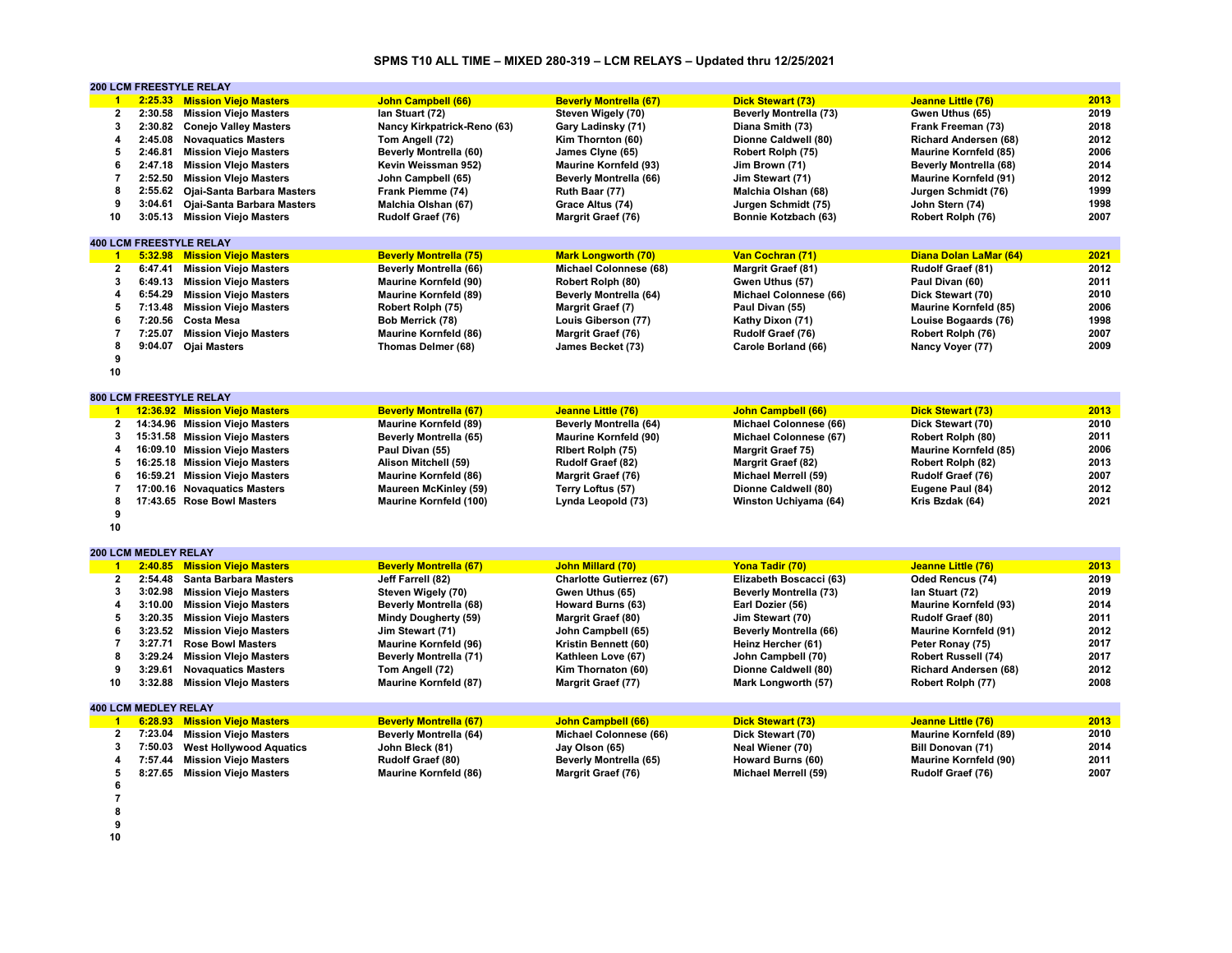# **SPMS T10 ALL TIME – MIXED 280-319 – LCM RELAYS – Updated thru 12/25/2021**

|                          |                             | <b>200 LCM FREESTYLE RELAY</b>     |                               |                                 |                               |                               |      |
|--------------------------|-----------------------------|------------------------------------|-------------------------------|---------------------------------|-------------------------------|-------------------------------|------|
| $\blacksquare$           |                             | 2:25.33 Mission Viejo Masters      | <b>John Campbell (66)</b>     | <b>Beverly Montrella (67)</b>   | <b>Dick Stewart (73)</b>      | Jeanne Little (76)            | 2013 |
| $\overline{2}$           | 2:30.58                     | <b>Mission Viejo Masters</b>       | lan Stuart (72)               | Steven Wigely (70)              | <b>Beverly Montrella (73)</b> | Gwen Uthus (65)               | 2019 |
| 3                        |                             | 2:30.82 Conejo Valley Masters      | Nancy Kirkpatrick-Reno (63)   | Gary Ladinsky (71)              | Diana Smith (73)              | Frank Freeman (73)            | 2018 |
| 4                        |                             | 2:45.08 Novaquatics Masters        | Tom Angell (72)               | Kim Thornton (60)               | Dionne Caldwell (80)          | <b>Richard Andersen (68)</b>  | 2012 |
| 5                        | 2:46.81                     | <b>Mission Viejo Masters</b>       | Beverly Montrella (60)        | James Clyne (65)                | Robert Rolph (75)             | <b>Maurine Kornfeld (85)</b>  | 2006 |
| 6                        | 2:47.18                     | <b>Mission Vlejo Masters</b>       | Kevin Weissman 952)           | <b>Maurine Kornfeld (93)</b>    | Jim Brown (71)                | <b>Beverly Montrella (68)</b> | 2014 |
| $\overline{7}$           | 2:52.50                     | <b>Mission Vlejo Masters</b>       | John Campbell (65)            | <b>Beverly Montrella (66)</b>   | Jim Stewart (71)              | <b>Maurine Kornfeld (91)</b>  | 2012 |
| 8                        |                             | 2:55.62 Ojai-Santa Barbara Masters | Frank Piemme (74)             | Ruth Baar (77)                  | Malchia Olshan (68)           | Jurgen Schmidt (76)           | 1999 |
| 9                        | 3:04.61                     |                                    |                               |                                 |                               |                               | 1998 |
|                          |                             | Ojai-Santa Barbara Masters         | Malchia Olshan (67)           | Grace Altus (74)                | Jurgen Schmidt (75)           | John Stern (74)               |      |
| 10                       |                             | 3:05.13 Mission Viejo Masters      | Rudolf Graef (76)             | Margrit Graef (76)              | Bonnie Kotzbach (63)          | Robert Rolph (76)             | 2007 |
|                          |                             |                                    |                               |                                 |                               |                               |      |
|                          |                             | <b>400 LCM FREESTYLE RELAY</b>     |                               |                                 |                               |                               |      |
| $\blacksquare$           |                             | 5:32.98 Mission Viejo Masters      | <b>Beverly Montrella (75)</b> | <b>Mark Longworth (70)</b>      | Van Cochran (71)              | Diana Dolan LaMar (64)        | 2021 |
| $\mathbf{2}$             | 6:47.41                     | <b>Mission Viejo Masters</b>       | <b>Beverly Montrella (66)</b> | Michael Colonnese (68)          | Margrit Graef (81)            | Rudolf Graef (81)             | 2012 |
| 3                        |                             | 6:49.13 Mission Viejo Masters      | <b>Maurine Kornfeld (90)</b>  | Robert Rolph (80)               | Gwen Uthus (57)               | Paul Divan (60)               | 2011 |
| $\overline{\mathbf{4}}$  |                             | 6:54.29 Mission Viejo Masters      | <b>Maurine Kornfeld (89)</b>  | <b>Beverly Montrella (64)</b>   | Michael Colonnese (66)        | Dick Stewart (70)             | 2010 |
| 5                        | 7:13.48                     | <b>Mission Viejo Masters</b>       | Robert Rolph (75)             | Margrit Graef (7)               | Paul Divan (55)               | <b>Maurine Kornfeld (85)</b>  | 2006 |
| 6                        | 7:20.56                     | <b>Costa Mesa</b>                  | Bob Merrick (78)              | Louis Giberson (77)             | Kathy Dixon (71)              | Louise Bogaards (76)          | 1998 |
| $\overline{\mathbf{r}}$  | 7:25.07                     | <b>Mission Viejo Masters</b>       | <b>Maurine Kornfeld (86)</b>  | <b>Margrit Graef (76)</b>       | Rudolf Graef (76)             | Robert Rolph (76)             | 2007 |
| 8                        |                             | 9:04.07 Ojai Masters               | Thomas Delmer (68)            | James Becket (73)               | Carole Borland (66)           | Nancy Voyer (77)              | 2009 |
| 9                        |                             |                                    |                               |                                 |                               |                               |      |
| 10                       |                             |                                    |                               |                                 |                               |                               |      |
|                          |                             |                                    |                               |                                 |                               |                               |      |
|                          |                             | 800 LCM FREESTYLE RELAY            |                               |                                 |                               |                               |      |
| $\blacktriangleleft$     |                             | 12:36.92 Mission Viejo Masters     | <b>Beverly Montrella (67)</b> | Jeanne Little (76)              | <b>John Campbell (66)</b>     | <b>Dick Stewart (73)</b>      | 2013 |
| $\overline{2}$           |                             | 14:34.96 Mission Viejo Masters     | <b>Maurine Kornfeld (89)</b>  | <b>Beverly Montrella (64)</b>   | Michael Colonnese (66)        | Dick Stewart (70)             | 2010 |
| 3                        |                             | 15:31.58 Mission Viejo Masters     | Beverly Montrella (65)        | <b>Maurine Kornfeld (90)</b>    | Michael Colonnese (67)        | Robert Rolph (80)             | 2011 |
| 4                        |                             | 16:09.10 Mission Viejo Masters     | Paul Divan (55)               | Ribert Rolph (75)               | <b>Margrit Graef 75)</b>      | <b>Maurine Kornfeld (85)</b>  | 2006 |
| 5                        |                             | 16:25.18 Mission Viejo Masters     | Alison Mitchell (59)          | Rudolf Graef (82)               | <b>Margrit Graef (82)</b>     | Robert Rolph (82)             | 2013 |
|                          |                             |                                    |                               |                                 |                               |                               | 2007 |
| 6                        |                             | 16:59.21 Mission Viejo Masters     | <b>Maurine Kornfeld (86)</b>  | Margrit Graef (76)              | Michael Merrell (59)          | Rudolf Graef (76)             |      |
| $\overline{7}$           |                             | 17:00.16 Novaguatics Masters       | <b>Maureen McKinley (59)</b>  | Terry Loftus (57)               | Dionne Caldwell (80)          | Eugene Paul (84)              | 2012 |
| 8                        |                             | 17:43.65 Rose Bowl Masters         | <b>Maurine Kornfeld (100)</b> | Lynda Leopold (73)              | Winston Uchiyama (64)         | Kris Bzdak (64)               | 2021 |
| 9                        |                             |                                    |                               |                                 |                               |                               |      |
| 10                       |                             |                                    |                               |                                 |                               |                               |      |
|                          |                             |                                    |                               |                                 |                               |                               |      |
|                          | <b>200 LCM MEDLEY RELAY</b> |                                    |                               |                                 |                               |                               |      |
| $\overline{1}$           |                             | 2:40.85 Mission Viejo Masters      | <b>Beverly Montrella (67)</b> | <b>John Millard (70)</b>        | Yona Tadir (70)               | Jeanne Little (76)            | 2013 |
| $\overline{2}$           |                             | 2:54.48 Santa Barbara Masters      | Jeff Farrell (82)             | <b>Charlotte Gutierrez (67)</b> | Elizabeth Boscacci (63)       | Oded Rencus (74)              | 2019 |
| 3                        | 3:02.98                     | <b>Mission Viejo Masters</b>       | Steven Wigely (70)            | Gwen Uthus (65)                 | <b>Beverly Montrella (73)</b> | lan Stuart (72)               | 2019 |
| 4                        | 3:10.00                     | <b>Mission Viejo Masters</b>       | <b>Beverly Montrella (68)</b> | Howard Burns (63)               | Earl Dozier (56)              | <b>Maurine Kornfeld (93)</b>  | 2014 |
| 5                        |                             | 3:20.35 Mission Viejo Masters      | <b>Mindy Dougherty (59)</b>   | Margrit Graef (80)              | Jim Stewart (70)              | Rudolf Graef (80)             | 2011 |
| 6                        | 3:23.52                     | <b>Mission Viejo Masters</b>       | Jim Stewart (71)              | John Campbell (65)              | <b>Beverly Montrella (66)</b> | <b>Maurine Kornfeld (91)</b>  | 2012 |
| $\overline{7}$           | 3:27.71                     | <b>Rose Bowl Masters</b>           | <b>Maurine Kornfeld (96)</b>  | Kristin Bennett (60)            | Heinz Hercher (61)            | Peter Ronay (75)              | 2017 |
| 8                        | 3:29.24                     | <b>Mission Vlejo Masters</b>       | <b>Beverly Montrella (71)</b> | Kathleen Love (67)              | John Campbell (70)            | <b>Robert Russell (74)</b>    | 2017 |
| 9                        | 3:29.61                     | <b>Novaguatics Masters</b>         | Tom Angell (72)               | Kim Thornaton (60)              | Dionne Caldwell (80)          | <b>Richard Andersen (68)</b>  | 2012 |
| 10                       |                             | 3:32.88 Mission Vlejo Masters      | <b>Maurine Kornfeld (87)</b>  | Margrit Graef (77)              | Mark Longworth (57)           | Robert Rolph (77)             | 2008 |
|                          |                             |                                    |                               |                                 |                               |                               |      |
|                          | <b>400 LCM MEDLEY RELAY</b> |                                    |                               |                                 |                               |                               |      |
| $\blacksquare$ 1         |                             | 6:28.93 Mission Viejo Masters      | <b>Beverly Montrella (67)</b> | <b>John Campbell (66)</b>       | <b>Dick Stewart (73)</b>      | Jeanne Little (76)            | 2013 |
| $\mathbf{2}$             | 7:23.04                     | <b>Mission Viejo Masters</b>       | <b>Beverly Montrella (64)</b> | Michael Colonnese (66)          | Dick Stewart (70)             | <b>Maurine Kornfeld (89)</b>  | 2010 |
| 3                        | 7:50.03                     | <b>West Hollywood Aquatics</b>     | John Bleck (81)               | Jay Olson (65)                  | Neal Wiener (70)              | Bill Donovan (71)             | 2014 |
| 4                        | 7:57.44                     | <b>Mission Viejo Masters</b>       | Rudolf Graef (80)             | Beverly Montrella (65)          | <b>Howard Burns (60)</b>      | <b>Maurine Kornfeld (90)</b>  | 2011 |
| 5                        |                             | 8:27.65 Mission Viejo Masters      | <b>Maurine Kornfeld (86)</b>  | Margrit Graef (76)              | Michael Merrell (59)          | Rudolf Graef (76)             | 2007 |
| 6                        |                             |                                    |                               |                                 |                               |                               |      |
|                          |                             |                                    |                               |                                 |                               |                               |      |
| $\overline{\phantom{a}}$ |                             |                                    |                               |                                 |                               |                               |      |
| 8                        |                             |                                    |                               |                                 |                               |                               |      |

**9**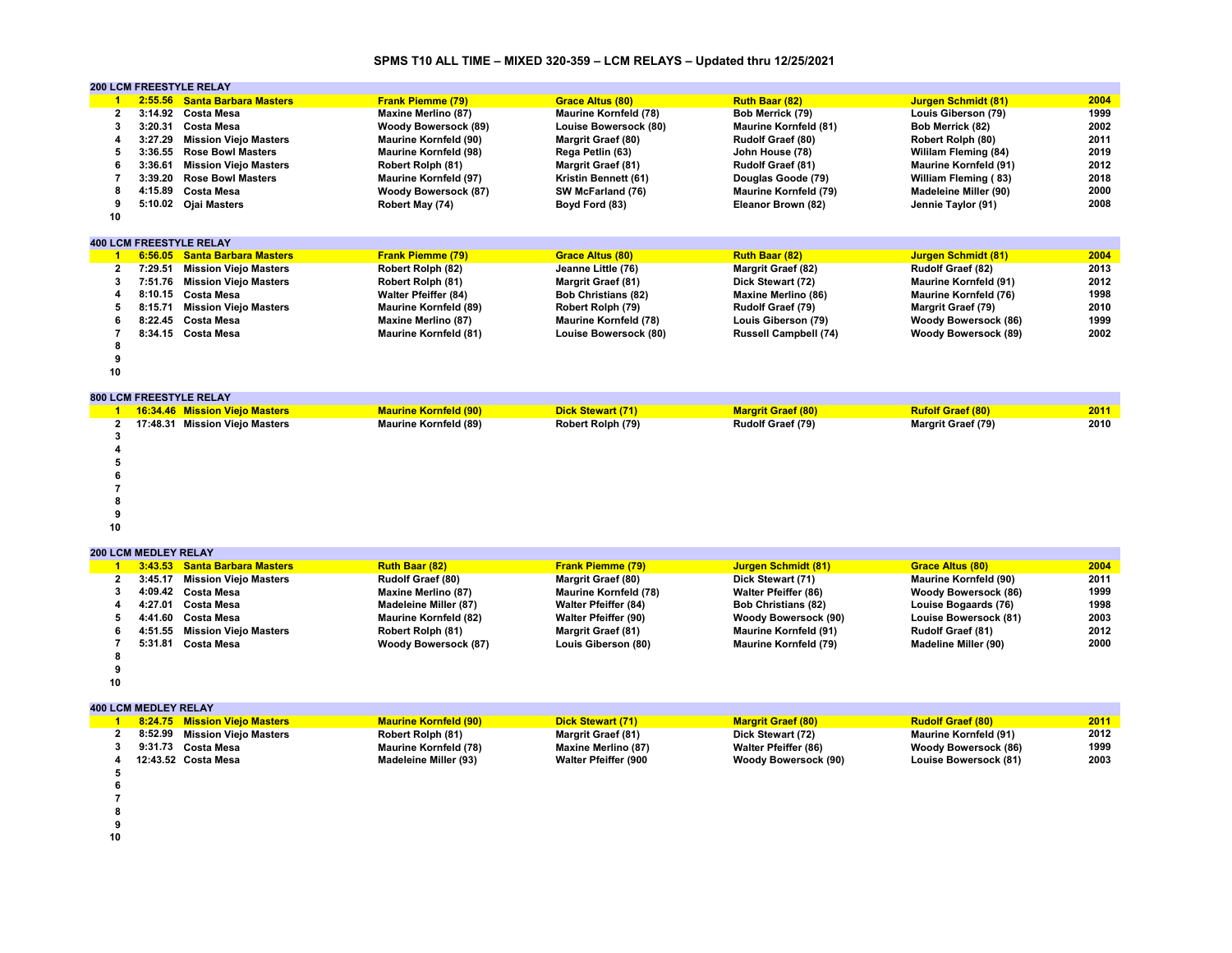### **SPMS T10 ALL TIME – MIXED 320-359 – LCM RELAYS – Updated thru 12/25/2021**

|              |         | <b>200 LCM FREESTYLE RELAY</b> |                              |                              |                              |                              |      |
|--------------|---------|--------------------------------|------------------------------|------------------------------|------------------------------|------------------------------|------|
|              | 2:55.56 | <b>Santa Barbara Masters</b>   | <b>Frank Piemme (79)</b>     | <b>Grace Altus (80)</b>      | <b>Ruth Baar (82)</b>        | <b>Jurgen Schmidt (81)</b>   | 2004 |
| $\mathbf{2}$ |         | 3:14.92 Costa Mesa             | <b>Maxine Merlino (87)</b>   | <b>Maurine Kornfeld (78)</b> | Bob Merrick (79)             | Louis Giberson (79)          | 1999 |
| 3            | 3:20.31 | <b>Costa Mesa</b>              | <b>Woody Bowersock (89)</b>  | Louise Bowersock (80)        | <b>Maurine Kornfeld (81)</b> | Bob Merrick (82)             | 2002 |
|              | 3:27.29 | <b>Mission Viejo Masters</b>   | <b>Maurine Kornfeld (90)</b> | <b>Margrit Graef (80)</b>    | <b>Rudolf Graef (80)</b>     | Robert Rolph (80)            | 2011 |
| 5            | 3:36.55 | <b>Rose Bowl Masters</b>       | <b>Maurine Kornfeld (98)</b> | Rega Petlin (63)             | John House (78)              | Wililam Fleming (84)         | 2019 |
|              | 3:36.61 | <b>Mission Viejo Masters</b>   | Robert Rolph (81)            | <b>Margrit Graef (81)</b>    | <b>Rudolf Graef (81)</b>     | <b>Maurine Kornfeld (91)</b> | 2012 |
|              | 3:39.20 | <b>Rose Bowl Masters</b>       | <b>Maurine Kornfeld (97)</b> | Kristin Bennett (61)         | Douglas Goode (79)           | William Fleming (83)         | 2018 |
| 8            | 4:15.89 | <b>Costa Mesa</b>              | <b>Woody Bowersock (87)</b>  | SW McFarland (76)            | <b>Maurine Kornfeld (79)</b> | Madeleine Miller (90)        | 2000 |
|              |         | 5:10.02 Ojai Masters           | Robert May (74)              | Boyd Ford (83)               | Eleanor Brown (82)           | Jennie Taylor (91)           | 2008 |
| 10           |         |                                |                              |                              |                              |                              |      |
|              |         |                                |                              |                              |                              |                              |      |
|              |         | <b>400 LCM FREESTYLE RELAY</b> |                              |                              |                              |                              |      |
|              | 6:56.05 | <b>Santa Barbara Masters</b>   | <b>Frank Piemme (79)</b>     | <b>Grace Altus (80)</b>      | <b>Ruth Baar (82)</b>        | <b>Jurgen Schmidt (81)</b>   | 2004 |
|              | 7:29.51 | <b>Mission Viejo Masters</b>   | Robert Rolph (82)            | Jeanne Little (76)           | <b>Margrit Graef (82)</b>    | Rudolf Graef (82)            | 2013 |
| 3            | 7:51.76 | <b>Mission Viejo Masters</b>   | Robert Rolph (81)            | <b>Margrit Graef (81)</b>    | Dick Stewart (72)            | <b>Maurine Kornfeld (91)</b> | 2012 |
|              | 8:10.15 | <b>Costa Mesa</b>              | <b>Walter Pfeiffer (84)</b>  | <b>Bob Christians (82)</b>   | <b>Maxine Merlino (86)</b>   | <b>Maurine Kornfeld (76)</b> | 1998 |
|              | 8:15.71 | <b>Mission Viejo Masters</b>   | <b>Maurine Kornfeld (89)</b> | Robert Rolph (79)            | Rudolf Graef (79)            | <b>Margrit Graef (79)</b>    | 2010 |
|              | 8:22.45 | <b>Costa Mesa</b>              | <b>Maxine Merlino (87)</b>   | <b>Maurine Kornfeld (78)</b> | Louis Giberson (79)          | <b>Woody Bowersock (86)</b>  | 1999 |
|              |         | 8:34.15 Costa Mesa             | <b>Maurine Kornfeld (81)</b> | Louise Bowersock (80)        | <b>Russell Campbell (74)</b> | Woody Bowersock (89)         | 2002 |
|              |         |                                |                              |                              |                              |                              |      |
|              |         |                                |                              |                              |                              |                              |      |
| 10           |         |                                |                              |                              |                              |                              |      |
|              |         |                                |                              |                              |                              |                              |      |

#### **800 LCM FREESTYLE RELAY 1 16:34.46 2011 2 17:48.31 Mission Viejo Masters 3 4 5 6 7 8 9 Maurine Kornfeld (90) Maurine Kornfeld (89)**

**10**

### **200 LCM MEDLEY RELAY**

|    | 3:43.53 Santa Barbara Masters | <b>Ruth Baar (82)</b>        | <b>Frank Piemme (79)</b>     | Jurgen Schmidt (81)          | <b>Grace Altus (80)</b>      | 2004 |
|----|-------------------------------|------------------------------|------------------------------|------------------------------|------------------------------|------|
|    | 3:45.17 Mission Viejo Masters | <b>Rudolf Graef (80)</b>     | <b>Margrit Graef (80)</b>    | Dick Stewart (71)            | <b>Maurine Kornfeld (90)</b> | 2011 |
|    | 4:09.42 Costa Mesa            | <b>Maxine Merlino (87)</b>   | <b>Maurine Kornfeld (78)</b> | <b>Walter Pfeiffer (86)</b>  | Woody Bowersock (86)         | 1999 |
|    | 4:27.01 Costa Mesa            | <b>Madeleine Miller (87)</b> | <b>Walter Pfeiffer (84)</b>  | <b>Bob Christians (82)</b>   | Louise Bogaards (76)         | 1998 |
|    | 4:41.60 Costa Mesa            | <b>Maurine Kornfeld (82)</b> | <b>Walter Pfeiffer (90)</b>  | <b>Woody Bowersock (90)</b>  | Louise Bowersock (81)        | 2003 |
|    | 4:51.55 Mission Viejo Masters | Robert Rolph (81)            | <b>Margrit Graef (81)</b>    | <b>Maurine Kornfeld (91)</b> | <b>Rudolf Graef (81)</b>     | 2012 |
|    | 5:31.81 Costa Mesa            | <b>Woody Bowersock (87)</b>  | Louis Giberson (80)          | <b>Maurine Kornfeld (79)</b> | <b>Madeline Miller (90)</b>  | 2000 |
|    |                               |                              |                              |                              |                              |      |
|    |                               |                              |                              |                              |                              |      |
| 10 |                               |                              |                              |                              |                              |      |

**400 LCM MEDLEY RELAY**

|  | 8:24.75 Mission Viejo Masters | <b>Maurine Kornfeld (90)</b> | <b>Dick Stewart (71)</b>    | <b>Margrit Graef (80)</b>   | <b>Rudolf Graef (80)</b>     | 2011 |
|--|-------------------------------|------------------------------|-----------------------------|-----------------------------|------------------------------|------|
|  | 8:52.99 Mission Viejo Masters | Robert Rolph (81)            | <b>Margrit Graef (81)</b>   | Dick Stewart (72)           | <b>Maurine Kornfeld (91)</b> | 2012 |
|  | 9:31.73 Costa Mesa            | <b>Maurine Kornfeld (78)</b> | <b>Maxine Merlino (87)</b>  | <b>Walter Pfeiffer (86)</b> | <b>Woody Bowersock (86)</b>  | 1999 |
|  | 12:43.52 Costa Mesa           | Madeleine Miller (93)        | <b>Walter Pfeiffer (900</b> | Woody Bowersock (90)        | Louise Bowersock (81)        | 2003 |
|  |                               |                              |                             |                             |                              |      |

**6**

**7**

**8**

**9**